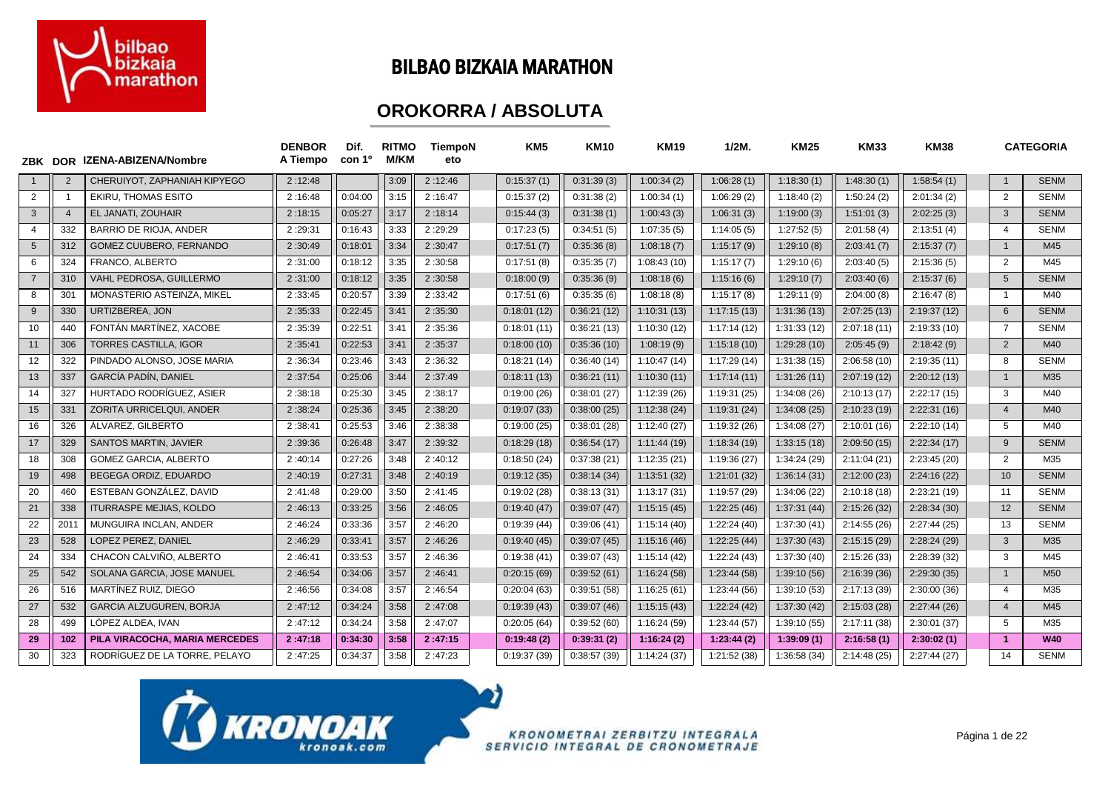

### BILBAO BIZKAIA MARATHON

### **OROKORRA / ABSOLUTA**

|                | ZBK DOR        | IZENA-ABIZENA/Nombre           | <b>DENBOR</b><br>A Tiempo | Dif.<br>con 1º | <b>RITMO</b><br><b>M/KM</b> | <b>TiempoN</b><br>eto |             | KM <sub>5</sub> | <b>KM10</b> | <b>KM19</b>  | $1/2M$ .     | <b>KM25</b>  | <b>KM33</b>  | <b>KM38</b>  |                | <b>CATEGORIA</b> |
|----------------|----------------|--------------------------------|---------------------------|----------------|-----------------------------|-----------------------|-------------|-----------------|-------------|--------------|--------------|--------------|--------------|--------------|----------------|------------------|
| $\overline{1}$ | $\overline{2}$ | CHERUIYOT, ZAPHANIAH KIPYEGO   | 2:12:48                   |                | 3:09                        | 2:12:46               | 0:15:37(1)  |                 | 0:31:39(3)  | 1:00:34(2)   | 1:06:28(1)   | 1:18:30(1)   | 1:48:30(1)   | 1:58:54(1)   |                | <b>SENM</b>      |
| $\overline{2}$ |                | EKIRU, THOMAS ESITO            | 2:16:48                   | 0:04:00        | 3:15                        | 2:16:47               | 0:15:37(2)  |                 | 0:31:38(2)  | 1:00:34(1)   | 1:06:29(2)   | 1:18:40(2)   | 1:50:24(2)   | 2:01:34(2)   | $\overline{2}$ | <b>SENM</b>      |
| $\mathbf{3}$   | $\overline{4}$ | EL JANATI, ZOUHAIR             | 2:18:15                   | 0:05:27        | 3:17                        | 2:18:14               | 0:15:44(3)  |                 | 0:31:38(1)  | 1:00:43(3)   | 1:06:31(3)   | 1:19:00(3)   | 1:51:01(3)   | 2:02:25(3)   | 3              | <b>SENM</b>      |
| $\overline{4}$ | 332            | <b>BARRIO DE RIOJA, ANDER</b>  | 2:29:31                   | 0:16:43        | 3:33                        | 2:29:29               | 0:17:23(5)  |                 | 0:34:51(5)  | 1:07:35(5)   | 1:14:05(5)   | 1:27:52(5)   | 2:01:58(4)   | 2:13:51(4)   | $\overline{4}$ | <b>SENM</b>      |
| $5^{\circ}$    | 312            | GOMEZ CUUBERO, FERNANDO        | 2:30:49                   | 0:18:01        | 3:34                        | 2:30:47               | 0:17:51(7)  |                 | 0:35:36(8)  | 1:08:18(7)   | 1:15:17(9)   | 1:29:10(8)   | 2:03:41(7)   | 2:15:37(7)   | $\overline{1}$ | M45              |
| 6              | 324            | FRANCO, ALBERTO                | 2:31:00                   | 0:18:12        | 3:35                        | 2:30:58               | 0:17:51(8)  |                 | 0:35:35(7)  | 1:08:43(10)  | 1:15:17(7)   | 1:29:10(6)   | 2:03:40(5)   | 2:15:36(5)   | 2              | M45              |
| $\overline{7}$ | 310            | VAHL PEDROSA, GUILLERMO        | 2:31:00                   | 0:18:12        | 3:35                        | 2:30:58               | 0:18:00(9)  |                 | 0:35:36(9)  | 1:08:18(6)   | 1:15:16(6)   | 1:29:10(7)   | 2:03:40(6)   | 2:15:37(6)   | 5              | <b>SENM</b>      |
| 8              | 301            | MONASTERIO ASTEINZA, MIKEL     | 2:33:45                   | 0:20:57        | 3:39                        | 2:33:42               | 0:17:51(6)  |                 | 0:35:35(6)  | 1:08:18(8)   | 1:15:17(8)   | 1:29:11(9)   | 2:04:00(8)   | 2:16:47(8)   | $\overline{1}$ | M40              |
| 9              | 330            | URTIZBEREA, JON                | 2:35:33                   | 0:22:45        | 3:41                        | 2:35:30               | 0:18:01(12) |                 | 0:36:21(12) | 1:10:31(13)  | 1:17:15(13)  | 1:31:36(13)  | 2:07:25(13)  | 2:19:37(12)  | 6              | <b>SENM</b>      |
| 10             | 440            | FONTÁN MARTÍNEZ, XACOBE        | 2:35:39                   | 0:22:51        | 3:41                        | 2:35:36               | 0:18:01(11) |                 | 0:36:21(13) | 1:10:30(12)  | 1:17:14(12)  | 1:31:33(12)  | 2:07:18(11)  | 2:19:33(10)  | $\overline{7}$ | <b>SENM</b>      |
| 11             | 306            | <b>TORRES CASTILLA, IGOR</b>   | 2:35:41                   | 0:22:53        | 3:41                        | 2:35:37               | 0:18:00(10) |                 | 0:35:36(10) | 1:08:19(9)   | 1:15:18(10)  | 1:29:28(10)  | 2:05:45(9)   | 2:18:42(9)   | $\overline{2}$ | M40              |
| 12             | 322            | PINDADO ALONSO, JOSE MARIA     | 2:36:34                   | 0:23:46        | 3:43                        | 2:36:32               | 0:18:21(14) |                 | 0:36:40(14) | 1:10:47(14)  | 1:17:29 (14) | 1:31:38(15)  | 2:06:58(10)  | 2:19:35(11)  | 8              | SENM             |
| 13             | 337            | <b>GARCÍA PADÍN, DANIEL</b>    | 2:37:54                   | 0:25:06        | 3:44                        | 2:37:49               | 0:18:11(13) |                 | 0:36:21(11) | 1:10:30(11)  | 1:17:14(11)  | 1:31:26(11)  | 2:07:19(12)  | 2:20:12(13)  | $\overline{1}$ | M35              |
| 14             | 327            | HURTADO RODRÍGUEZ, ASIER       | 2:38:18                   | 0:25:30        | 3:45                        | 2:38:17               | 0:19:00(26) |                 | 0:38:01(27) | 1:12:39 (26) | 1:19:31 (25) | 1:34:08(26)  | 2:10:13(17)  | 2:22:17(15)  | 3              | M40              |
| 15             | 331            | ZORITA URRICELQUI, ANDER       | 2:38:24                   | 0:25:36        | 3:45                        | 2:38:20               | 0:19:07(33) |                 | 0:38:00(25) | 1:12:38(24)  | 1:19:31(24)  | 1:34:08(25)  | 2:10:23 (19) | 2:22:31(16)  | $\overline{4}$ | M40              |
| 16             | 326            | ÁLVAREZ, GILBERTO              | 2:38:41                   | 0:25:53        | 3:46                        | 2:38:38               | 0:19:00(25) |                 | 0:38:01(28) | 1:12:40(27)  | 1:19:32 (26) | 1:34:08 (27) | 2:10:01(16)  | 2:22:10(14)  | 5              | M40              |
| 17             | 329            | <b>SANTOS MARTIN, JAVIER</b>   | 2:39:36                   | 0:26:48        | 3:47                        | 2:39:32               | 0:18:29(18) |                 | 0:36:54(17) | 1:11:44(19)  | 1:18:34(19)  | 1:33:15(18)  | 2:09:50(15)  | 2:22:34(17)  | 9              | <b>SENM</b>      |
| 18             | 308            | <b>GOMEZ GARCIA, ALBERTO</b>   | 2:40:14                   | 0:27:26        | 3:48                        | 2:40:12               | 0:18:50(24) |                 | 0:37:38(21) | 1:12:35(21)  | 1:19:36 (27) | 1:34:24 (29) | 2:11:04(21)  | 2:23:45(20)  | 2              | M35              |
| 19             | 498            | BEGEGA ORDIZ, EDUARDO          | 2:40:19                   | 0:27:31        | 3:48                        | 2:40:19               | 0:19:12(35) |                 | 0:38:14(34) | 1:13:51(32)  | 1:21:01(32)  | 1:36:14(31)  | 2:12:00(23)  | 2:24:16(22)  | 10             | <b>SENM</b>      |
| 20             | 460            | ESTEBAN GONZÁLEZ, DAVID        | 2:41:48                   | 0:29:00        | 3:50                        | 2:41:45               | 0:19:02(28) |                 | 0:38:13(31) | 1:13:17(31)  | 1:19:57 (29) | 1:34:06 (22) | 2:10:18(18)  | 2:23:21 (19) | 11             | <b>SENM</b>      |
| 21             | 338            | <b>ITURRASPE MEJIAS, KOLDO</b> | 2:46:13                   | 0:33:25        | 3:56                        | 2:46:05               | 0:19:40(47) |                 | 0:39:07(47) | 1:15:15(45)  | 1:22:25(46)  | 1:37:31(44)  | 2:15:26(32)  | 2:28:34(30)  | 12             | <b>SENM</b>      |
| 22             | 201            | MUNGUIRA INCLAN, ANDER         | 2:46:24                   | 0:33:36        | 3:57                        | 2:46:20               | 0:19:39(44) |                 | 0:39:06(41) | 1:15:14(40)  | 1:22:24(40)  | 1:37:30 (41) | 2:14:55(26)  | 2:27:44(25)  | 13             | <b>SENM</b>      |
| 23             | 528            | LOPEZ PEREZ, DANIEL            | 2:46:29                   | 0:33:41        | 3:57                        | 2:46:26               | 0:19:40(45) |                 | 0:39:07(45) | 1:15:16(46)  | 1:22:25(44)  | 1:37:30(43)  | 2:15:15(29)  | 2:28:24(29)  | 3              | M35              |
| 24             | 334            | CHACON CALVIÑO, ALBERTO        | 2:46:41                   | 0:33:53        | 3:57                        | 2:46:36               | 0:19:38(41) |                 | 0:39:07(43) | 1:15:14(42)  | 1:22:24(43)  | 1:37:30 (40) | 2:15:26(33)  | 2:28:39 (32) | 3              | M45              |
| 25             | 542            | SOLANA GARCIA, JOSE MANUEL     | 2:46:54                   | 0:34:06        | 3:57                        | 2:46:41               | 0:20:15(69) |                 | 0:39:52(61) | 1:16:24(58)  | 1:23:44(58)  | 1:39:10 (56) | 2:16:39 (36) | 2:29:30(35)  | $\overline{1}$ | M <sub>50</sub>  |
| 26             | 516            | MARTÍNEZ RUIZ, DIEGO           | 2:46:56                   | 0:34:08        | 3:57                        | 2:46:54               | 0:20:04(63) |                 | 0:39:51(58) | 1:16:25(61)  | 1:23:44 (56) | 1:39:10 (53) | 2:17:13 (39) | 2:30:00(36)  | $\overline{4}$ | M35              |
| 27             | 532            | GARCIA ALZUGUREN, BORJA        | 2:47:12                   | 0:34:24        | 3:58                        | 2:47:08               | 0:19:39(43) |                 | 0:39:07(46) | 1:15:15(43)  | 1:22:24(42)  | 1:37:30 (42) | 2:15:03(28)  | 2:27:44(26)  | $\overline{4}$ | M45              |
| 28             | 499            | LÓPEZ ALDEA. IVAN              | 2:47:12                   | 0:34:24        | 3:58                        | 2:47:07               | 0:20:05(64) |                 | 0:39:52(60) | 1:16:24(59)  | 1:23:44 (57) | 1:39:10 (55) | 2:17:11 (38) | 2:30:01(37)  | 5              | M35              |
| 29             | 102            | PILA VIRACOCHA, MARIA MERCEDES | 2:47:18                   | 0:34:30        | 3:58                        | 2:47:15               | 0:19:48(2)  |                 | 0:39:31(2)  | 1:16:24(2)   | 1:23:44(2)   | 1:39:09(1)   | 2:16:58(1)   | 2:30:02(1)   | $\overline{1}$ | <b>W40</b>       |
| 30             | 323            | RODRÍGUEZ DE LA TORRE. PELAYO  | 2:47:25                   | 0:34:37        | 3:58                        | 2:47:23               | 0:19:37(39) |                 | 0:38:57(39) | 1:14:24(37)  | 1:21:52 (38) | 1:36:58(34)  | 2:14:48(25)  | 2:27:44(27)  | 14             | <b>SENM</b>      |

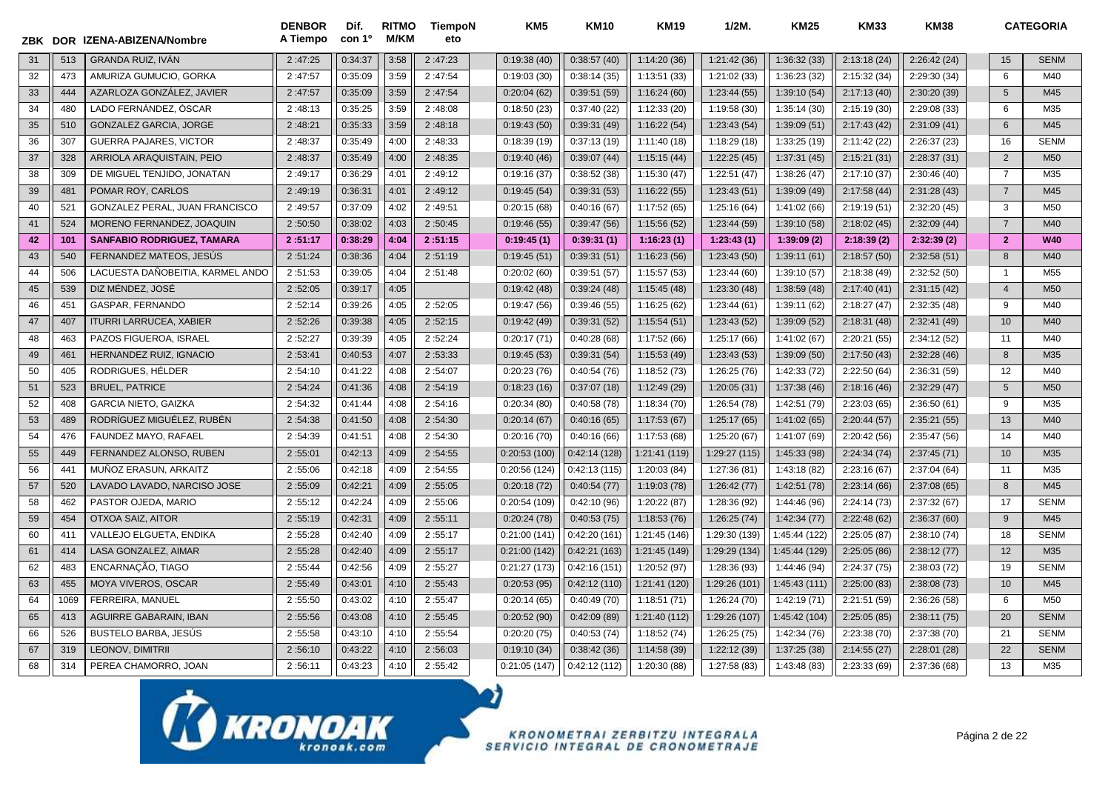| ZBK |      | DOR IZENA-ABIZENA/Nombre          | <b>DENBOR</b><br>A Tiempo | Dif.<br>con 1º | <b>RITMO</b><br><b>M/KM</b> | <b>TiempoN</b><br>eto | KM <sub>5</sub> | <b>KM10</b>  | <b>KM19</b>   | $1/2M$ .      | <b>KM25</b>   | <b>KM33</b>  | <b>KM38</b>  |                | <b>CATEGORIA</b> |
|-----|------|-----------------------------------|---------------------------|----------------|-----------------------------|-----------------------|-----------------|--------------|---------------|---------------|---------------|--------------|--------------|----------------|------------------|
| 31  | 513  | <b>GRANDA RUIZ. IVAN</b>          | 2:47:25                   | 0:34:37        | 3:58                        | 2:47:23               | 0:19:38(40)     | 0:38:57(40)  | 1:14:20(36)   | 1:21:42(36)   | 1:36:32(33)   | 2:13:18(24)  | 2:26:42(24)  | 15             | <b>SENM</b>      |
| 32  | 473  | AMURIZA GUMUCIO, GORKA            | 2:47:57                   | 0:35:09        | 3:59                        | 2:47:54               | 0:19:03(30)     | 0:38:14(35)  | 1:13:51(33)   | 1:21:02(33)   | 1:36:23 (32)  | 2:15:32 (34) | 2:29:30(34)  | 6              | M40              |
| 33  | 444  | AZARLOZA GONZÁLEZ, JAVIER         | 2:47:57                   | 0:35:09        | 3:59                        | 2:47:54               | 0:20:04(62)     | 0:39:51(59)  | 1:16:24(60)   | 1:23:44 (55)  | 1:39:10 (54)  | 2:17:13(40)  | 2:30:20 (39) | 5              | M45              |
| 34  | 480  | LADO FERNÁNDEZ, ÓSCAR             | 2:48:13                   | 0:35:25        | 3:59                        | 2:48:08               | 0:18:50(23)     | 0:37:40(22)  | 1:12:33 (20)  | 1:19:58 (30)  | 1:35:14 (30)  | 2:15:19 (30) | 2:29:08 (33) | 6              | M35              |
| 35  | 510  | <b>GONZALEZ GARCIA, JORGE</b>     | 2:48:21                   | 0:35:33        | 3:59                        | 2:48:18               | 0:19:43(50)     | 0:39:31(49)  | 1:16:22(54)   | 1:23:43(54)   | 1:39:09 (51)  | 2:17:43 (42) | 2:31:09(41)  | 6              | M45              |
| 36  | 307  | <b>GUERRA PAJARES, VICTOR</b>     | 2:48:37                   | 0:35:49        | 4:00                        | 2:48:33               | 0:18:39(19)     | 0:37:13(19)  | 1:11:40(18)   | 1:18:29(18)   | 1:33:25 (19)  | 2:11:42 (22) | 2:26:37(23)  | 16             | <b>SENM</b>      |
| 37  | 328  | ARRIOLA ARAQUISTAIN, PEIO         | 2:48:37                   | 0:35:49        | 4:00                        | 2:48:35               | 0:19:40(46)     | 0:39:07(44)  | 1:15:15(44)   | 1:22:25(45)   | 1:37:31 (45)  | 2:15:21(31)  | 2:28:37(31)  | $\overline{2}$ | M <sub>50</sub>  |
| 38  | 309  | DE MIGUEL TENJIDO, JONATAN        | 2:49:17                   | 0:36:29        | 4:01                        | 2:49:12               | 0:19:16(37)     | 0:38:52(38)  | 1:15:30(47)   | 1:22:51(47)   | 1:38:26 (47)  | 2:17:10 (37) | 2:30:46(40)  | $\overline{7}$ | M35              |
| 39  | 481  | POMAR ROY, CARLOS                 | 2:49:19                   | 0:36:31        | 4:01                        | 2:49:12               | 0:19:45(54)     | 0:39:31(53)  | 1:16:22(55)   | 1:23:43(51)   | 1:39:09 (49)  | 2:17:58 (44) | 2:31:28(43)  | $\overline{7}$ | M45              |
| 40  | 521  | GONZALEZ PERAL, JUAN FRANCISCO    | 2:49:57                   | 0:37:09        | 4:02                        | 2:49:51               | 0:20:15(68)     | 0:40:16(67)  | 1:17:52(65)   | 1:25:16(64)   | 1:41:02 (66)  | 2:19:19(51)  | 2:32:20(45)  | 3              | M <sub>50</sub>  |
| 41  | 524  | MORENO FERNANDEZ, JOAQUIN         | 2:50:50                   | 0:38:02        | 4:03                        | 2:50:45               | 0:19:46(55)     | 0:39:47(56)  | 1:15:56 (52)  | 1:23:44 (59)  | 1:39:10 (58)  | 2:18:02(45)  | 2:32:09 (44) | $\overline{7}$ | M40              |
| 42  | 101  | <b>SANFABIO RODRIGUEZ, TAMARA</b> | 2:51:17                   | 0:38:29        | 4:04                        | 2:51:15               | 0:19:45(1)      | 0:39:31(1)   | 1:16:23(1)    | 1:23:43(1)    | 1:39:09(2)    | 2:18:39(2)   | 2:32:39(2)   | $\overline{2}$ | <b>W40</b>       |
| 43  | 540  | FERNANDEZ MATEOS, JESÚS           | 2:51:24                   | 0:38:36        | 4:04                        | 2:51:19               | 0:19:45(51)     | 0:39:31(51)  | 1:16:23 (56)  | 1:23:43 (50)  | 1:39:11 (61)  | 2:18:57(50)  | 2:32:58(51)  | 8              | M40              |
| 44  | 506  | LACUESTA DAÑOBEITIA, KARMEL ANDO  | 2:51:53                   | 0:39:05        | 4:04                        | 2:51:48               | 0:20:02(60)     | 0:39:51(57)  | 1:15:57(53)   | 1:23:44(60)   | 1:39:10 (57)  | 2:18:38 (49) | 2:32:52(50)  | $\overline{1}$ | M <sub>55</sub>  |
| 45  | 539  | DIZ MÉNDEZ, JOSÉ                  | 2:52:05                   | 0:39:17        | 4:05                        |                       | 0:19:42(48)     | 0:39:24(48)  | 1:15:45(48)   | 1:23:30(48)   | 1:38:59(48)   | 2:17:40(41)  | 2:31:15(42)  | $\overline{4}$ | M <sub>50</sub>  |
| 46  | 451  | GASPAR, FERNANDO                  | 2:52:14                   | 0:39:26        | 4:05                        | 2:52:05               | 0:19:47(56)     | 0:39:46(55)  | 1:16:25(62)   | 1:23:44(61)   | 1:39:11 (62)  | 2:18:27(47)  | 2:32:35(48)  | 9              | M40              |
| 47  | 407  | <b>ITURRI LARRUCEA, XABIER</b>    | 2:52:26                   | 0:39:38        | 4:05                        | 2:52:15               | 0:19:42(49)     | 0:39:31(52)  | 1:15:54(51)   | 1:23:43(52)   | 1:39:09 (52)  | 2:18:31(48)  | 2:32:41 (49) | 10             | M40              |
| 48  | 463  | PAZOS FIGUEROA, ISRAEL            | 2:52:27                   | 0:39:39        | 4:05                        | 2:52:24               | 0:20:17(71)     | 0:40:28(68)  | 1:17:52(66)   | 1:25:17(66)   | 1:41:02 (67)  | 2:20:21 (55) | 2:34:12 (52) | 11             | M40              |
| 49  | 461  | HERNANDEZ RUIZ, IGNACIO           | 2:53:41                   | 0:40:53        | 4:07                        | 2:53:33               | 0:19:45(53)     | 0:39:31(54)  | 1:15:53(49)   | 1:23:43 (53)  | 1:39:09 (50)  | 2:17:50(43)  | 2:32:28(46)  | 8              | M35              |
| 50  | 405  | RODRIGUES, HÉLDER                 | 2:54:10                   | 0:41:22        | 4:08                        | 2:54:07               | 0:20:23(76)     | 0:40:54(76)  | 1:18:52 (73)  | 1:26:25 (76)  | 1:42:33 (72)  | 2:22:50(64)  | 2:36:31 (59) | 12             | M40              |
| 51  | 523  | <b>BRUEL, PATRICE</b>             | 2:54:24                   | 0:41:36        | 4:08                        | 2:54:19               | 0:18:23(16)     | 0:37:07(18)  | 1:12:49 (29)  | 1:20:05(31)   | 1:37:38(46)   | 2:18:16(46)  | 2:32:29(47)  | 5              | M50              |
| 52  | 408  | <b>GARCIA NIETO, GAIZKA</b>       | 2:54:32                   | 0:41:44        | 4:08                        | 2:54:16               | 0:20:34(80)     | 0:40:58(78)  | 1:18:34(70)   | 1:26:54 (78)  | 1:42:51 (79)  | 2:23:03(65)  | 2:36:50(61)  | 9              | M35              |
| 53  | 489  | RODRÍGUEZ MIGUÉLEZ, RUBÉN         | 2:54:38                   | 0:41:50        | 4:08                        | 2:54:30               | 0:20:14(67)     | 0:40:16(65)  | 1:17:53(67)   | 1:25:17(65)   | 1:41:02 (65)  | 2:20:44(57)  | 2:35:21 (55) | 13             | M40              |
| 54  | 476  | FAUNDEZ MAYO, RAFAEL              | 2:54:39                   | 0:41:51        | 4:08                        | 2:54:30               | 0:20:16(70)     | 0:40:16(66)  | 1:17:53 (68)  | 1:25:20 (67)  | 1:41:07 (69)  | 2:20:42(56)  | 2:35:47 (56) | 14             | M40              |
| 55  | 449  | FERNANDEZ ALONSO, RUBEN           | 2:55:01                   | 0:42:13        | 4:09                        | 2:54:55               | 0:20:53(100)    | 0:42:14(128) | 1:21:41 (119) | 1:29:27 (115) | 1:45:33 (98)  | 2:24:34(74)  | 2:37:45(71)  | 10             | M35              |
| 56  | 441  | MUÑOZ ERASUN, ARKAITZ             | 2:55:06                   | 0:42:18        | 4:09                        | 2:54:55               | 0:20:56(124)    | 0:42:13(115) | 1:20:03 (84)  | 1:27:36(81)   | 1:43:18 (82)  | 2:23:16(67)  | 2:37:04(64)  | 11             | M35              |
| 57  | 520  | LAVADO LAVADO, NARCISO JOSE       | 2:55:09                   | 0:42:21        | 4:09                        | 2:55:05               | 0:20:18(72)     | 0:40:54(77)  | 1:19:03 (78)  | 1:26:42(77)   | 1:42:51 (78)  | 2:23:14(66)  | 2:37:08(65)  | 8              | M45              |
| 58  | 462  | PASTOR OJEDA, MARIO               | 2:55:12                   | 0:42:24        | 4:09                        | 2:55:06               | 0:20:54(109)    | 0:42:10(96)  | 1:20:22 (87)  | 1:28:36 (92)  | 1:44:46 (96)  | 2:24:14(73)  | 2:37:32(67)  | 17             | <b>SENM</b>      |
| 59  | 454  | <b>OTXOA SAIZ, AITOR</b>          | 2:55:19                   | 0:42:31        | 4:09                        | 2:55:11               | 0:20:24(78)     | 0:40:53(75)  | 1:18:53(76)   | 1:26:25(74)   | 1:42:34(77)   | 2:22:48(62)  | 2:36:37(60)  | 9              | M45              |
| 60  | 411  | VALLEJO ELGUETA, ENDIKA           | 2:55:28                   | 0:42:40        | 4:09                        | 2:55:17               | 0:21:00(141)    | 0:42:20(161) | 1:21:45 (146) | 1:29:30 (139) | 1:45:44 (122) | 2:25:05(87)  | 2:38:10(74)  | 18             | <b>SENM</b>      |
| 61  | 414  | LASA GONZALEZ, AIMAR              | 2:55:28                   | 0:42:40        | 4:09                        | 2:55:17               | 0:21:00(142)    | 0:42:21(163) | 1:21:45 (149) | 1:29:29 (134) | 1:45:44 (129) | 2:25:05(86)  | 2:38:12(77)  | 12             | M35              |
| 62  | 483  | ENCARNAÇÃO, TIAGO                 | 2:55:44                   | 0:42:56        | 4:09                        | 2:55:27               | 0:21:27(173)    | 0:42:16(151) | 1:20:52 (97)  | 1:28:36 (93)  | 1:44:46 (94)  | 2:24:37(75)  | 2:38:03(72)  | 19             | <b>SENM</b>      |
| 63  | 455  | <b>MOYA VIVEROS, OSCAR</b>        | 2:55:49                   | 0:43:01        | 4:10                        | 2:55:43               | 0:20:53(95)     | 0:42:12(110) | 1:21:41 (120) | 1:29:26 (101) | 1:45:43 (111) | 2:25:00(83)  | 2:38:08(73)  | 10             | M45              |
| 64  | 1069 | FERREIRA, MANUEL                  | 2:55:50                   | 0:43:02        | 4:10                        | 2:55:47               | 0:20:14(65)     | 0:40:49(70)  | 1:18:51(71)   | 1:26:24(70)   | 1:42:19(71)   | 2:21:51 (59) | 2:36:26(58)  | 6              | M <sub>50</sub>  |
| 65  | 413  | <b>AGUIRRE GABARAIN, IBAN</b>     | 2:55:56                   | 0:43:08        | 4:10                        | 2:55:45               | 0:20:52(90)     | 0:42:09(89)  | 1:21:40 (112) | 1:29:26 (107) | 1:45:42 (104) | 2:25:05(85)  | 2:38:11(75)  | 20             | <b>SENM</b>      |
| 66  | 526  | BUSTELO BARBA, JESÚS              | 2:55:58                   | 0:43:10        | 4:10                        | 2:55:54               | 0:20:20(75)     | 0:40:53(74)  | 1:18:52(74)   | 1:26:25(75)   | 1:42:34 (76)  | 2:23:38 (70) | 2:37:38 (70) | 21             | <b>SENM</b>      |
| 67  | 319  | LEONOV, DIMITRII                  | 2:56:10                   | 0:43:22        | 4:10                        | 2:56:03               | 0:19:10(34)     | 0:38:42(36)  | 1:14:58 (39)  | 1:22:12 (39)  | 1:37:25 (38)  | 2:14:55(27)  | 2:28:01 (28) | 22             | <b>SENM</b>      |
| 68  | 314  | PEREA CHAMORRO, JOAN              | 2:56:11                   | 0:43:23        | 4:10                        | 2:55:42               | 0:21:05(147)    | 0:42:12(112) | 1:20:30 (88)  | 1:27:58 (83)  | 1:43:48 (83)  | 2:23:33(69)  | 2:37:36 (68) | 13             | M35              |

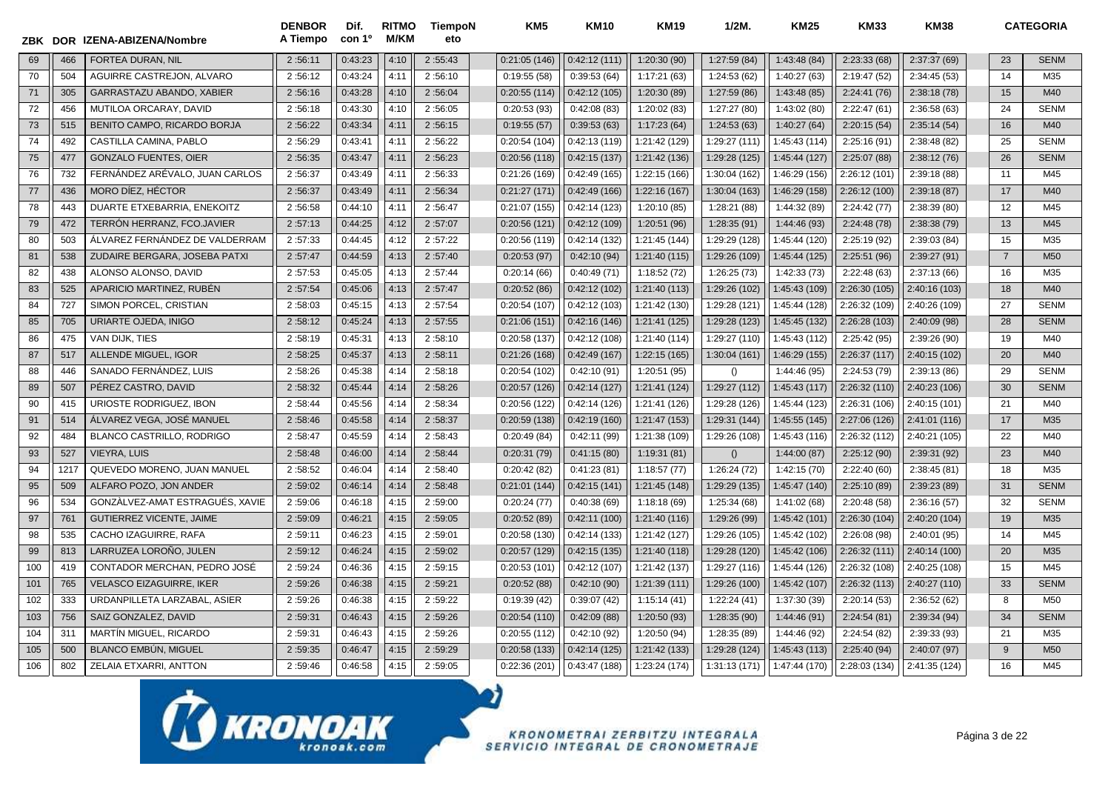| ZBK |      | DOR IZENA-ABIZENA/Nombre         | <b>DENBOR</b><br>A Tiempo | Dif.<br>con 1 <sup>o</sup> | <b>RITMO</b><br><b>M/KM</b> | <b>TiempoN</b><br>eto | KM <sub>5</sub> | <b>KM10</b>  | <b>KM19</b>   | $1/2M$ .      | <b>KM25</b>   | <b>KM33</b>   | <b>KM38</b>   |                | <b>CATEGORIA</b> |
|-----|------|----------------------------------|---------------------------|----------------------------|-----------------------------|-----------------------|-----------------|--------------|---------------|---------------|---------------|---------------|---------------|----------------|------------------|
| 69  | 466  | <b>FORTEA DURAN, NIL</b>         | 2:56:11                   | 0:43:23                    | 4:10                        | 2:55:43               | 0:21:05(146)    | 0:42:12(111) | 1:20:30(90)   | 1:27:59 (84)  | 1:43:48 (84)  | 2:23:33(68)   | 2:37:37 (69)  | 23             | <b>SENM</b>      |
| 70  | 504  | AGUIRRE CASTREJON, ALVARO        | 2:56:12                   | 0:43:24                    | 4:11                        | 2:56:10               | 0:19:55(58)     | 0:39:53(64)  | 1:17:21(63)   | 1:24:53(62)   | 1:40:27 (63)  | 2:19:47 (52)  | 2:34:45(53)   | 14             | M35              |
| 71  | 305  | GARRASTAZU ABANDO, XABIER        | 2:56:16                   | 0:43:28                    | 4:10                        | 2:56:04               | 0:20:55(114)    | 0:42:12(105) | 1:20:30 (89)  | 1:27:59(86)   | 1:43:48 (85)  | 2:24:41(76)   | 2:38:18 (78)  | 15             | M40              |
| 72  | 456  | MUTILOA ORCARAY, DAVID           | 2:56:18                   | 0:43:30                    | 4:10                        | 2:56:05               | 0:20:53(93)     | 0:42:08(83)  | 1:20:02 (83)  | 1:27:27(80)   | 1:43:02(80)   | 2:22:47(61)   | 2:36:58(63)   | 24             | <b>SENM</b>      |
| 73  | 515  | BENITO CAMPO, RICARDO BORJA      | 2:56:22                   | 0:43:34                    | 4:11                        | 2:56:15               | 0:19:55(57)     | 0:39:53(63)  | 1:17:23(64)   | 1:24:53 (63)  | 1:40:27 (64)  | 2:20:15(54)   | 2:35:14(54)   | 16             | M40              |
| 74  | 492  | CASTILLA CAMINA, PABLO           | 2:56:29                   | 0:43:41                    | 4:11                        | 2:56:22               | 0:20:54(104)    | 0:42:13(119) | 1:21:42 (129) | 1:29:27 (111) | 1:45:43 (114) | 2:25:16(91)   | 2:38:48 (82)  | 25             | <b>SENM</b>      |
| 75  | 477  | <b>GONZALO FUENTES, OIER</b>     | 2:56:35                   | 0:43:47                    | 4:11                        | 2:56:23               | 0:20:56(118)    | 0:42:15(137) | 1:21:42 (136) | 1:29:28 (125) | 1:45:44 (127) | 2:25:07(88)   | 2:38:12(76)   | 26             | <b>SENM</b>      |
| 76  | 732  | FERNÁNDEZ ARÉVALO, JUAN CARLOS   | 2:56:37                   | 0:43:49                    | 4:11                        | 2:56:33               | 0:21:26(169)    | 0:42:49(165) | 1:22:15 (166) | 1:30:04 (162) | 1:46:29 (156) | 2:26:12 (101) | 2:39:18 (88)  | 11             | M45              |
| 77  | 436  | MORO DIEZ, HÉCTOR                | 2:56:37                   | 0:43:49                    | 4:11                        | 2:56:34               | 0:21:27(171)    | 0:42:49(166) | 1:22:16 (167) | 1:30:04 (163) | 1:46:29 (158) | 2:26:12 (100) | 2:39:18 (87)  | 17             | M40              |
| 78  | 443  | DUARTE ETXEBARRIA, ENEKOITZ      | 2:56:58                   | 0:44:10                    | 4:11                        | 2:56:47               | 0:21:07(155)    | 0:42:14(123) | 1:20:10 (85)  | 1:28:21(88)   | 1:44:32 (89)  | 2:24:42(77)   | 2:38:39 (80)  | 12             | M45              |
| 79  | 472  | TERRÓN HERRANZ, FCO.JAVIER       | 2:57:13                   | 0:44:25                    | 4:12                        | 2:57:07               | 0:20:56(121)    | 0:42:12(109) | 1:20:51 (96)  | 1:28:35 (91)  | 1:44:46 (93)  | 2:24:48 (78)  | 2:38:38 (79)  | 13             | M45              |
| 80  | 503  | ALVAREZ FERNANDEZ DE VALDERRAM   | 2:57:33                   | 0:44:45                    | 4:12                        | 2:57:22               | 0:20:56(119)    | 0:42:14(132) | 1:21:45 (144) | 1:29:29 (128) | 1:45:44 (120) | 2:25:19 (92)  | 2:39:03(84)   | 15             | M35              |
| 81  | 538  | ZUDAIRE BERGARA, JOSEBA PATXI    | 2:57:47                   | 0:44:59                    | 4:13                        | 2:57:40               | 0:20:53(97)     | 0:42:10(94)  | 1:21:40 (115) | 1:29:26 (109) | 1:45:44 (125) | 2:25:51(96)   | 2:39:27 (91)  | $\overline{7}$ | M50              |
| 82  | 438  | ALONSO ALONSO, DAVID             | 2:57:53                   | 0:45:05                    | 4:13                        | 2:57:44               | 0:20:14(66)     | 0:40:49(71)  | 1:18:52(72)   | 1:26:25 (73)  | 1:42:33(73)   | 2:22:48(63)   | 2:37:13(66)   | 16             | M35              |
| 83  | 525  | APARICIO MARTINEZ, RUBÉN         | 2:57:54                   | 0:45:06                    | 4:13                        | 2:57:47               | 0:20:52(86)     | 0:42:12(102) | 1:21:40 (113) | 1:29:26 (102) | 1:45:43 (109) | 2:26:30 (105) | 2:40:16 (103) | 18             | M40              |
| 84  | 727  | SIMON PORCEL, CRISTIAN           | 2:58:03                   | 0:45:15                    | 4:13                        | 2:57:54               | 0:20:54(107)    | 0:42:12(103) | 1:21:42 (130) | 1:29:28 (121) | 1:45:44 (128) | 2:26:32 (109) | 2:40:26 (109) | 27             | <b>SENM</b>      |
| 85  | 705  | URIARTE OJEDA, INIGO             | 2:58:12                   | 0:45:24                    | 4:13                        | 2:57:55               | 0:21:06(151)    | 0:42:16(146) | 1:21:41 (125) | 1:29:28 (123) | 1:45:45 (132) | 2:26:28 (103) | 2:40:09 (98)  | 28             | <b>SENM</b>      |
| 86  | 475  | VAN DIJK, TIES                   | 2:58:19                   | 0:45:31                    | 4:13                        | 2:58:10               | 0:20:58(137)    | 0:42:12(108) | 1:21:40 (114) | 1:29:27 (110) | 1:45:43 (112) | 2:25:42 (95)  | 2:39:26 (90)  | 19             | M40              |
| 87  | 517  | ALLENDE MIGUEL, IGOR             | 2:58:25                   | 0:45:37                    | 4:13                        | 2:58:11               | 0:21:26(168)    | 0:42:49(167) | 1:22:15 (165) | 1:30:04 (161) | 1:46:29 (155) | 2:26:37 (117) | 2:40:15 (102) | 20             | M40              |
| 88  | 446  | SANADO FERNÁNDEZ, LUIS           | 2:58:26                   | 0:45:38                    | 4:14                        | 2:58:18               | 0:20:54(102)    | 0:42:10(91)  | 1:20:51 (95)  | ()            | 1:44:46 (95)  | 2:24:53 (79)  | 2:39:13 (86)  | 29             | <b>SENM</b>      |
| 89  | 507  | PÉREZ CASTRO, DAVID              | 2:58:32                   | 0:45:44                    | 4:14                        | 2:58:26               | 0:20:57(126)    | 0:42:14(127) | 1:21:41 (124) | 1:29:27 (112) | 1:45:43 (117) | 2:26:32 (110) | 2:40:23 (106) | 30             | <b>SENM</b>      |
| 90  | 415  | URIOSTE RODRIGUEZ. IBON          | 2:58:44                   | 0:45:56                    | 4:14                        | 2:58:34               | 0:20:56 (122)   | 0:42:14(126) | 1:21:41 (126) | 1:29:28 (126) | 1:45:44 (123) | 2:26:31 (106) | 2:40:15 (101) | 21             | M40              |
| 91  | 514  | ÁLVAREZ VEGA, JOSÉ MANUEL        | 2:58:46                   | 0:45:58                    | 4:14                        | 2:58:37               | 0:20:59(138)    | 0:42:19(160) | 1:21:47 (153) | 1:29:31 (144) | 1:45:55 (145) | 2:27:06 (126) | 2:41:01 (116) | 17             | M35              |
| 92  | 484  | <b>BLANCO CASTRILLO, RODRIGO</b> | 2:58:47                   | 0:45:59                    | 4:14                        | 2:58:43               | 0:20:49(84)     | 0:42:11(99)  | 1:21:38 (109) | 1:29:26 (108) | 1:45:43 (116) | 2:26:32 (112) | 2:40:21 (105) | 22             | M40              |
| 93  | 527  | <b>VIEYRA, LUIS</b>              | 2:58:48                   | 0:46:00                    | 4:14                        | 2:58:44               | 0:20:31(79)     | 0:41:15(80)  | 1:19:31(81)   | ()            | 1:44:00 (87)  | 2:25:12(90)   | 2:39:31 (92)  | 23             | M40              |
| 94  | 1217 | QUEVEDO MORENO, JUAN MANUEL      | 2:58:52                   | 0:46:04                    | 4:14                        | 2:58:40               | 0:20:42(82)     | 0:41:23(81)  | 1:18:57(77)   | 1:26:24 (72)  | 1:42:15(70)   | 2:22:40(60)   | 2:38:45(81)   | 18             | M35              |
| 95  | 509  | ALFARO POZO, JON ANDER           | 2:59:02                   | 0:46:14                    | 4:14                        | 2:58:48               | 0:21:01(144)    | 0:42:15(141) | 1:21:45 (148) | 1:29:29 (135) | 1:45:47 (140) | 2:25:10 (89)  | 2:39:23 (89)  | 31             | <b>SENM</b>      |
| 96  | 534  | GONZÀLVEZ-AMAT ESTRAGUÉS, XAVIE  | 2:59:06                   | 0:46:18                    | 4:15                        | 2:59:00               | 0:20:24(77)     | 0:40:38(69)  | 1:18:18(69)   | 1:25:34(68)   | 1:41:02 (68)  | 2:20:48(58)   | 2:36:16(57)   | 32             | <b>SENM</b>      |
| 97  | 761  | <b>GUTIERREZ VICENTE, JAIME</b>  | 2:59:09                   | 0:46:21                    | 4:15                        | 2:59:05               | 0:20:52(89)     | 0:42:11(100) | 1:21:40 (116) | 1:29:26 (99)  | 1:45:42 (101) | 2:26:30 (104) | 2:40:20 (104) | 19             | M35              |
| 98  | 535  | CACHO IZAGUIRRE, RAFA            | 2:59:11                   | 0:46:23                    | 4:15                        | 2:59:01               | 0:20:58(130)    | 0:42:14(133) | 1:21:42 (127) | 1:29:26 (105) | 1:45:42 (102) | 2:26:08 (98)  | 2:40:01 (95)  | 14             | M45              |
| 99  | 813  | LARRUZEA LOROÑO, JULEN           | 2:59:12                   | 0:46:24                    | 4:15                        | 2:59:02               | 0:20:57(129)    | 0:42:15(135) | 1:21:40 (118) | 1:29:28 (120) | 1:45:42 (106) | 2:26:32 (111) | 2:40:14 (100) | 20             | M35              |
| 100 | 419  | CONTADOR MERCHAN, PEDRO JOSÉ     | 2:59:24                   | 0:46:36                    | 4:15                        | 2:59:15               | 0:20:53(101)    | 0:42:12(107) | 1:21:42 (137) | 1:29:27 (116) | 1:45:44 (126) | 2:26:32 (108) | 2:40:25 (108) | 15             | M45              |
| 101 | 765  | <b>VELASCO EIZAGUIRRE. IKER</b>  | 2:59:26                   | 0:46:38                    | 4:15                        | 2:59:21               | 0:20:52(88)     | 0:42:10(90)  | 1:21:39(111)  | 1:29:26 (100) | 1:45:42 (107) | 2:26:32 (113) | 2:40:27 (110) | 33             | <b>SENM</b>      |
| 102 | 333  | URDANPILLETA LARZABAL, ASIER     | 2:59:26                   | 0:46:38                    | 4:15                        | 2:59:22               | 0:19:39(42)     | 0:39:07(42)  | 1:15:14(41)   | 1:22:24 (41)  | 1:37:30 (39)  | 2:20:14(53)   | 2:36:52(62)   | 8              | M50              |
| 103 | 756  | SAIZ GONZALEZ, DAVID             | 2:59:31                   | 0:46:43                    | 4:15                        | 2:59:26               | 0:20:54(110)    | 0:42:09(88)  | 1:20:50 (93)  | 1:28:35(90)   | 1:44:46 (91)  | 2:24:54(81)   | 2:39:34 (94)  | 34             | <b>SENM</b>      |
| 104 | 311  | <b>MARTIN MIGUEL, RICARDO</b>    | 2:59:31                   | 0:46:43                    | 4:15                        | 2:59:26               | 0:20:55(112)    | 0:42:10(92)  | 1:20:50 (94)  | 1:28:35 (89)  | 1:44:46 (92)  | 2:24:54 (82)  | 2:39:33 (93)  | 21             | M35              |
| 105 | 500  | <b>BLANCO EMBÚN, MIGUEL</b>      | 2:59:35                   | 0:46:47                    | 4:15                        | 2:59:29               | 0:20:58(133)    | 0:42:14(125) | 1:21:42 (133) | 1:29:28 (124) | 1:45:43 (113) | 2:25:40(94)   | 2:40:07 (97)  | 9              | M50              |
| 106 | 802  | ZELAIA ETXARRI, ANTTON           | 2:59:46                   | 0:46:58                    | 4:15                        | 2:59:05               | 0:22:36(201)    | 0:43:47(188) | 1:23:24 (174) | 1:31:13 (171) | 1:47:44 (170) | 2:28:03 (134) | 2:41:35 (124) | 16             | M45              |

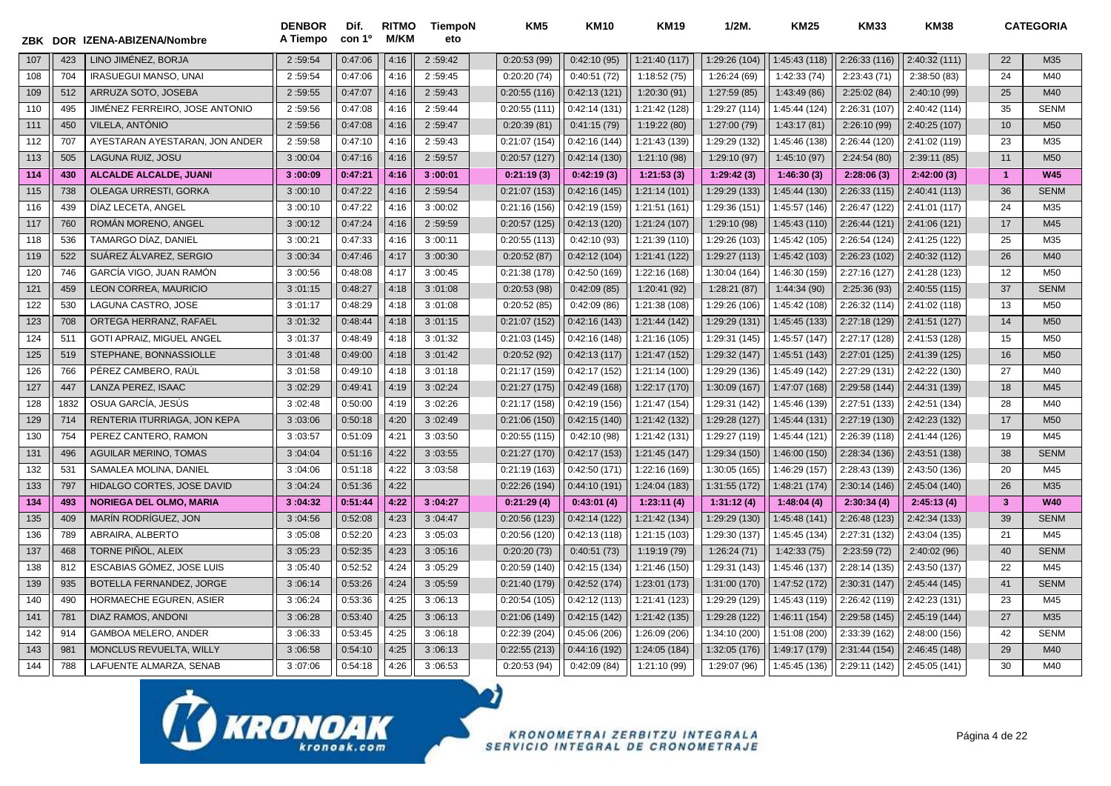|     | ZBK DOR | IZENA-ABIZENA/Nombre           | <b>DENBOR</b><br>A Tiempo | Dif.<br>con 1 <sup>o</sup> | <b>RITMO</b><br><b>M/KM</b> | TiempoN<br>eto | KM <sub>5</sub> | <b>KM10</b>  | <b>KM19</b>   | $1/2M$ .      | <b>KM25</b>   | <b>KM33</b>   | <b>KM38</b>   |                | <b>CATEGORIA</b> |
|-----|---------|--------------------------------|---------------------------|----------------------------|-----------------------------|----------------|-----------------|--------------|---------------|---------------|---------------|---------------|---------------|----------------|------------------|
| 107 | 423     | LINO JIMÉNEZ, BORJA            | 2:59:54                   | 0:47:06                    | 4:16                        | 2:59:42        | 0:20:53(99)     | 0:42:10(95)  | 1:21:40 (117) | 1:29:26 (104) | 1:45:43 (118) | 2:26:33(116)  | 2:40:32(111)  | 22             | M35              |
| 108 | 704     | <b>IRASUEGUI MANSO, UNAI</b>   | 2:59:54                   | 0:47:06                    | 4:16                        | 2:59:45        | 0:20:20(74)     | 0:40:51(72)  | 1:18:52(75)   | 1:26:24 (69)  | 1:42:33(74)   | 2:23:43(71)   | 2:38:50(83)   | 24             | M40              |
| 109 | 512     | ARRUZA SOTO, JOSEBA            | 2:59:55                   | 0:47:07                    | 4:16                        | 2:59:43        | 0:20:55(116)    | 0:42:13(121) | 1:20:30 (91)  | 1:27:59 (85)  | 1:43:49 (86)  | 2:25:02(84)   | 2:40:10 (99)  | 25             | M40              |
| 110 | 495     | JIMÉNEZ FERREIRO, JOSE ANTONIO | 2:59:56                   | 0:47:08                    | 4:16                        | 2:59:44        | 0:20:55(111)    | 0:42:14(131) | 1:21:42 (128) | 1:29:27 (114) | 1:45:44 (124) | 2:26:31 (107) | 2:40:42 (114) | 35             | <b>SENM</b>      |
| 111 | 450     | VILELA, ANTÓNIO                | 2:59:56                   | 0:47:08                    | 4:16                        | 2:59:47        | 0:20:39(81)     | 0:41:15(79)  | 1:19:22(80)   | 1:27:00 (79)  | 1:43:17(81)   | 2:26:10 (99)  | 2:40:25 (107) | 10             | M <sub>50</sub>  |
| 112 | 707     | AYESTARAN AYESTARAN, JON ANDER | 2:59:58                   | 0:47:10                    | 4:16                        | 2:59:43        | 0:21:07(154)    | 0:42:16(144) | 1:21:43 (139) | 1:29:29 (132) | 1:45:46 (138) | 2:26:44 (120) | 2:41:02 (119) | 23             | M35              |
| 113 | 505     | LAGUNA RUIZ, JOSU              | 3:00:04                   | 0:47:16                    | 4:16                        | 2:59:57        | 0:20:57(127)    | 0:42:14(130) | 1:21:10 (98)  | 1:29:10 (97)  | 1:45:10 (97)  | 2:24:54(80)   | 2:39:11(85)   | 11             | M50              |
| 114 | 430     | ALCALDE ALCALDE, JUANI         | 3:00:09                   | 0:47:21                    | 4:16                        | 3:00:01        | 0:21:19(3)      | 0:42:19(3)   | 1:21:53(3)    | 1:29:42(3)    | 1:46:30(3)    | 2:28:06(3)    | 2:42:00(3)    | $\overline{1}$ | <b>W45</b>       |
| 115 | 738     | OLEAGA URRESTI, GORKA          | 3:00:10                   | 0:47:22                    | 4:16                        | 2:59:54        | 0:21:07(153)    | 0:42:16(145) | 1:21:14(101)  | 1:29:29 (133) | 1:45:44 (130) | 2:26:33(115)  | 2:40:41 (113) | 36             | <b>SENM</b>      |
| 116 | 439     | DÍAZ LECETA. ANGEL             | 3:00:10                   | 0:47:22                    | 4:16                        | 3:00:02        | 0:21:16(156)    | 0:42:19(159) | 1:21:51 (161) | 1:29:36 (151) | 1:45:57 (146) | 2:26:47 (122) | 2:41:01 (117) | 24             | M35              |
| 117 | 760     | ROMÁN MORENO, ANGEL            | 3:00:12                   | 0:47:24                    | 4:16                        | 2:59:59        | 0:20:57(125)    | 0:42:13(120) | 1:21:24 (107) | 1:29:10 (98)  | 1:45:43 (110) | 2:26:44 (121) | 2:41:06 (121) | 17             | M45              |
| 118 | 536     | TAMARGO DÍAZ, DANIEL           | 3:00:21                   | 0:47:33                    | 4:16                        | 3:00:11        | 0:20:55(113)    | 0:42:10(93)  | 1:21:39 (110) | 1:29:26 (103) | 1:45:42 (105) | 2:26:54 (124) | 2:41:25 (122) | 25             | M35              |
| 119 | 522     | SUÁREZ ÁLVAREZ, SERGIO         | 3:00:34                   | 0:47:46                    | 4:17                        | 3:00:30        | 0:20:52(87)     | 0:42:12(104) | 1:21:41 (122) | 1:29:27 (113) | 1:45:42 (103) | 2:26:23 (102) | 2:40:32 (112) | 26             | M40              |
| 120 | 746     | GARCÍA VIGO, JUAN RAMÓN        | 3:00:56                   | 0:48:08                    | 4:17                        | 3:00:45        | 0:21:38(178)    | 0:42:50(169) | 1:22:16 (168) | 1:30:04 (164) | 1:46:30 (159) | 2:27:16 (127) | 2:41:28 (123) | 12             | M50              |
| 121 | 459     | LEON CORREA, MAURICIO          | 3:01:15                   | 0:48:27                    | 4:18                        | 3:01:08        | 0:20:53(98)     | 0:42:09(85)  | 1:20:41 (92)  | 1:28:21 (87)  | 1:44:34 (90)  | 2:25:36 (93)  | 2:40:55 (115) | 37             | <b>SENM</b>      |
| 122 | 530     | LAGUNA CASTRO. JOSE            | 3:01:17                   | 0:48:29                    | 4:18                        | 3:01:08        | 0:20:52(85)     | 0:42:09(86)  | 1:21:38 (108) | 1:29:26 (106) | 1:45:42 (108) | 2:26:32 (114) | 2:41:02 (118) | 13             | M <sub>50</sub>  |
| 123 | 708     | ORTEGA HERRANZ, RAFAEL         | 3:01:32                   | 0:48:44                    | 4:18                        | 3:01:15        | 0:21:07(152)    | 0:42:16(143) | 1:21:44 (142) | 1:29:29 (131) | 1:45:45 (133) | 2:27:18 (129) | 2:41:51 (127) | 14             | M <sub>50</sub>  |
| 124 | 511     | GOTI APRAIZ, MIGUEL ANGEL      | 3:01:37                   | 0:48:49                    | 4:18                        | 3:01:32        | 0:21:03(145)    | 0:42:16(148) | 1:21:16 (105) | 1:29:31 (145) | 1:45:57 (147) | 2:27:17 (128) | 2:41:53 (128) | 15             | M50              |
| 125 | 519     | STEPHANE, BONNASSIOLLE         | 3:01:48                   | 0:49:00                    | 4:18                        | 3:01:42        | 0:20:52(92)     | 0:42:13(117) | 1:21:47 (152) | 1:29:32 (147) | 1:45:51 (143) | 2:27:01 (125) | 2:41:39 (125) | 16             | M50              |
| 126 | 766     | PÉREZ CAMBERO, RAÚL            | 3:01:58                   | 0:49:10                    | 4:18                        | 3:01:18        | 0:21:17(159)    | 0:42:17(152) | 1:21:14 (100) | 1:29:29 (136) | 1:45:49 (142) | 2:27:29 (131) | 2:42:22 (130) | 27             | M40              |
| 127 | 447     | LANZA PEREZ, ISAAC             | 3:02:29                   | 0:49:41                    | 4:19                        | 3:02:24        | 0:21:27(175)    | 0:42:49(168) | 1:22:17 (170) | 1:30:09 (167) | 1:47:07 (168) | 2:29:58 (144) | 2:44:31 (139) | 18             | M45              |
| 128 | 1832    | OSUA GARCÍA. JESÚS             | 3:02:48                   | 0:50:00                    | 4:19                        | 3:02:26        | 0:21:17(158)    | 0:42:19(156) | 1:21:47 (154) | 1:29:31 (142) | 1:45:46 (139) | 2:27:51 (133) | 2:42:51 (134) | 28             | M40              |
| 129 | 714     | RENTERIA ITURRIAGA, JON KEPA   | 3:03:06                   | 0:50:18                    | 4:20                        | 3:02:49        | 0:21:06(150)    | 0:42:15(140) | 1:21:42 (132) | 1:29:28 (127) | 1:45:44 (131) | 2:27:19 (130) | 2:42:23 (132) | 17             | M <sub>50</sub>  |
| 130 | 754     | PEREZ CANTERO, RAMON           | 3:03:57                   | 0:51:09                    | 4:21                        | 3:03:50        | 0:20:55(115)    | 0:42:10(98)  | 1:21:42 (131) | 1:29:27 (119) | 1:45:44 (121) | 2:26:39 (118) | 2:41:44 (126) | 19             | M45              |
| 131 | 496     | <b>AGUILAR MERINO, TOMAS</b>   | 3:04:04                   | 0:51:16                    | 4:22                        | 3:03:55        | 0:21:27(170)    | 0:42:17(153) | 1:21:45 (147) | 1:29:34 (150) | 1:46:00 (150) | 2:28:34 (136) | 2:43:51 (138) | 38             | <b>SENM</b>      |
| 132 | 531     | SAMALEA MOLINA, DANIEL         | 3:04:06                   | 0:51:18                    | 4:22                        | 3:03:58        | 0:21:19(163)    | 0:42:50(171) | 1:22:16 (169) | 1:30:05 (165) | 1:46:29 (157) | 2:28:43 (139) | 2:43:50 (136) | 20             | M45              |
| 133 | 797     | HIDALGO CORTES, JOSE DAVID     | 3:04:24                   | 0:51:36                    | 4:22                        |                | 0:22:26(194)    | 0:44:10(191) | 1:24:04 (183) | 1:31:55 (172) | 1:48:21 (174) | 2:30:14 (146) | 2:45:04 (140) | 26             | M35              |
| 134 | 493     | <b>NORIEGA DEL OLMO, MARIA</b> | 3:04:32                   | 0:51:44                    | 4:22                        | 3:04:27        | 0:21:29(4)      | 0:43:01(4)   | 1:23:11(4)    | 1:31:12(4)    | 1:48:04(4)    | 2:30:34(4)    | 2:45:13(4)    | 3              | <b>W40</b>       |
| 135 | 409     | MARÍN RODRÍGUEZ, JON           | 3:04:56                   | 0:52:08                    | 4:23                        | 3:04:47        | 0:20:56(123)    | 0:42:14(122) | 1:21:42 (134) | 1:29:29 (130) | 1:45:48 (141) | 2:26:48 (123) | 2:42:34 (133) | 39             | <b>SENM</b>      |
| 136 | 789     | ABRAIRA, ALBERTO               | 3:05:08                   | 0:52:20                    | 4:23                        | 3:05:03        | 0:20:56 (120)   | 0:42:13(118) | 1:21:15 (103) | 1:29:30 (137) | 1:45:45 (134) | 2:27:31 (132) | 2:43:04 (135) | 21             | M45              |
| 137 | 468     | TORNE PIÑOL, ALEIX             | 3:05:23                   | 0:52:35                    | 4:23                        | 3:05:16        | 0:20:20(73)     | 0:40:51(73)  | 1:19:19 (79)  | 1:26:24(71)   | 1:42:33(75)   | 2:23:59(72)   | 2:40:02 (96)  | 40             | <b>SENM</b>      |
| 138 | 812     | ESCABIAS GÓMEZ, JOSE LUIS      | 3:05:40                   | 0:52:52                    | 4:24                        | 3:05:29        | 0:20:59(140)    | 0:42:15(134) | 1:21:46 (150) | 1:29:31 (143) | 1:45:46 (137) | 2:28:14 (135) | 2:43:50 (137) | 22             | M45              |
| 139 | 935     | BOTELLA FERNANDEZ. JORGE       | 3:06:14                   | 0:53:26                    | 4:24                        | 3:05:59        | 0:21:40(179)    | 0:42:52(174) | 1:23:01 (173) | 1:31:00 (170) | 1:47:52 (172) | 2:30:31 (147) | 2:45:44 (145) | 41             | <b>SENM</b>      |
| 140 | 490     | HORMAECHE EGUREN, ASIER        | 3:06:24                   | 0:53:36                    | 4:25                        | 3:06:13        | 0:20:54(105)    | 0:42:12(113) | 1:21:41 (123) | 1:29:29 (129) | 1:45:43 (119) | 2:26:42 (119) | 2:42:23 (131) | 23             | M45              |
| 141 | 781     | DIAZ RAMOS, ANDONI             | 3:06:28                   | 0:53:40                    | 4:25                        | 3:06:13        | 0:21:06(149)    | 0:42:15(142) | 1:21:42 (135) | 1:29:28 (122) | 1:46:11 (154) | 2:29:58 (145) | 2:45:19 (144) | 27             | M35              |
| 142 | 914     | GAMBOA MELERO, ANDER           | 3:06:33                   | 0:53:45                    | 4:25                        | 3:06:18        | 0:22:39(204)    | 0:45:06(206) | 1:26:09 (206) | 1:34:10 (200) | 1:51:08 (200) | 2:33:39 (162) | 2:48:00 (156) | 42             | <b>SENM</b>      |
| 143 | 981     | MONCLUS REVUELTA, WILLY        | 3:06:58                   | 0:54:10                    | 4:25                        | 3:06:13        | 0:22:55(213)    | 0:44:16(192) | 1:24:05 (184) | 1:32:05 (176) | 1:49:17 (179) | 2:31:44 (154) | 2:46:45 (148) | 29             | M40              |
| 144 | 788     | LAFUENTE ALMARZA, SENAB        | 3:07:06                   | 0:54:18                    | 4:26                        | 3:06:53        | 0:20:53(94)     | 0:42:09(84)  | 1:21:10 (99)  | 1:29:07 (96)  | 1:45:45 (136) | 2:29:11 (142) | 2:45:05 (141) | 30             | M40              |

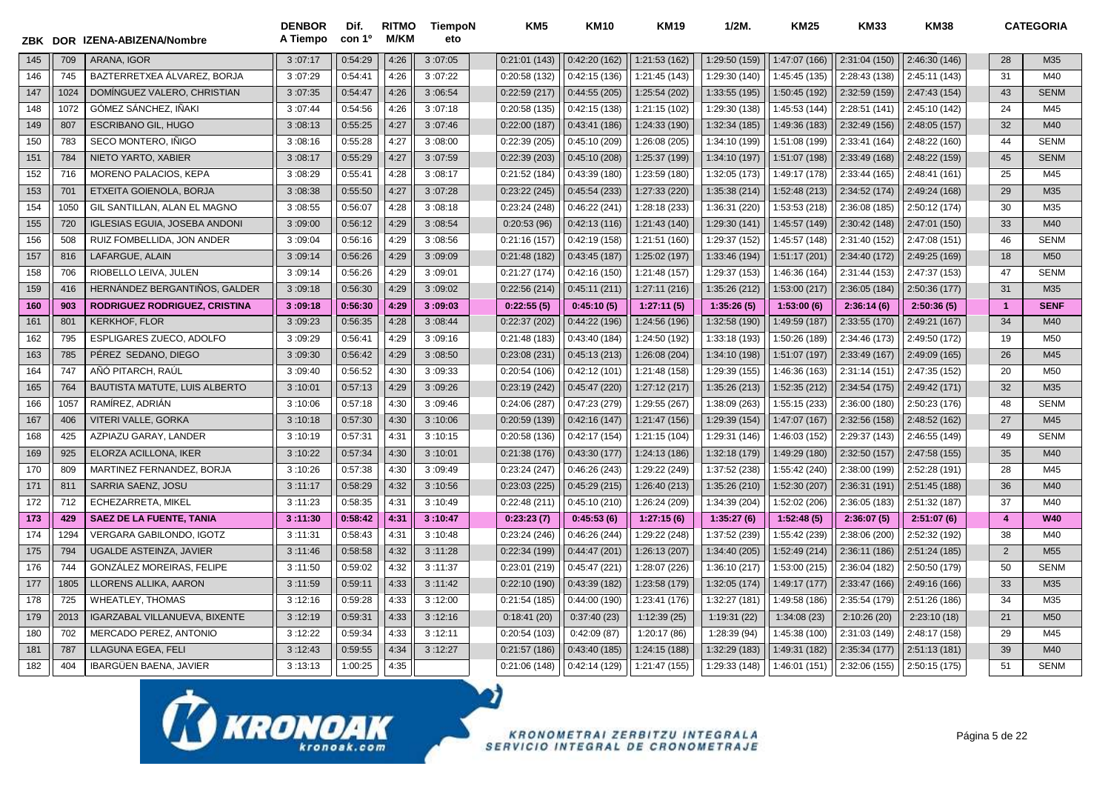| ZBK | <b>DOR</b> | <b>IZENA-ABIZENA/Nombre</b>          | <b>DENBOR</b><br>A Tiempo | Dif.<br>con 1 <sup>o</sup> | <b>RITMO</b><br><b>M/KM</b> | <b>TiempoN</b><br>eto | KM <sub>5</sub> | <b>KM10</b>   | <b>KM19</b>   | 1/2M          | <b>KM25</b>   | <b>KM33</b>   | <b>KM38</b>   |                | <b>CATEGORIA</b> |
|-----|------------|--------------------------------------|---------------------------|----------------------------|-----------------------------|-----------------------|-----------------|---------------|---------------|---------------|---------------|---------------|---------------|----------------|------------------|
| 145 | 709        | ARANA. IGOR                          | 3:07:17                   | 0:54:29                    | 4:26                        | 3:07:05               | 0:21:01(143)    | 0:42:20(162)  | 1:21:53 (162) | 1:29:50 (159) | 1:47:07 (166) | 2:31:04 (150) | 2:46:30 (146) | 28             | M35              |
| 146 | 745        | BAZTERRETXEA ÁLVAREZ, BORJA          | 3:07:29                   | 0:54:41                    | 4:26                        | 3:07:22               | 0:20:58(132)    | 0:42:15(136)  | 1:21:45 (143) | 1:29:30 (140) | 1:45:45 (135) | 2:28:43 (138) | 2:45:11 (143) | 31             | M40              |
| 147 | 1024       | DOMÍNGUEZ VALERO, CHRISTIAN          | 3:07:35                   | 0:54:47                    | 4:26                        | 3:06:54               | 0:22:59(217)    | 0:44:55(205)  | 1:25:54 (202) | 1:33:55(195)  | 1:50:45 (192) | 2:32:59 (159) | 2:47:43 (154) | 43             | <b>SENM</b>      |
| 148 | 1072       | GÓMEZ SÁNCHEZ, IÑAKI                 | 3:07:44                   | 0:54:56                    | 4:26                        | 3:07:18               | 0:20:58(135)    | 0:42:15(138)  | 1:21:15 (102) | 1:29:30 (138) | 1:45:53 (144) | 2:28:51 (141) | 2:45:10 (142) | 24             | M45              |
| 149 | 807        | <b>ESCRIBANO GIL, HUGO</b>           | 3:08:13                   | 0:55:25                    | 4:27                        | 3:07:46               | 0:22:00(187)    | 0:43:41(186)  | 1:24:33 (190) | 1:32:34 (185) | 1:49:36 (183) | 2:32:49 (156) | 2:48:05 (157) | 32             | M40              |
| 150 | 783        | SECO MONTERO, IÑIGO                  | 3:08:16                   | 0:55:28                    | 4:27                        | 3:08:00               | 0:22:39(205)    | 0:45:10(209)  | 1:26:08 (205) | 1:34:10 (199) | 1:51:08 (199) | 2:33:41 (164) | 2:48:22 (160) | 44             | <b>SENM</b>      |
| 151 | 784        | NIETO YARTO, XABIER                  | 3:08:17                   | 0:55:29                    | 4:27                        | 3:07:59               | 0:22:39(203)    | 0:45:10(208)  | 1:25:37 (199) | 1:34:10 (197) | 1:51:07 (198) | 2:33:49 (168) | 2:48:22 (159) | 45             | <b>SENM</b>      |
| 152 | 716        | MORENO PALACIOS, KEPA                | 3:08:29                   | 0:55:41                    | 4:28                        | 3:08:17               | 0:21:52(184)    | 0:43:39(180)  | 1:23:59 (180) | 1:32:05 (173) | 1:49:17 (178) | 2:33:44 (165) | 2:48:41 (161) | 25             | M45              |
| 153 | 701        | ETXEITA GOIENOLA, BORJA              | 3:08:38                   | 0:55:50                    | 4:27                        | 3:07:28               | 0:23:22(245)    | 0:45:54(233)  | 1:27:33 (220) | 1:35:38 (214) | 1:52:48 (213) | 2:34:52 (174) | 2:49:24 (168) | 29             | M35              |
| 154 | 1050       | GIL SANTILLAN, ALAN EL MAGNO         | 3:08:55                   | 0:56:07                    | 4:28                        | 3:08:18               | 0:23:24(248)    | 0:46:22(241)  | 1:28:18 (233) | 1:36:31 (220) | 1:53:53 (218) | 2:36:08 (185) | 2:50:12 (174) | 30             | M35              |
| 155 | 720        | <b>IGLESIAS EGUIA, JOSEBA ANDONI</b> | 3:09:00                   | 0:56:12                    | 4:29                        | 3:08:54               | 0:20:53(96)     | 0:42:13(116)  | 1:21:43 (140) | 1:29:30 (141) | 1:45:57 (149) | 2:30:42 (148) | 2:47:01 (150) | 33             | M40              |
| 156 | 508        | RUIZ FOMBELLIDA, JON ANDER           | 3:09:04                   | 0:56:16                    | 4:29                        | 3:08:56               | 0:21:16(157)    | 0:42:19(158)  | 1:21:51 (160) | 1:29:37 (152) | 1:45:57 (148) | 2:31:40 (152) | 2:47:08 (151) | 46             | <b>SENM</b>      |
| 157 | 816        | LAFARGUE, ALAIN                      | 3:09:14                   | 0:56:26                    | 4:29                        | 3:09:09               | 0:21:48(182)    | 0:43:45(187)  | 1:25:02 (197) | 1:33:46 (194) | 1:51:17 (201) | 2:34:40 (172) | 2:49:25 (169) | 18             | M <sub>50</sub>  |
| 158 | 706        | RIOBELLO LEIVA. JULEN                | 3:09:14                   | 0:56:26                    | 4:29                        | 3:09:01               | 0:21:27(174)    | 0:42:16(150)  | 1:21:48 (157) | 1:29:37 (153) | 1:46:36 (164) | 2:31:44 (153) | 2:47:37 (153) | 47             | <b>SENM</b>      |
| 159 | 416        | HERNÁNDEZ BERGANTIÑOS, GALDER        | 3:09:18                   | 0:56:30                    | 4:29                        | 3:09:02               | 0:22:56(214)    | 0:45:11(211)  | 1:27:11 (216) | 1:35:26 (212) | 1:53:00 (217) | 2:36:05 (184) | 2:50:36 (177) | 31             | M35              |
| 160 | 903        | RODRIGUEZ RODRIGUEZ, CRISTINA        | 3:09:18                   | 0:56:30                    | 4:29                        | 3:09:03               | 0:22:55(5)      | 0:45:10(5)    | 1:27:11(5)    | 1:35:26(5)    | 1:53:00(6)    | 2:36:14(6)    | 2:50:36(5)    | $\overline{1}$ | <b>SENF</b>      |
| 161 | 801        | <b>KERKHOF, FLOR</b>                 | 3:09:23                   | 0:56:35                    | 4:28                        | 3:08:44               | 0:22:37(202)    | 0:44:22 (196) | 1:24:56 (196) | 1:32:58 (190) | 1:49:59 (187) | 2:33:55 (170) | 2:49:21 (167) | 34             | M40              |
| 162 | 795        | ESPLIGARES ZUECO, ADOLFO             | 3:09:29                   | 0:56:41                    | 4:29                        | 3:09:16               | 0:21:48(183)    | 0:43:40 (184) | 1:24:50 (192) | 1:33:18 (193) | 1:50:26 (189) | 2:34:46 (173) | 2:49:50 (172) | 19             | M <sub>50</sub>  |
| 163 | 785        | PÉREZ SEDANO, DIEGO                  | 3:09:30                   | 0:56:42                    | 4:29                        | 3:08:50               | 0:23:08(231)    | 0:45:13(213)  | 1:26:08 (204) | 1:34:10 (198) | 1:51:07 (197) | 2:33:49 (167) | 2:49:09 (165) | 26             | M45              |
| 164 | 747        | AÑÓ PITARCH, RAÚL                    | 3:09:40                   | 0:56:52                    | 4:30                        | 3:09:33               | 0:20:54(106)    | 0:42:12(101)  | 1:21:48 (158) | 1:29:39 (155) | 1:46:36 (163) | 2:31:14(151)  | 2:47:35 (152) | 20             | M50              |
| 165 | 764        | <b>BAUTISTA MATUTE, LUIS ALBERTO</b> | 3:10:01                   | 0:57:13                    | 4:29                        | 3:09:26               | 0:23:19(242)    | 0:45:47(220)  | 1:27:12 (217) | 1:35:26 (213) | 1:52:35 (212) | 2:34:54 (175) | 2:49:42 (171) | 32             | M35              |
| 166 | 1057       | RAMÍREZ, ADRIÁN                      | 3:10:06                   | 0:57:18                    | 4:30                        | 3:09:46               | 0:24:06(287)    | 0:47:23(279)  | 1:29:55 (267) | 1:38:09 (263) | 1:55:15 (233) | 2:36:00 (180) | 2:50:23 (176) | 48             | <b>SENM</b>      |
| 167 | 406        | <b>VITERI VALLE, GORKA</b>           | 3:10:18                   | 0:57:30                    | 4:30                        | 3:10:06               | 0:20:59(139)    | 0:42:16(147)  | 1:21:47 (156) | 1:29:39 (154) | 1:47:07 (167) | 2:32:56 (158) | 2:48:52 (162) | 27             | M45              |
| 168 | 425        | AZPIAZU GARAY, LANDER                | 3:10:19                   | 0:57:31                    | 4:31                        | 3:10:15               | 0:20:58(136)    | 0:42:17(154)  | 1:21:15 (104) | 1:29:31 (146) | 1:46:03 (152) | 2:29:37 (143) | 2:46:55 (149) | 49             | <b>SENM</b>      |
| 169 | 925        | ELORZA ACILLONA, IKER                | 3:10:22                   | 0:57:34                    | 4:30                        | 3:10:01               | 0:21:38(176)    | 0:43:30(177)  | 1:24:13 (186) | 1:32:18 (179) | 1:49:29 (180) | 2:32:50 (157) | 2:47:58 (155) | 35             | M40              |
| 170 | 809        | MARTINEZ FERNANDEZ, BORJA            | 3:10:26                   | 0:57:38                    | 4:30                        | 3:09:49               | 0:23:24(247)    | 0:46:26(243)  | 1:29:22 (249) | 1:37:52 (238) | 1:55:42 (240) | 2:38:00 (199) | 2:52:28 (191) | 28             | M45              |
| 171 | 811        | <b>SARRIA SAENZ, JOSU</b>            | 3:11:17                   | 0:58:29                    | 4:32                        | 3:10:56               | 0:23:03(225)    | 0:45:29(215)  | 1:26:40 (213) | 1:35:26 (210) | 1:52:30 (207) | 2:36:31 (191) | 2:51:45 (188) | 36             | M40              |
| 172 | 712        | ECHEZARRETA, MIKEL                   | 3:11:23                   | 0:58:35                    | 4:31                        | 3:10:49               | 0:22:48(211)    | 0:45:10(210)  | 1:26:24 (209) | 1:34:39 (204) | 1:52:02 (206) | 2:36:05 (183) | 2:51:32 (187) | 37             | M40              |
| 173 | 429        | <b>SAEZ DE LA FUENTE, TANIA</b>      | 3:11:30                   | 0:58:42                    | 4:31                        | 3:10:47               | 0:23:23(7)      | 0:45:53(6)    | 1:27:15(6)    | 1:35:27(6)    | 1:52:48(5)    | 2:36:07(5)    | 2:51:07(6)    | $\overline{4}$ | <b>W40</b>       |
| 174 | 1294       | <b>VERGARA GABILONDO. IGOTZ</b>      | 3:11:31                   | 0:58:43                    | 4:31                        | 3:10:48               | 0:23:24(246)    | 0:46:26 (244) | 1:29:22 (248) | 1:37:52 (239) | 1:55:42 (239) | 2:38:06 (200) | 2:52:32 (192) | 38             | M40              |
| 175 | 794        | UGALDE ASTEINZA, JAVIER              | 3:11:46                   | 0:58:58                    | 4:32                        | 3:11:28               | 0:22:34(199)    | 0:44:47(201)  | 1:26:13 (207) | 1:34:40 (205) | 1:52:49 (214) | 2:36:11 (186) | 2:51:24 (185) | $\overline{2}$ | M <sub>55</sub>  |
| 176 | 744        | <b>GONZALEZ MOREIRAS, FELIPE</b>     | 3:11:50                   | 0:59:02                    | 4:32                        | 3:11:37               | 0:23:01(219)    | 0:45:47(221)  | 1:28:07 (226) | 1:36:10 (217) | 1:53:00 (215) | 2:36:04 (182) | 2:50:50 (179) | 50             | <b>SENM</b>      |
| 177 | 1805       | LLORENS ALLIKA, AARON                | 3:11:59                   | 0:59:11                    | 4:33                        | 3:11:42               | 0:22:10(190)    | 0:43:39(182)  | 1:23:58 (179) | 1:32:05 (174) | 1:49:17 (177) | 2:33:47 (166) | 2:49:16 (166) | 33             | M35              |
| 178 | 725        | <b>WHEATLEY, THOMAS</b>              | 3:12:16                   | 0:59:28                    | 4:33                        | 3:12:00               | 0:21:54(185)    | 0:44:00(190)  | 1:23:41 (176) | 1:32:27 (181) | 1:49:58 (186) | 2:35:54 (179) | 2:51:26 (186) | 34             | M35              |
| 179 | 2013       | <b>IGARZABAL VILLANUEVA, BIXENTE</b> | 3:12:19                   | 0:59:31                    | 4:33                        | 3:12:16               | 0:18:41(20)     | 0:37:40(23)   | 1:12:39(25)   | 1:19:31 (22)  | 1:34:08 (23)  | 2:10:26(20)   | 2:23:10(18)   | 21             | M <sub>50</sub>  |
| 180 | 702        | MERCADO PEREZ, ANTONIO               | 3:12:22                   | 0:59:34                    | 4:33                        | 3:12:11               | 0:20:54(103)    | 0:42:09(87)   | 1:20:17 (86)  | 1:28:39 (94)  | 1:45:38 (100) | 2:31:03 (149) | 2:48:17 (158) | 29             | M45              |
| 181 | 787        | LLAGUNA EGEA, FELI                   | 3:12:43                   | 0:59:55                    | 4:34                        | 3:12:27               | 0:21:57(186)    | 0:43:40(185)  | 1:24:15 (188) | 1:32:29 (183) | 1:49:31 (182) | 2:35:34 (177) | 2:51:13(181)  | 39             | M40              |
| 182 | 404        | <b>IBARGÜEN BAENA, JAVIER</b>        | 3:13:13                   | 1:00:25                    | 4:35                        |                       | 0:21:06(148)    | 0:42:14(129)  | 1:21:47 (155) | 1:29:33 (148) | 1:46:01 (151) | 2:32:06 (155) | 2:50:15 (175) | 51             | <b>SENM</b>      |

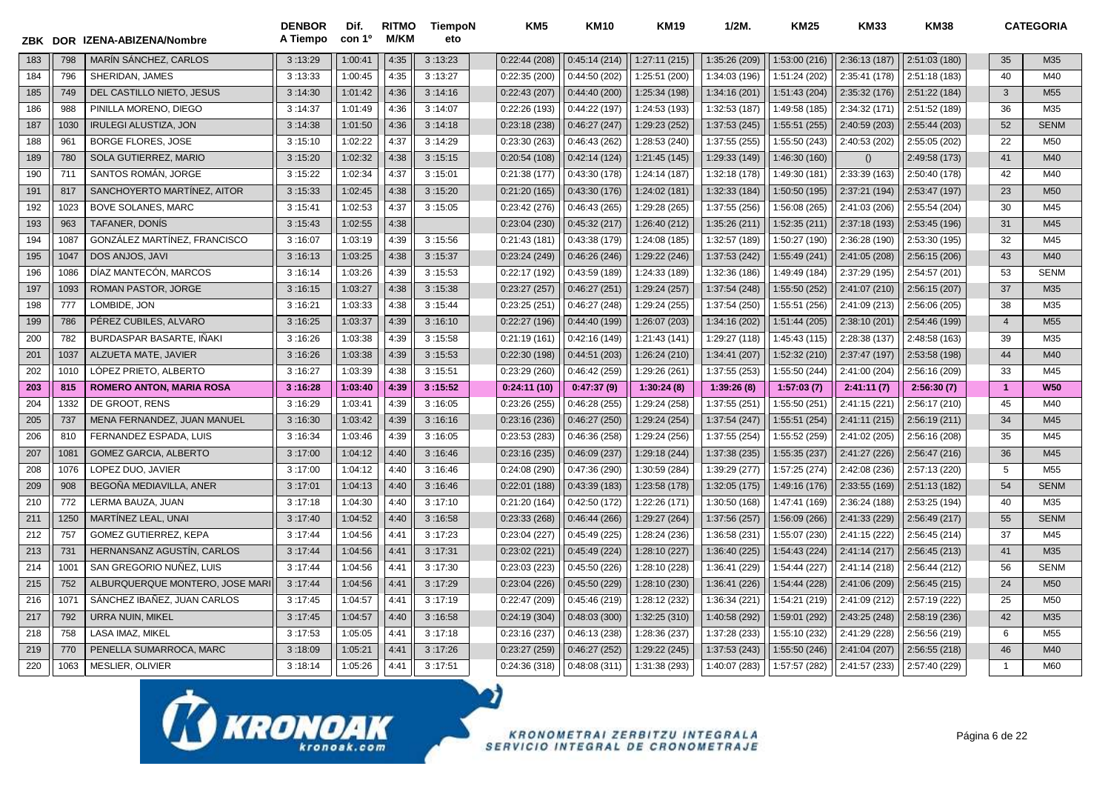|     |      | ZBK DOR IZENA-ABIZENA/Nombre    | <b>DENBOR</b><br>A Tiempo | Dif.<br>con 1 <sup>o</sup> | <b>RITMO</b><br><b>M/KM</b> | TiempoN<br>eto | KM <sub>5</sub> | <b>KM10</b>   | <b>KM19</b>   | $1/2M$ .      | <b>KM25</b>   | <b>KM33</b>   | <b>KM38</b>   |                | <b>CATEGORIA</b> |
|-----|------|---------------------------------|---------------------------|----------------------------|-----------------------------|----------------|-----------------|---------------|---------------|---------------|---------------|---------------|---------------|----------------|------------------|
| 183 | 798  | MARÍN SÁNCHEZ, CARLOS           | 3:13:29                   | 1:00:41                    | 4:35                        | 3:13:23        | 0:22:44(208)    | 0:45:14(214)  | 1:27:11(215)  | 1:35:26 (209) | 1:53:00 (216) | 2:36:13 (187) | 2:51:03 (180) | 35             | M35              |
| 184 | 796  | SHERIDAN, JAMES                 | 3:13:33                   | 1:00:45                    | 4:35                        | 3:13:27        | 0:22:35(200)    | 0:44:50(202)  | 1:25:51 (200) | 1:34:03 (196) | 1:51:24 (202) | 2:35:41 (178) | 2:51:18 (183) | 40             | M40              |
| 185 | 749  | DEL CASTILLO NIETO, JESUS       | 3:14:30                   | 1:01:42                    | 4:36                        | 3:14:16        | 0:22:43(207)    | 0:44:40(200)  | 1:25:34 (198) | 1:34:16 (201) | 1:51:43 (204) | 2:35:32 (176) | 2:51:22 (184) | 3              | M <sub>55</sub>  |
| 186 | 988  | PINILLA MORENO. DIEGO           | 3:14:37                   | 1:01:49                    | 4:36                        | 3:14:07        | 0:22:26(193)    | 0:44:22(197)  | 1:24:53 (193) | 1:32:53 (187) | 1:49:58 (185) | 2:34:32 (171) | 2:51:52 (189) | 36             | M35              |
| 187 | 1030 | <b>IRULEGI ALUSTIZA, JON</b>    | 3:14:38                   | 1:01:50                    | 4:36                        | 3:14:18        | 0:23:18(238)    | 0:46:27(247)  | 1:29:23 (252) | 1:37:53 (245) | 1:55:51(255)  | 2:40:59 (203) | 2:55:44 (203) | 52             | <b>SENM</b>      |
| 188 | 961  | <b>BORGE FLORES, JOSE</b>       | 3:15:10                   | 1:02:22                    | 4:37                        | 3:14:29        | 0:23:30(263)    | 0:46:43(262)  | 1:28:53 (240) | 1:37:55 (255) | 1:55:50 (243) | 2:40:53 (202) | 2:55:05 (202) | 22             | M50              |
| 189 | 780  | SOLA GUTIERREZ, MARIO           | 3:15:20                   | 1:02:32                    | 4:38                        | 3:15:15        | 0:20:54(108)    | 0:42:14(124)  | 1:21:45 (145) | 1:29:33 (149) | 1:46:30 (160) | $\Omega$      | 2:49:58 (173) | 41             | M40              |
| 190 | 711  | SANTOS ROMÁN, JORGE             | 3:15:22                   | 1:02:34                    | 4:37                        | 3:15:01        | 0:21:38(177)    | 0:43:30(178)  | 1:24:14 (187) | 1:32:18 (178) | 1:49:30 (181) | 2:33:39 (163) | 2:50:40 (178) | 42             | M40              |
| 191 | 817  | SANCHOYERTO MARTÍNEZ, AITOR     | 3:15:33                   | 1:02:45                    | 4:38                        | 3:15:20        | 0:21:20(165)    | 0:43:30(176)  | 1:24:02 (181) | 1:32:33 (184) | 1:50:50 (195) | 2:37:21 (194) | 2:53:47 (197) | 23             | M <sub>50</sub>  |
| 192 | 1023 | <b>BOVE SOLANES, MARC</b>       | 3:15:41                   | 1:02:53                    | 4:37                        | 3:15:05        | 0:23:42(276)    | 0:46:43(265)  | 1:29:28 (265) | 1:37:55 (256) | 1:56:08 (265) | 2:41:03 (206) | 2:55:54 (204) | 30             | M45              |
| 193 | 963  | TAFANER, DONÍS                  | 3:15:43                   | 1:02:55                    | 4:38                        |                | 0:23:04(230)    | 0:45:32(217)  | 1:26:40 (212) | 1:35:26 (211) | 1:52:35(211)  | 2:37:18 (193) | 2:53:45 (196) | 31             | M45              |
| 194 | 1087 | GONZALEZ MARTINEZ. FRANCISCO    | 3:16:07                   | 1:03:19                    | 4:39                        | 3:15:56        | 0:21:43(181)    | 0:43:38(179)  | 1:24:08 (185) | 1:32:57 (189) | 1:50:27 (190) | 2:36:28 (190) | 2:53:30 (195) | 32             | M45              |
| 195 | 1047 | DOS ANJOS, JAVI                 | 3:16:13                   | 1:03:25                    | 4:38                        | 3:15:37        | 0:23:24(249)    | 0:46:26(246)  | 1:29:22 (246) | 1:37:53 (242) | 1:55:49 (241) | 2:41:05 (208) | 2:56:15 (206) | 43             | M40              |
| 196 | 1086 | DÍAZ MANTECÓN, MARCOS           | 3:16:14                   | 1:03:26                    | 4:39                        | 3:15:53        | 0:22:17 (192)   | 0:43:59(189)  | 1:24:33 (189) | 1:32:36 (186) | 1:49:49 (184) | 2:37:29 (195) | 2:54:57 (201) | 53             | <b>SENM</b>      |
| 197 | 1093 | <b>ROMAN PASTOR, JORGE</b>      | 3:16:15                   | 1:03:27                    | 4:38                        | 3:15:38        | 0:23:27(257)    | 0:46:27(251)  | 1:29:24 (257) | 1:37:54 (248) | 1:55:50 (252) | 2:41:07 (210) | 2:56:15 (207) | 37             | M35              |
| 198 | 777  | LOMBIDE, JON                    | 3:16:21                   | 1:03:33                    | 4:38                        | 3:15:44        | 0:23:25(251)    | 0:46:27(248)  | 1:29:24 (255) | 1:37:54 (250) | 1:55:51 (256) | 2:41:09 (213) | 2:56:06 (205) | 38             | M35              |
| 199 | 786  | PÉREZ CUBILES. ALVARO           | 3:16:25                   | 1:03:37                    | 4:39                        | 3:16:10        | 0:22:27(196)    | 0:44:40(199)  | 1:26:07 (203) | 1:34:16 (202) | 1:51:44(205)  | 2:38:10 (201) | 2:54:46 (199) | $\overline{4}$ | M <sub>55</sub>  |
| 200 | 782  | BURDASPAR BASARTE, IÑAKI        | 3:16:26                   | 1:03:38                    | 4:39                        | 3:15:58        | 0:21:19(161)    | 0:42:16(149)  | 1:21:43 (141) | 1:29:27 (118) | 1:45:43 (115) | 2:28:38 (137) | 2:48:58 (163) | 39             | M35              |
| 201 | 1037 | ALZUETA MATE, JAVIER            | 3:16:26                   | 1:03:38                    | 4:39                        | 3:15:53        | 0:22:30(198)    | 0:44:51(203)  | 1:26:24 (210) | 1:34:41 (207) | 1:52:32 (210) | 2:37:47 (197) | 2:53:58 (198) | 44             | M40              |
| 202 | 1010 | LÓPEZ PRIETO. ALBERTO           | 3:16:27                   | 1:03:39                    | 4:38                        | 3:15:51        | 0:23:29(260)    | 0:46:42(259)  | 1:29:26 (261) | 1:37:55 (253) | 1:55:50 (244) | 2:41:00 (204) | 2:56:16 (209) | 33             | M45              |
| 203 | 815  | <b>ROMERO ANTON, MARIA ROSA</b> | 3:16:28                   | 1:03:40                    | 4:39                        | 3:15:52        | 0:24:11(10)     | 0:47:37(9)    | 1:30:24(8)    | 1:39:26(8)    | 1:57:03(7)    | 2:41:11(7)    | 2:56:30(7)    | $\overline{1}$ | <b>W50</b>       |
| 204 | 1332 | DE GROOT. RENS                  | 3:16:29                   | 1:03:41                    | 4:39                        | 3:16:05        | 0:23:26(255)    | 0:46:28(255)  | 1:29:24 (258) | 1:37:55 (251) | 1:55:50 (251) | 2:41:15 (221) | 2:56:17 (210) | 45             | M40              |
| 205 | 737  | MENA FERNANDEZ, JUAN MANUEL     | 3:16:30                   | 1:03:42                    | 4:39                        | 3:16:16        | 0:23:16(236)    | 0:46:27(250)  | 1:29:24 (254) | 1:37:54 (247) | 1:55:51 (254) | 2:41:11 (215) | 2:56:19 (211) | 34             | M45              |
| 206 | 810  | FERNANDEZ ESPADA, LUIS          | 3:16:34                   | 1:03:46                    | 4:39                        | 3:16:05        | 0:23:53(283)    | 0:46:36(258)  | 1:29:24 (256) | 1:37:55 (254) | 1:55:52 (259) | 2:41:02 (205) | 2:56:16 (208) | 35             | M45              |
| 207 | 1081 | <b>GOMEZ GARCIA, ALBERTO</b>    | 3:17:00                   | 1:04:12                    | 4:40                        | 3:16:46        | 0:23:16(235)    | 0:46:09(237)  | 1:29:18 (244) | 1:37:38 (235) | 1:55:35 (237) | 2:41:27 (226) | 2:56:47 (216) | 36             | M45              |
| 208 | 1076 | LOPEZ DUO, JAVIER               | 3:17:00                   | 1:04:12                    | 4:40                        | 3:16:46        | 0:24:08(290)    | 0:47:36 (290) | 1:30:59 (284) | 1:39:29 (277) | 1:57:25 (274) | 2:42:08 (236) | 2:57:13 (220) | 5              | M <sub>55</sub>  |
| 209 | 908  | BEGOÑA MEDIAVILLA, ANER         | 3:17:01                   | 1:04:13                    | 4:40                        | 3:16:46        | 0:22:01(188)    | 0:43:39(183)  | 1:23:58 (178) | 1:32:05 (175) | 1:49:16 (176) | 2:33:55 (169) | 2:51:13 (182) | 54             | <b>SENM</b>      |
| 210 | 772  | LERMA BAUZA, JUAN               | 3:17:18                   | 1:04:30                    | 4:40                        | 3:17:10        | 0:21:20(164)    | 0:42:50(172)  | 1:22:26 (171) | 1:30:50 (168) | 1:47:41 (169) | 2:36:24 (188) | 2:53:25 (194) | 40             | M35              |
| 211 | 1250 | MARTÍNEZ LEAL, UNAI             | 3:17:40                   | 1:04:52                    | 4:40                        | 3:16:58        | 0:23:33(268)    | 0:46:44(266)  | 1:29:27 (264) | 1:37:56 (257) | 1:56:09 (266) | 2:41:33 (229) | 2:56:49 (217) | 55             | <b>SENM</b>      |
| 212 | 757  | <b>GOMEZ GUTIERREZ, KEPA</b>    | 3:17:44                   | 1:04:56                    | 4:41                        | 3:17:23        | 0:23:04(227)    | 0:45:49(225)  | 1:28:24 (236) | 1:36:58 (231) | 1:55:07 (230) | 2:41:15 (222) | 2:56:45 (214) | 37             | M45              |
| 213 | 731  | HERNANSANZ AGUSTIN, CARLOS      | 3:17:44                   | 1:04:56                    | 4:41                        | 3:17:31        | 0:23:02(221)    | 0:45:49(224)  | 1:28:10 (227) | 1:36:40 (225) | 1:54:43 (224) | 2:41:14 (217) | 2:56:45 (213) | 41             | M35              |
| 214 | 1001 | SAN GREGORIO NUÑEZ, LUIS        | 3:17:44                   | 1:04:56                    | 4:41                        | 3:17:30        | 0:23:03(223)    | 0:45:50(226)  | 1:28:10 (228) | 1:36:41 (229) | 1:54:44 (227) | 2:41:14 (218) | 2:56:44 (212) | 56             | <b>SENM</b>      |
| 215 | 752  | ALBURQUERQUE MONTERO, JOSE MARI | 3:17:44                   | 1:04:56                    | 4:41                        | 3:17:29        | 0:23:04(226)    | 0:45:50(229)  | 1:28:10 (230) | 1:36:41 (226) | 1:54:44 (228) | 2:41:06 (209) | 2:56:45(215)  | 24             | M <sub>50</sub>  |
| 216 | 1071 | SÁNCHEZ IBAÑEZ, JUAN CARLOS     | 3:17:45                   | 1:04:57                    | 4:41                        | 3:17:19        | 0:22:47(209)    | 0:45:46(219)  | 1:28:12 (232) | 1:36:34 (221) | 1:54:21 (219) | 2:41:09 (212) | 2:57:19 (222) | 25             | M50              |
| 217 | 792  | <b>URRA NUIN, MIKEL</b>         | 3:17:45                   | 1:04:57                    | 4:40                        | 3:16:58        | 0:24:19(304)    | 0:48:03(300)  | 1:32:25 (310) | 1:40:58 (292) | 1:59:01 (292) | 2:43:25 (248) | 2:58:19 (236) | 42             | M35              |
| 218 | 758  | <b>LASA IMAZ. MIKEL</b>         | 3:17:53                   | 1:05:05                    | 4:41                        | 3:17:18        | 0:23:16(237)    | 0:46:13(238)  | 1:28:36 (237) | 1:37:28 (233) | 1:55:10 (232) | 2:41:29 (228) | 2:56:56 (219) | 6              | M <sub>55</sub>  |
| 219 | 770  | PENELLA SUMARROCA, MARC         | 3:18:09                   | 1:05:21                    | 4:41                        | 3:17:26        | 0:23:27(259)    | 0:46:27(252)  | 1:29:22 (245) | 1:37:53 (243) | 1:55:50(246)  | 2:41:04 (207) | 2:56:55 (218) | 46             | M40              |
| 220 | 1063 | MESLIER, OLIVIER                | 3:18:14                   | 1:05:26                    | 4:41                        | 3:17:51        | 0:24:36(318)    | 0:48:08(311)  | 1:31:38 (293) | 1:40:07 (283) | 1:57:57 (282) | 2:41:57 (233) | 2:57:40 (229) | $\overline{1}$ | M60              |

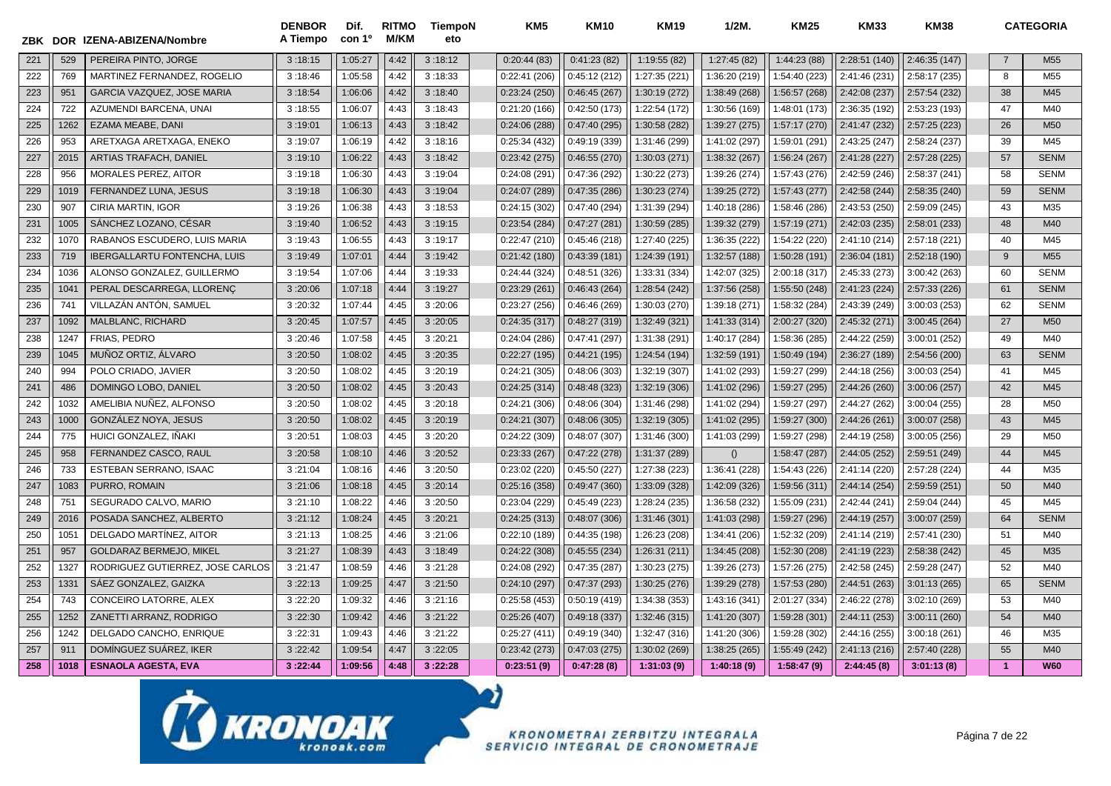| ZBK |      | DOR IZENA-ABIZENA/Nombre            | <b>DENBOR</b><br>A Tiempo | Dif.<br>con 1 <sup>o</sup> | <b>RITMO</b><br><b>M/KM</b> | <b>TiempoN</b><br>eto | KM <sub>5</sub> | <b>KM10</b>   | <b>KM19</b>   | $1/2M$ .      | <b>KM25</b>   | <b>KM33</b>   | <b>KM38</b>   |                | <b>CATEGORIA</b> |
|-----|------|-------------------------------------|---------------------------|----------------------------|-----------------------------|-----------------------|-----------------|---------------|---------------|---------------|---------------|---------------|---------------|----------------|------------------|
| 221 | 529  | PEREIRA PINTO, JORGE                | 3:18:15                   | 1:05:27                    | 4:42                        | 3:18:12               | 0:20:44(83)     | 0:41:23(82)   | 1:19:55(82)   | 1:27:45 (82)  | 1:44:23 (88)  | 2:28:51 (140) | 2:46:35(147)  | $\overline{7}$ | M <sub>55</sub>  |
| 222 | 769  | MARTINEZ FERNANDEZ, ROGELIO         | 3:18:46                   | 1:05:58                    | 4:42                        | 3:18:33               | 0:22:41(206)    | 0:45:12(212)  | 1:27:35 (221) | 1:36:20 (219) | 1:54:40 (223) | 2:41:46 (231) | 2:58:17 (235) | 8              | M <sub>55</sub>  |
| 223 | 951  | GARCIA VAZQUEZ, JOSE MARIA          | 3:18:54                   | 1:06:06                    | 4:42                        | 3:18:40               | 0:23:24(250)    | 0:46:45(267)  | 1:30:19 (272) | 1:38:49 (268) | 1:56:57 (268) | 2:42:08 (237) | 2:57:54 (232) | 38             | M45              |
| 224 | 722  | AZUMENDI BARCENA, UNAI              | 3:18:55                   | 1:06:07                    | 4:43                        | 3:18:43               | 0:21:20(166)    | 0:42:50(173)  | 1:22:54 (172) | 1:30:56 (169) | 1:48:01 (173) | 2:36:35 (192) | 2:53:23 (193) | 47             | M40              |
| 225 | 1262 | EZAMA MEABE, DANI                   | 3:19:01                   | 1:06:13                    | 4:43                        | 3:18:42               | 0:24:06(288)    | 0:47:40(295)  | 1:30:58 (282) | 1:39:27 (275) | 1:57:17 (270) | 2:41:47 (232) | 2:57:25 (223) | 26             | M <sub>50</sub>  |
| 226 | 953  | ARETXAGA ARETXAGA, ENEKO            | 3:19:07                   | 1:06:19                    | 4:42                        | 3:18:16               | 0:25:34(432)    | 0:49:19(339)  | 1:31:46 (299) | 1:41:02 (297) | 1:59:01 (291) | 2:43:25 (247) | 2:58:24 (237) | 39             | M45              |
| 227 | 2015 | <b>ARTIAS TRAFACH, DANIEL</b>       | 3:19:10                   | 1:06:22                    | 4:43                        | 3:18:42               | 0:23:42(275)    | 0:46:55(270)  | 1:30:03 (271) | 1:38:32 (267) | 1:56:24 (267) | 2:41:28 (227) | 2:57:28 (225) | 57             | <b>SENM</b>      |
| 228 | 956  | <b>MORALES PEREZ, AITOR</b>         | 3:19:18                   | 1:06:30                    | 4:43                        | 3:19:04               | 0:24:08(291)    | 0:47:36 (292) | 1:30:22 (273) | 1:39:26 (274) | 1:57:43 (276) | 2:42:59 (246) | 2:58:37 (241) | 58             | <b>SENM</b>      |
| 229 | 1019 | FERNANDEZ LUNA, JESUS               | 3:19:18                   | 1:06:30                    | 4:43                        | 3:19:04               | 0:24:07(289)    | 0:47:35(286)  | 1:30:23 (274) | 1:39:25 (272) | 1:57:43 (277) | 2:42:58 (244) | 2:58:35(240)  | 59             | <b>SENM</b>      |
| 230 | 907  | CIRIA MARTIN, IGOR                  | 3:19:26                   | 1:06:38                    | 4:43                        | 3:18:53               | 0:24:15(302)    | 0:47:40(294)  | 1:31:39 (294) | 1:40:18 (286) | 1:58:46 (286) | 2:43:53 (250) | 2:59:09 (245) | 43             | M35              |
| 231 | 1005 | SÁNCHEZ LOZANO, CÉSAR               | 3:19:40                   | 1:06:52                    | 4:43                        | 3:19:15               | 0:23:54(284)    | 0:47:27(281)  | 1:30:59 (285) | 1:39:32 (279) | 1:57:19 (271) | 2:42:03 (235) | 2:58:01 (233) | 48             | M40              |
| 232 | 1070 | RABANOS ESCUDERO, LUIS MARIA        | 3:19:43                   | 1:06:55                    | 4:43                        | 3:19:17               | 0:22:47(210)    | 0:45:46(218)  | 1:27:40 (225) | 1:36:35 (222) | 1:54:22 (220) | 2:41:10 (214) | 2:57:18 (221) | 40             | M45              |
| 233 | 719  | <b>IBERGALLARTU FONTENCHA, LUIS</b> | 3:19:49                   | 1:07:01                    | 4:44                        | 3:19:42               | 0:21:42(180)    | 0:43:39(181)  | 1:24:39 (191) | 1:32:57 (188) | 1:50:28 (191) | 2:36:04 (181) | 2:52:18 (190) | 9              | M <sub>55</sub>  |
| 234 | 1036 | ALONSO GONZALEZ, GUILLERMO          | 3:19:54                   | 1:07:06                    | 4:44                        | 3:19:33               | 0:24:44(324)    | 0:48:51 (326) | 1:33:31 (334) | 1:42:07 (325) | 2:00:18 (317) | 2:45:33 (273) | 3:00:42 (263) | 60             | <b>SENM</b>      |
| 235 | 104' | PERAL DESCARREGA, LLORENC           | 3:20:06                   | 1:07:18                    | 4:44                        | 3:19:27               | 0:23:29(261)    | 0:46:43(264)  | 1:28:54 (242) | 1:37:56 (258) | 1:55:50 (248) | 2:41:23 (224) | 2:57:33 (226) | 61             | <b>SENM</b>      |
| 236 | 741  | VILLAZÁN ANTÓN, SAMUEL              | 3:20:32                   | 1:07:44                    | 4:45                        | 3:20:06               | 0:23:27(256)    | 0:46:46(269)  | 1:30:03 (270) | 1:39:18 (271) | 1:58:32 (284) | 2:43:39 (249) | 3:00:03 (253) | 62             | <b>SENM</b>      |
| 237 | 1092 | MALBLANC, RICHARD                   | 3:20:45                   | 1:07:57                    | 4:45                        | 3:20:05               | 0:24:35(317)    | 0:48:27(319)  | 1:32:49 (321) | 1:41:33 (314) | 2:00:27 (320) | 2:45:32 (271) | 3:00:45(264)  | 27             | M <sub>50</sub>  |
| 238 | 1247 | FRIAS, PEDRO                        | 3:20:46                   | 1:07:58                    | 4:45                        | 3:20:21               | 0:24:04(286)    | 0:47:41(297)  | 1:31:38 (291) | 1:40:17 (284) | 1:58:36 (285) | 2:44:22 (259) | 3:00:01 (252) | 49             | M40              |
| 239 | 1045 | MUÑOZ ORTIZ. ÁLVARO                 | 3:20:50                   | 1:08:02                    | 4:45                        | 3:20:35               | 0:22:27(195)    | 0:44:21(195)  | 1:24:54 (194) | 1:32:59 (191) | 1:50:49 (194) | 2:36:27 (189) | 2:54:56 (200) | 63             | <b>SENM</b>      |
| 240 | 994  | POLO CRIADO, JAVIER                 | 3:20:50                   | 1:08:02                    | 4:45                        | 3:20:19               | 0:24:21 (305)   | 0:48:06(303)  | 1:32:19 (307) | 1:41:02 (293) | 1:59:27 (299) | 2:44:18 (256) | 3:00:03(254)  | 41             | M45              |
| 241 | 486  | DOMINGO LOBO, DANIEL                | 3:20:50                   | 1:08:02                    | 4:45                        | 3:20:43               | 0:24:25(314)    | 0:48:48(323)  | 1:32:19 (306) | 1:41:02 (296) | 1:59:27 (295) | 2:44:26 (260) | 3:00:06 (257) | 42             | M45              |
| 242 | 1032 | AMELIBIA NUÑEZ, ALFONSO             | 3:20:50                   | 1:08:02                    | 4:45                        | 3:20:18               | 0:24:21(306)    | 0:48:06(304)  | 1:31:46 (298) | 1:41:02 (294) | 1:59:27 (297) | 2:44:27 (262) | 3:00:04 (255) | 28             | M50              |
| 243 | 1000 | GONZÁLEZ NOYA, JESUS                | 3:20:50                   | 1:08:02                    | 4:45                        | 3:20:19               | 0:24:21(307)    | 0:48:06(305)  | 1:32:19 (305) | 1:41:02 (295) | 1:59:27 (300) | 2:44:26 (261) | 3:00:07 (258) | 43             | M45              |
| 244 | 775  | HUICI GONZALEZ, IÑAKI               | 3:20:51                   | 1:08:03                    | 4:45                        | 3:20:20               | 0:24:22(309)    | 0:48:07(307)  | 1:31:46 (300) | 1:41:03 (299) | 1:59:27 (298) | 2:44:19 (258) | 3:00:05(256)  | 29             | M <sub>50</sub>  |
| 245 | 958  | FERNANDEZ CASCO, RAUL               | 3:20:58                   | 1:08:10                    | 4:46                        | 3:20:52               | 0:23:33(267)    | 0:47:22(278)  | 1:31:37 (289) | ()            | 1:58:47 (287) | 2:44:05 (252) | 2:59:51 (249) | 44             | M45              |
| 246 | 733  | ESTEBAN SERRANO, ISAAC              | 3:21:04                   | 1:08:16                    | 4:46                        | 3:20:50               | 0:23:02(220)    | 0:45:50(227)  | 1:27:38 (223) | 1:36:41 (228) | 1:54:43 (226) | 2:41:14 (220) | 2:57:28 (224) | 44             | M35              |
| 247 | 1083 | PURRO, ROMAIN                       | 3:21:06                   | 1:08:18                    | 4:45                        | 3:20:14               | 0:25:16(358)    | 0:49:47(360)  | 1:33:09 (328) | 1:42:09 (326) | 1:59:56 (311) | 2:44:14 (254) | 2:59:59 (251) | 50             | M40              |
| 248 | 751  | SEGURADO CALVO, MARIO               | 3:21:10                   | 1:08:22                    | 4:46                        | 3:20:50               | 0:23:04 (229)   | 0:45:49(223)  | 1:28:24 (235) | 1:36:58 (232) | 1:55:09 (231) | 2:42:44 (241) | 2:59:04 (244) | 45             | M45              |
| 249 | 2016 | POSADA SANCHEZ, ALBERTO             | 3:21:12                   | 1:08:24                    | 4:45                        | 3:20:21               | 0:24:25(313)    | 0:48:07(306)  | 1:31:46 (301) | 1:41:03 (298) | 1:59:27 (296) | 2:44:19 (257) | 3:00:07 (259) | 64             | <b>SENM</b>      |
| 250 | 1051 | DELGADO MARTÍNEZ, AITOR             | 3:21:13                   | 1:08:25                    | 4:46                        | 3:21:06               | 0:22:10 (189)   | 0:44:35(198)  | 1:26:23 (208) | 1:34:41 (206) | 1:52:32 (209) | 2:41:14 (219) | 2:57:41 (230) | 51             | M40              |
| 251 | 957  | <b>GOLDARAZ BERMEJO. MIKEL</b>      | 3:21:27                   | 1:08:39                    | 4:43                        | 3:18:49               | 0:24:22(308)    | 0:45:55(234)  | 1:26:31 (211) | 1:34:45 (208) | 1:52:30 (208) | 2:41:19 (223) | 2:58:38 (242) | 45             | M35              |
| 252 | 1327 | RODRIGUEZ GUTIERREZ, JOSE CARLOS    | 3:21:47                   | 1:08:59                    | 4:46                        | 3:21:28               | 0:24:08 (292)   | 0:47:35(287)  | 1:30:23 (275) | 1:39:26 (273) | 1:57:26 (275) | 2:42:58 (245) | 2:59:28 (247) | 52             | M40              |
| 253 | 133' | SÁEZ GONZALEZ. GAIZKA               | 3:22:13                   | 1:09:25                    | 4:47                        | 3:21:50               | 0:24:10(297)    | 0:47:37(293)  | 1:30:25 (276) | 1:39:29 (278) | 1:57:53 (280) | 2:44:51 (263) | 3:01:13(265)  | 65             | <b>SENM</b>      |
| 254 | 743  | CONCEIRO LATORRE, ALEX              | 3:22:20                   | 1:09:32                    | 4:46                        | 3:21:16               | 0:25:58(453)    | 0:50:19(419)  | 1:34:38 (353) | 1:43:16 (341) | 2:01:27 (334) | 2:46:22 (278) | 3:02:10 (269) | 53             | M40              |
| 255 | 1252 | ZANETTI ARRANZ, RODRIGO             | 3:22:30                   | 1:09:42                    | 4:46                        | 3:21:22               | 0:25:26(407)    | 0:49:18(337)  | 1:32:46 (315) | 1:41:20 (307) | 1:59:28 (301) | 2:44:11 (253) | 3:00:11 (260) | 54             | M40              |
| 256 | 1242 | DELGADO CANCHO, ENRIQUE             | 3:22:31                   | 1:09:43                    | 4:46                        | 3:21:22               | 0:25:27(411)    | 0:49:19(340)  | 1:32:47 (316) | 1:41:20 (306) | 1:59:28 (302) | 2:44:16 (255) | 3:00:18(261)  | 46             | M35              |
| 257 | 911  | DOMÍNGUEZ SUÁREZ, IKER              | 3:22:42                   | 1:09:54                    | 4:47                        | 3:22:05               | 0:23:42(273)    | 0:47:03(275)  | 1:30:02 (269) | 1:38:25 (265) | 1:55:49 (242) | 2:41:13 (216) | 2:57:40 (228) | 55             | M40              |
| 258 | 1018 | <b>ESNAOLA AGESTA, EVA</b>          | 3:22:44                   | 1:09:56                    | 4:48                        | 3:22:28               | 0:23:51(9)      | 0:47:28(8)    | 1:31:03(9)    | 1:40:18(9)    | 1:58:47(9)    | 2:44:45(8)    | 3:01:13(8)    | $\overline{1}$ | <b>W60</b>       |

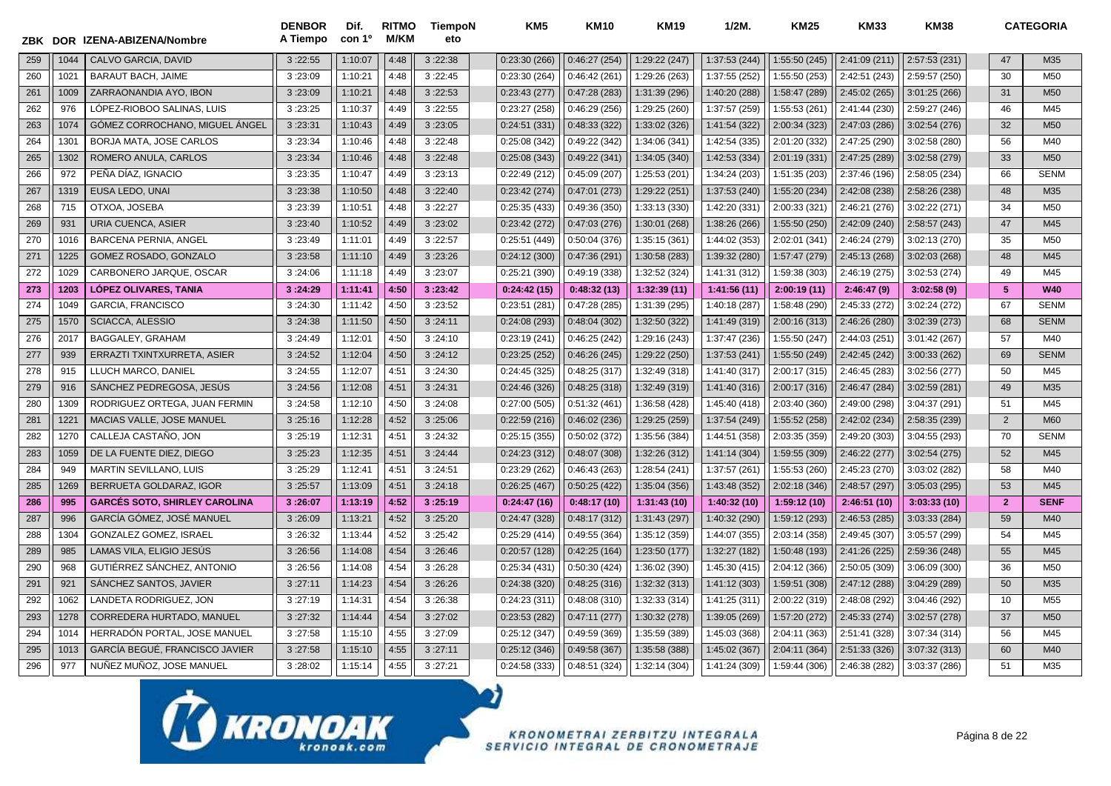| ZBK | <b>DOR</b>       | IZENA-ABIZENA/Nombre                 | <b>DENBOR</b><br>A Tiempo | Dif.<br>con 1º | <b>RITMO</b><br>M/KM | TiempoN<br>eto | KM <sub>5</sub> | <b>KM10</b>  | <b>KM19</b>   | $1/2M$ .      | <b>KM25</b>   | <b>KM33</b>   | <b>KM38</b>   |                | <b>CATEGORIA</b> |
|-----|------------------|--------------------------------------|---------------------------|----------------|----------------------|----------------|-----------------|--------------|---------------|---------------|---------------|---------------|---------------|----------------|------------------|
| 259 | 1044             | <b>CALVO GARCIA, DAVID</b>           | 3:22:55                   | 1:10:07        | 4:48                 | 3:22:38        | 0:23:30(266)    | 0:46:27(254) | 1:29:22 (247) | 1:37:53 (244) | 1:55:50 (245) | 2:41:09 (211) | 2:57:53 (231) | 47             | M35              |
| 260 | 1021             | <b>BARAUT BACH, JAIME</b>            | 3:23:09                   | 1:10:21        | 4:48                 | 3:22:45        | 0:23:30(264)    | 0:46:42(261) | 1:29:26 (263) | 1:37:55 (252) | 1:55:50 (253) | 2:42:51 (243) | 2:59:57 (250) | 30             | M50              |
| 261 | 1009             | ZARRAONANDIA AYO, IBON               | 3:23:09                   | 1:10:21        | 4:48                 | 3:22:53        | 0:23:43(277)    | 0:47:28(283) | 1:31:39 (296) | 1:40:20 (288) | 1:58:47 (289) | 2:45:02 (265) | 3:01:25(266)  | 31             | M50              |
| 262 | 976              | LÓPEZ-RIOBOO SALINAS, LUIS           | 3:23:25                   | 1:10:37        | 4:49                 | 3:22:55        | 0:23:27(258)    | 0:46:29(256) | 1:29:25 (260) | 1:37:57 (259) | 1:55:53 (261) | 2:41:44 (230) | 2:59:27 (246) | 46             | M45              |
| 263 | 1074             | GÓMEZ CORROCHANO, MIGUEL ÁNGEL       | 3:23:31                   | 1:10:43        | 4:49                 | 3:23:05        | 0:24:51(331)    | 0:48:33(322) | 1:33:02 (326) | 1:41:54 (322) | 2:00:34 (323) | 2:47:03 (286) | 3:02:54(276)  | 32             | M50              |
| 264 | 130 <sup>7</sup> | BORJA MATA, JOSE CARLOS              | 3:23:34                   | 1:10:46        | 4:48                 | 3:22:48        | 0:25:08(342)    | 0:49:22(342) | 1:34:06 (341) | 1:42:54 (335) | 2:01:20 (332) | 2:47:25 (290) | 3:02:58 (280) | 56             | M40              |
| 265 | 1302             | ROMERO ANULA, CARLOS                 | 3:23:34                   | 1:10:46        | 4:48                 | 3:22:48        | 0:25:08(343)    | 0:49:22(341) | 1:34:05 (340) | 1:42:53 (334) | 2:01:19 (331) | 2:47:25 (289) | 3:02:58 (279) | 33             | M50              |
| 266 | 972              | PEÑA DÍAZ, IGNACIO                   | 3:23:35                   | 1:10:47        | 4:49                 | 3:23:13        | 0:22:49(212)    | 0:45:09(207) | 1:25:53 (201) | 1:34:24 (203) | 1:51:35 (203) | 2:37:46 (196) | 2:58:05 (234) | 66             | <b>SENM</b>      |
| 267 | 1319             | <b>EUSA LEDO, UNAI</b>               | 3:23:38                   | 1:10:50        | 4:48                 | 3:22:40        | 0:23:42(274)    | 0:47:01(273) | 1:29:22 (251) | 1:37:53 (240) | 1:55:20 (234) | 2:42:08 (238) | 2:58:26 (238) | 48             | M35              |
| 268 | 715              | OTXOA, JOSEBA                        | 3:23:39                   | 1:10:51        | 4:48                 | 3:22:27        | 0:25:35(433)    | 0:49:36(350) | 1:33:13 (330) | 1:42:20 (331) | 2:00:33 (321) | 2:46:21 (276) | 3:02:22 (271) | 34             | M <sub>50</sub>  |
| 269 | 931              | URIA CUENCA, ASIER                   | 3:23:40                   | 1:10:52        | 4:49                 | 3:23:02        | 0:23:42(272)    | 0:47:03(276) | 1:30:01 (268) | 1:38:26 (266) | 1:55:50 (250) | 2:42:09 (240) | 2:58:57 (243) | 47             | M45              |
| 270 | 1016             | BARCENA PERNIA, ANGEL                | 3:23:49                   | 1:11:01        | 4:49                 | 3:22:57        | 0:25:51 (449)   | 0:50:04(376) | 1:35:15 (361) | 1:44:02 (353) | 2:02:01 (341) | 2:46:24 (279) | 3:02:13 (270) | 35             | M50              |
| 271 | 1225             | GOMEZ ROSADO, GONZALO                | 3:23:58                   | 1:11:10        | 4:49                 | 3:23:26        | 0:24:12(300)    | 0:47:36(291) | 1:30:58 (283) | 1:39:32 (280) | 1:57:47 (279) | 2:45:13 (268) | 3:02:03 (268) | 48             | M45              |
| 272 | 1029             | CARBONERO JARQUE, OSCAR              | 3:24:06                   | 1:11:18        | 4:49                 | 3:23:07        | 0:25:21(390)    | 0:49:19(338) | 1:32:52 (324) | 1:41:31 (312) | 1:59:38 (303) | 2:46:19 (275) | 3:02:53(274)  | 49             | M45              |
| 273 | 1203             | <b>LÓPEZ OLIVARES, TANIA</b>         | 3:24:29                   | 1:11:41        | 4:50                 | 3:23:42        | 0:24:42(15)     | 0:48:32(13)  | 1:32:39(11)   | 1:41:56(11)   | 2:00:19(11)   | 2:46:47(9)    | 3:02:58(9)    | 5              | <b>W40</b>       |
| 274 | 1049             | <b>GARCIA, FRANCISCO</b>             | 3:24:30                   | 1:11:42        | 4:50                 | 3:23:52        | 0:23:51(281)    | 0:47:28(285) | 1:31:39 (295) | 1:40:18 (287) | 1:58:48 (290) | 2:45:33 (272) | 3:02:24 (272) | 67             | <b>SENM</b>      |
| 275 | 1570             | <b>SCIACCA, ALESSIO</b>              | 3:24:38                   | 1:11:50        | 4:50                 | 3:24:11        | 0:24:08(293)    | 0:48:04(302) | 1:32:50 (322) | 1:41:49 (319) | 2:00:16 (313) | 2:46:26 (280) | 3:02:39(273)  | 68             | <b>SENM</b>      |
| 276 | 2017             | BAGGALEY, GRAHAM                     | 3:24:49                   | 1:12:01        | 4:50                 | 3:24:10        | 0:23:19(241)    | 0:46:25(242) | 1:29:16 (243) | 1:37:47 (236) | 1:55:50 (247) | 2:44:03 (251) | 3:01:42 (267) | 57             | M40              |
| 277 | 939              | ERRAZTI TXINTXURRETA, ASIER          | 3:24:52                   | 1:12:04        | 4:50                 | 3:24:12        | 0:23:25(252)    | 0:46:26(245) | 1:29:22 (250) | 1:37:53 (241) | 1:55:50 (249) | 2:42:45 (242) | 3:00:33 (262) | 69             | <b>SENM</b>      |
| 278 | 915              | LLUCH MARCO, DANIEL                  | 3:24:55                   | 1:12:07        | 4:51                 | 3:24:30        | 0:24:45(325)    | 0:48:25(317) | 1:32:49 (318) | 1:41:40 (317) | 2:00:17 (315) | 2:46:45 (283) | 3:02:56 (277) | 50             | M45              |
| 279 | 916              | SÁNCHEZ PEDREGOSA. JESÚS             | 3:24:56                   | 1:12:08        | 4:51                 | 3:24:31        | 0:24:46(326)    | 0:48:25(318) | 1:32:49 (319) | 1:41:40 (316) | 2:00:17 (316) | 2:46:47 (284) | 3:02:59 (281) | 49             | M35              |
| 280 | 1309             | RODRIGUEZ ORTEGA, JUAN FERMIN        | 3:24:58                   | 1:12:10        | 4:50                 | 3:24:08        | 0:27:00(505)    | 0:51:32(461) | 1:36:58 (428) | 1:45:40 (418) | 2:03:40 (360) | 2:49:00 (298) | 3:04:37 (291) | 51             | M45              |
| 281 | 1221             | MACIAS VALLE, JOSE MANUEL            | 3:25:16                   | 1:12:28        | 4:52                 | 3:25:06        | 0:22:59(216)    | 0:46:02(236) | 1:29:25 (259) | 1:37:54 (249) | 1:55:52 (258) | 2:42:02 (234) | 2:58:35 (239) | $\overline{2}$ | <b>M60</b>       |
| 282 | 1270             | CALLEJA CASTAÑO, JON                 | 3:25:19                   | 1:12:31        | 4:51                 | 3:24:32        | 0:25:15(355)    | 0:50:02(372) | 1:35:56 (384) | 1:44:51 (358) | 2:03:35 (359) | 2:49:20 (303) | 3:04:55 (293) | 70             | <b>SENM</b>      |
| 283 | 1059             | DE LA FUENTE DIEZ, DIEGO             | 3:25:23                   | 1:12:35        | 4:51                 | 3:24:44        | 0:24:23(312)    | 0:48:07(308) | 1:32:26 (312) | 1:41:14 (304) | 1:59:55 (309) | 2:46:22 (277) | 3:02:54(275)  | 52             | M45              |
| 284 | 949              | <b>MARTIN SEVILLANO, LUIS</b>        | 3:25:29                   | 1:12:41        | 4:51                 | 3:24:51        | 0:23:29(262)    | 0:46:43(263) | 1:28:54 (241) | 1:37:57 (261) | 1:55:53 (260) | 2:45:23 (270) | 3:03:02 (282) | 58             | M40              |
| 285 | 1269             | <b>BERRUETA GOLDARAZ, IGOR</b>       | 3:25:57                   | 1:13:09        | 4:51                 | 3:24:18        | 0:26:25(467)    | 0:50:25(422) | 1:35:04 (356) | 1:43:48 (352) | 2:02:18 (346) | 2:48:57 (297) | 3:05:03 (295) | 53             | M45              |
| 286 | 995              | <b>GARCÉS SOTO, SHIRLEY CAROLINA</b> | 3:26:07                   | 1:13:19        | 4:52                 | 3:25:19        | 0:24:47(16)     | 0:48:17(10)  | 1:31:43(10)   | 1:40:32(10)   | 1:59:12 (10)  | 2:46:51(10)   | 3:03:33(10)   | $\overline{2}$ | <b>SENF</b>      |
| 287 | 996              | GARCÍA GÓMEZ, JOSÉ MANUEL            | 3:26:09                   | 1:13:21        | 4:52                 | 3:25:20        | 0:24:47(328)    | 0:48:17(312) | 1:31:43 (297) | 1:40:32 (290) | 1:59:12 (293) | 2:46:53 (285) | 3:03:33 (284) | 59             | M40              |
| 288 | 1304             | GONZALEZ GOMEZ, ISRAEL               | 3:26:32                   | 1:13:44        | 4:52                 | 3:25:42        | 0:25:29(414)    | 0:49:55(364) | 1:35:12 (359) | 1:44:07 (355) | 2:03:14 (358) | 2:49:45 (307) | 3:05:57 (299) | 54             | M45              |
| 289 | 985              | LAMAS VILA, ELIGIO JESÚS             | 3:26:56                   | 1:14:08        | 4:54                 | 3:26:46        | 0:20:57(128)    | 0:42:25(164) | 1:23:50 (177) | 1:32:27 (182) | 1:50:48 (193) | 2:41:26 (225) | 2:59:36 (248) | 55             | M45              |
| 290 | 968              | GUTIÉRREZ SÁNCHEZ, ANTONIO           | 3:26:56                   | 1:14:08        | 4:54                 | 3:26:28        | 0:25:34(431)    | 0:50:30(424) | 1:36:02 (390) | 1:45:30 (415) | 2:04:12 (366) | 2:50:05 (309) | 3:06:09 (300) | 36             | M50              |
| 291 | 921              | SANCHEZ SANTOS, JAVIER               | 3:27:11                   | 1:14:23        | 4:54                 | 3:26:26        | 0:24:38(320)    | 0:48:25(316) | 1:32:32 (313) | 1:41:12 (303) | 1:59:51 (308) | 2:47:12 (288) | 3:04:29 (289) | 50             | M35              |
| 292 | 1062             | LANDETA RODRIGUEZ, JON               | 3:27:19                   | 1:14:31        | 4:54                 | 3:26:38        | 0:24:23(311)    | 0:48:08(310) | 1:32:33 (314) | 1:41:25 (311) | 2:00:22 (319) | 2:48:08 (292) | 3:04:46 (292) | 10             | M55              |
| 293 | 1278             | CORREDERA HURTADO, MANUEL            | 3:27:32                   | 1:14:44        | 4:54                 | 3:27:02        | 0:23:53(282)    | 0:47:11(277) | 1:30:32 (278) | 1:39:05 (269) | 1:57:20 (272) | 2:45:33 (274) | 3:02:57 (278) | 37             | M50              |
| 294 | 1014             | HERRADÓN PORTAL, JOSE MANUEL         | 3:27:58                   | 1:15:10        | 4:55                 | 3:27:09        | 0:25:12(347)    | 0:49:59(369) | 1:35:59 (389) | 1:45:03 (368) | 2:04:11 (363) | 2:51:41 (328) | 3:07:34 (314) | 56             | M45              |
| 295 | 1013             | GARCÍA BEGUÉ, FRANCISCO JAVIER       | 3:27:58                   | 1:15:10        | 4:55                 | 3:27:11        | 0:25:12(346)    | 0:49:58(367) | 1:35:58 (388) | 1:45:02 (367  | 2:04:11 (364) | 2:51:33 (326) | 3:07:32 (313) | 60             | M40              |
| 296 | 977              | NUÑEZ MUÑOZ, JOSE MANUEL             | 3:28:02                   | 1:15:14        | 4:55                 | 3:27:21        | 0:24:58(333)    | 0:48:51(324) | 1:32:14 (304) | 1:41:24 (309) | 1:59:44 (306) | 2:46:38 (282) | 3:03:37 (286) | 51             | M35              |

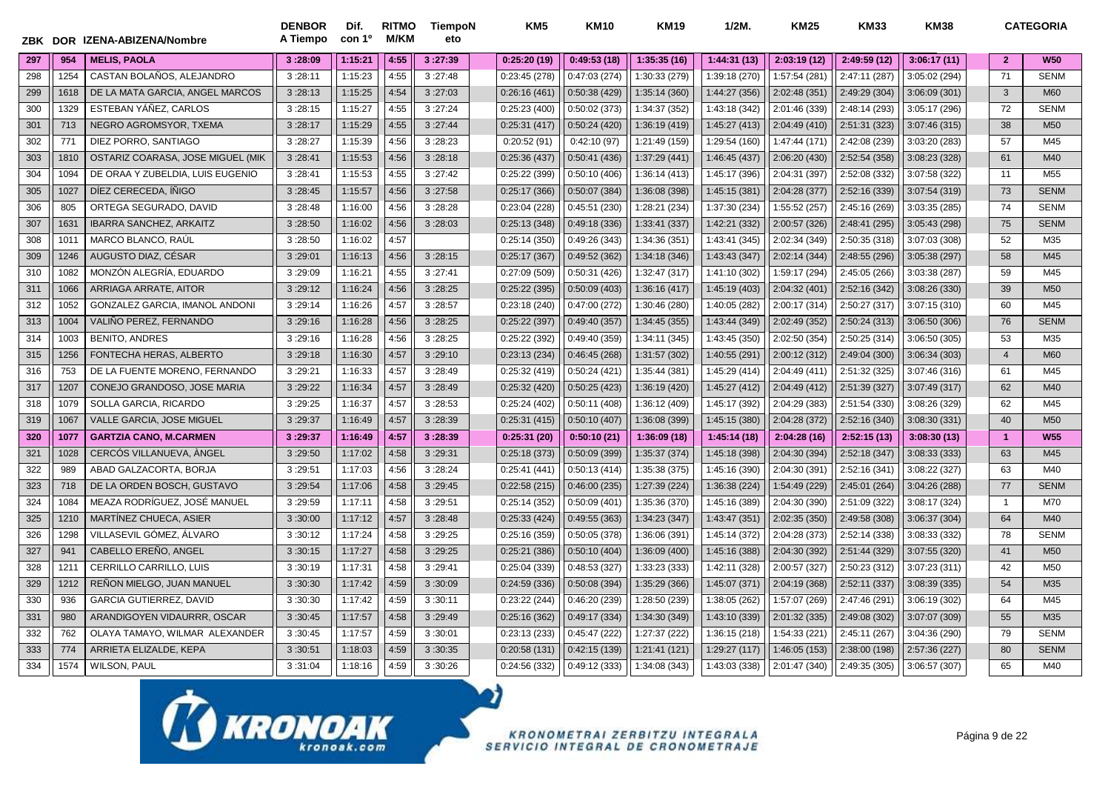| ZBK | <b>DOR</b> | IZENA-ABIZENA/Nombre              | <b>DENBOR</b><br>A Tiempo | Dif.<br>con 1º | <b>RITMO</b><br>M/KM | TiempoN<br>eto | KM5           | <b>KM10</b>   | <b>KM19</b>   | $1/2M$ .      | <b>KM25</b>   | <b>KM33</b>   | <b>KM38</b>   |                | <b>CATEGORIA</b> |
|-----|------------|-----------------------------------|---------------------------|----------------|----------------------|----------------|---------------|---------------|---------------|---------------|---------------|---------------|---------------|----------------|------------------|
| 297 | 954        | <b>MELIS, PAOLA</b>               | 3:28:09                   | 1:15:21        | 4:55                 | 3:27:39        | 0:25:20(19)   | 0:49:53(18)   | 1:35:35(16)   | 1:44:31 (13)  | 2:03:19 (12)  | 2:49:59 (12)  | 3:06:17(11)   | $\overline{2}$ | <b>W50</b>       |
| 298 | 1254       | CASTAN BOLAÑOS, ALEJANDRO         | 3:28:11                   | 1:15:23        | 4:55                 | 3:27:48        | 0:23:45(278)  | 0:47:03(274)  | 1:30:33 (279) | 1:39:18 (270) | 1:57:54 (281) | 2:47:11 (287) | 3:05:02 (294) | 71             | <b>SENM</b>      |
| 299 | 1618       | DE LA MATA GARCIA, ANGEL MARCOS   | 3:28:13                   | 1:15:25        | 4:54                 | 3:27:03        | 0:26:16(461)  | 0:50:38(429)  | 1:35:14 (360) | 1:44:27 (356) | 2:02:48 (351) | 2:49:29 (304) | 3:06:09 (301) | 3              | M60              |
| 300 | 1329       | ESTEBAN YÁÑEZ, CARLOS             | 3:28:15                   | 1:15:27        | 4:55                 | 3:27:24        | 0:25:23(400)  | 0:50:02(373)  | 1:34:37 (352) | 1:43:18 (342) | 2:01:46 (339) | 2:48:14 (293) | 3:05:17 (296) | 72             | <b>SENM</b>      |
| 301 | 713        | NEGRO AGROMSYOR, TXEMA            | 3:28:17                   | 1:15:29        | 4:55                 | 3:27:44        | 0:25:31(417)  | 0:50:24(420)  | 1:36:19 (419) | 1:45:27 (413) | 2:04:49 (410) | 2:51:31 (323) | 3:07:46 (315) | 38             | M <sub>50</sub>  |
| 302 | 771        | DIEZ PORRO, SANTIAGO              | 3:28:27                   | 1:15:39        | 4:56                 | 3:28:23        | 0:20:52(91)   | 0:42:10(97)   | 1:21:49 (159) | 1:29:54 (160) | 1:47:44 (171) | 2:42:08 (239) | 3:03:20 (283) | 57             | M45              |
| 303 | 1810       | OSTARIZ COARASA, JOSE MIGUEL (MIK | 3:28:41                   | 1:15:53        | 4:56                 | 3:28:18        | 0:25:36(437)  | 0:50:41(436)  | 1:37:29 (441) | 1:46:45 (437) | 2:06:20 (430) | 2:52:54 (358) | 3:08:23 (328) | 61             | M40              |
| 304 | 1094       | DE ORAA Y ZUBELDIA, LUIS EUGENIO  | 3:28:41                   | 1:15:53        | 4:55                 | 3:27:42        | 0:25:22 (399) | 0:50:10(406)  | 1:36:14 (413) | 1:45:17 (396) | 2:04:31 (397) | 2:52:08 (332) | 3:07:58 (322) | 11             | M <sub>55</sub>  |
| 305 | 1027       | DIEZ CERECEDA, IÑIGO              | 3:28:45                   | 1:15:57        | 4:56                 | 3:27:58        | 0:25:17(366)  | 0:50:07(384)  | 1:36:08 (398) | 1:45:15 (381) | 2:04:28 (377) | 2:52:16 (339) | 3:07:54 (319) | 73             | <b>SENM</b>      |
| 306 | 805        | ORTEGA SEGURADO, DAVID            | 3:28:48                   | 1:16:00        | 4:56                 | 3:28:28        | 0:23:04 (228) | 0:45:51(230)  | 1:28:21 (234) | 1:37:30 (234) | 1:55:52 (257) | 2:45:16 (269) | 3:03:35 (285) | 74             | <b>SENM</b>      |
| 307 | 163'       | <b>IBARRA SANCHEZ, ARKAITZ</b>    | 3:28:50                   | 1:16:02        | 4:56                 | 3:28:03        | 0:25:13(348)  | 0:49:18(336)  | 1:33:41 (337) | 1:42:21 (332) | 2:00:57 (326) | 2:48:41 (295) | 3:05:43 (298) | 75             | <b>SENM</b>      |
| 308 | 101'       | MARCO BLANCO, RAÚL                | 3:28:50                   | 1:16:02        | 4:57                 |                | 0:25:14(350)  | 0:49:26(343)  | 1:34:36 (351) | 1:43:41 (345) | 2:02:34 (349) | 2:50:35 (318) | 3:07:03 (308) | 52             | M35              |
| 309 | 1246       | AUGUSTO DIAZ, CÉSAR               | 3:29:01                   | 1:16:13        | 4:56                 | 3:28:15        | 0:25:17(367)  | 0:49:52(362)  | 1:34:18 (346) | 1:43:43 (347) | 2:02:14 (344) | 2:48:55 (296) | 3:05:38 (297) | 58             | M45              |
| 310 | 1082       | MONZÓN ALEGRÍA. EDUARDO           | 3:29:09                   | 1:16:21        | 4:55                 | 3:27:41        | 0:27:09(509)  | 0:50:31(426)  | 1:32:47 (317) | 1:41:10 (302) | 1:59:17 (294) | 2:45:05 (266) | 3:03:38 (287) | 59             | M45              |
| 311 | 1066       | ARRIAGA ARRATE, AITOR             | 3:29:12                   | 1:16:24        | 4:56                 | 3:28:25        | 0:25:22(395)  | 0:50:09(403)  | 1:36:16 (417) | 1:45:19 (403) | 2:04:32 (401) | 2:52:16 (342) | 3:08:26 (330) | 39             | M <sub>50</sub>  |
| 312 | 1052       | GONZALEZ GARCIA, IMANOL ANDONI    | 3:29:14                   | 1:16:26        | 4:57                 | 3:28:57        | 0:23:18(240)  | 0:47:00(272)  | 1:30:46 (280) | 1:40:05 (282) | 2:00:17 (314) | 2:50:27 (317) | 3:07:15 (310) | 60             | M45              |
| 313 | 1004       | VALIÑO PEREZ, FERNANDO            | 3:29:16                   | 1:16:28        | 4:56                 | 3:28:25        | 0:25:22(397)  | 0:49:40(357)  | 1:34:45 (355) | 1:43:44 (349) | 2:02:49 (352) | 2:50:24 (313) | 3:06:50 (306) | 76             | <b>SENM</b>      |
| 314 | 1003       | <b>BENITO, ANDRES</b>             | 3:29:16                   | 1:16:28        | 4:56                 | 3:28:25        | 0:25:22(392)  | 0:49:40 (359) | 1:34:11 (345) | 1:43:45 (350) | 2:02:50 (354) | 2:50:25 (314) | 3:06:50 (305) | 53             | M35              |
| 315 | 1256       | FONTECHA HERAS, ALBERTO           | 3:29:18                   | 1:16:30        | 4:57                 | 3:29:10        | 0:23:13(234)  | 0:46:45(268)  | 1:31:57 (302) | 1:40:55 (291) | 2:00:12 (312) | 2:49:04 (300) | 3:06:34 (303) | $\overline{4}$ | M60              |
| 316 | 753        | DE LA FUENTE MORENO, FERNANDO     | 3:29:21                   | 1:16:33        | 4:57                 | 3:28:49        | 0:25:32(419)  | 0:50:24(421)  | 1:35:44 (381) | 1:45:29 (414) | 2:04:49 (411) | 2:51:32 (325) | 3:07:46 (316) | 61             | M45              |
| 317 | 1207       | CONEJO GRANDOSO, JOSE MARIA       | 3:29:22                   | 1:16:34        | 4:57                 | 3:28:49        | 0:25:32(420)  | 0:50:25(423)  | 1:36:19 (420) | 1:45:27 (412) | 2:04:49 (412) | 2:51:39 (327) | 3:07:49 (317) | 62             | M40              |
| 318 | 1079       | SOLLA GARCIA, RICARDO             | 3:29:25                   | 1:16:37        | 4:57                 | 3:28:53        | 0:25:24(402)  | 0:50:11(408)  | 1:36:12 (409) | 1:45:17 (392) | 2:04:29 (383) | 2:51:54 (330) | 3:08:26 (329) | 62             | M45              |
| 319 | 1067       | VALLE GARCIA, JOSE MIGUEL         | 3:29:37                   | 1:16:49        | 4:57                 | 3:28:39        | 0:25:31(415)  | 0:50:10(407)  | 1:36:08 (399) | 1:45:15 (380) | 2:04:28 (372) | 2:52:16 (340) | 3:08:30 (331) | 40             | M <sub>50</sub>  |
| 320 | 1077       | <b>GARTZIA CANO, M.CARMEN</b>     | 3:29:37                   | 1:16:49        | 4:57                 | 3:28:39        | 0:25:31(20)   | 0:50:10(21)   | 1:36:09(18)   | 1:45:14(18)   | 2:04:28(16)   | 2:52:15(13)   | 3:08:30(13)   | $\overline{1}$ | <b>W55</b>       |
| 321 | 1028       | CERCÓS VILLANUEVA, ÀNGEL          | 3:29:50                   | 1:17:02        | 4:58                 | 3:29:31        | 0:25:18(373)  | 0:50:09(399)  | 1:35:37 (374) | 1:45:18 (398) | 2:04:30 (394) | 2:52:18 (347) | 3:08:33 (333) | 63             | M45              |
| 322 | 989        | ABAD GALZACORTA, BORJA            | 3:29:51                   | 1:17:03        | 4:56                 | 3:28:24        | 0:25:41(441)  | 0:50:13(414)  | 1:35:38 (375) | 1:45:16 (390) | 2:04:30 (391) | 2:52:16 (341) | 3:08:22 (327) | 63             | M40              |
| 323 | 718        | DE LA ORDEN BOSCH, GUSTAVO        | 3:29:54                   | 1:17:06        | 4:58                 | 3:29:45        | 0:22:58(215)  | 0:46:00(235)  | 1:27:39 (224) | 1:36:38 (224) | 1:54:49 (229) | 2:45:01 (264) | 3:04:26 (288) | 77             | <b>SENM</b>      |
| 324 | 1084       | MEAZA RODRÍGUEZ, JOSÉ MANUEL      | 3:29:59                   | 1:17:11        | 4:58                 | 3:29:51        | 0:25:14(352)  | 0:50:09(401)  | 1:35:36 (370) | 1:45:16 (389) | 2:04:30 (390) | 2:51:09 (322) | 3:08:17 (324) | $\overline{1}$ | M70              |
| 325 | 1210       | MARTÍNEZ CHUECA, ASIER            | 3:30:00                   | 1:17:12        | 4:57                 | 3:28:48        | 0:25:33(424)  | 0:49:55(363)  | 1:34:23 (347) | 1:43:47 (351) | 2:02:35 (350) | 2:49:58 (308) | 3:06:37 (304) | 64             | M40              |
| 326 | 1298       | VILLASEVIL GÓMEZ, ÁLVARO          | 3:30:12                   | 1:17:24        | 4:58                 | 3:29:25        | 0:25:16(359)  | 0:50:05(378)  | 1:36:06 (391) | 1:45:14 (372) | 2:04:28 (373) | 2:52:14 (338) | 3:08:33 (332) | 78             | <b>SENM</b>      |
| 327 | 941        | CABELLO EREÑO, ANGEL              | 3:30:15                   | 1:17:27        | 4:58                 | 3:29:25        | 0:25:21(386)  | 0:50:10(404)  | 1:36:09 (400) | 1:45:16 (388) | 2:04:30 (392) | 2:51:44 (329) | 3:07:55 (320) | 41             | M <sub>50</sub>  |
| 328 | 121        | CERRILLO CARRILLO, LUIS           | 3:30:19                   | 1:17:31        | 4:58                 | 3:29:41        | 0:25:04 (339) | 0:48:53(327)  | 1:33:23 (333) | 1:42:11 (328) | 2:00:57 (327) | 2:50:23 (312) | 3:07:23 (311) | 42             | M50              |
| 329 | 1212       | REÑON MIELGO, JUAN MANUEL         | 3:30:30                   | 1:17:42        | 4:59                 | 3:30:09        | 0:24:59(336)  | 0:50:08(394)  | 1:35:29 (366) | 1:45:07 (371) | 2:04:19 (368) | 2:52:11 (337) | 3:08:39 (335) | 54             | M35              |
| 330 | 936        | <b>GARCIA GUTIERREZ, DAVID</b>    | 3:30:30                   | 1:17:42        | 4:59                 | 3:30:11        | 0:23:22(244)  | 0:46:20(239)  | 1:28:50 (239) | 1:38:05 (262) | 1:57:07 (269) | 2:47:46 (291) | 3:06:19 (302) | 64             | M45              |
| 331 | 980        | ARANDIGOYEN VIDAURRR, OSCAR       | 3:30:45                   | 1:17:57        | 4:58                 | 3:29:49        | 0:25:16(362)  | 0:49:17(334)  | 1:34:30 (349) | 1:43:10 (339) | 2:01:32 (335) | 2:49:08 (302) | 3:07:07 (309) | 55             | M35              |
| 332 | 762        | OLAYA TAMAYO, WILMAR ALEXANDER    | 3:30:45                   | 1:17:57        | 4:59                 | 3:30:01        | 0:23:13(233)  | 0:45:47(222)  | 1:27:37 (222) | 1:36:15 (218) | 1:54:33 (221) | 2:45:11 (267) | 3:04:36 (290) | 79             | <b>SENM</b>      |
| 333 | 774        | ARRIETA ELIZALDE. KEPA            | 3:30:51                   | 1:18:03        | 4:59                 | 3:30:35        | 0:20:58(131)  | 0:42:15(139)  | 1:21:41 (121) | 1:29:27 (117  | 1:46:05 (153) | 2:38:00 (198) | 2:57:36 (227) | 80             | <b>SENM</b>      |
| 334 | 1574       | <b>WILSON, PAUL</b>               | 3:31:04                   | 1:18:16        | 4:59                 | 3:30:26        | 0:24:56(332)  | 0:49:12(333)  | 1:34:08 (343) | 1:43:03 (338) | 2:01:47 (340) | 2:49:35 (305) | 3:06:57 (307) | 65             | M40              |

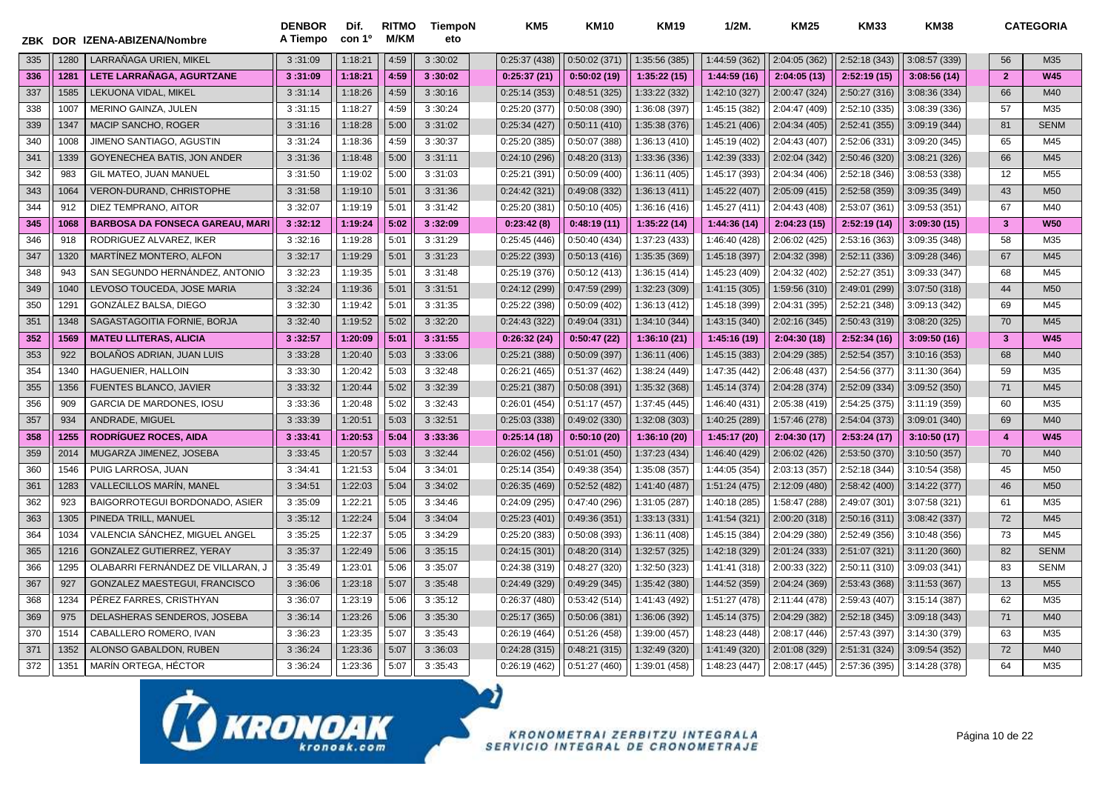| ZBK |      | DOR IZENA-ABIZENA/Nombre               | <b>DENBOR</b><br>A Tiempo | Dif.<br>con 1º | <b>RITMO</b><br><b>M/KM</b> | <b>TiempoN</b><br>eto | KM5           | <b>KM10</b>   | <b>KM19</b>   | $1/2M$ .      | <b>KM25</b>   | <b>KM33</b>   | <b>KM38</b>   |                         | <b>CATEGORIA</b> |
|-----|------|----------------------------------------|---------------------------|----------------|-----------------------------|-----------------------|---------------|---------------|---------------|---------------|---------------|---------------|---------------|-------------------------|------------------|
| 335 | 1280 | LARRAÑAGA URIEN, MIKEL                 | 3:31:09                   | 1:18:21        | 4:59                        | 3:30:02               | 0:25:37(438)  | 0:50:02(371)  | 1:35:56 (385) | 1:44:59 (362) | 2:04:05 (362) | 2:52:18 (343) | 3:08:57 (339) | 56                      | M35              |
| 336 | 1281 | LETE LARRAÑAGA, AGURTZANE              | 3:31:09                   | 1:18:21        | 4:59                        | 3:30:02               | 0:25:37(21)   | 0:50:02(19)   | 1:35:22(15)   | 1:44:59 (16)  | 2:04:05(13)   | 2:52:19(15)   | 3:08:56(14)   | $\overline{2}$          | <b>W45</b>       |
| 337 | 1585 | LEKUONA VIDAL, MIKEL                   | 3:31:14                   | 1:18:26        | 4:59                        | 3:30:16               | 0:25:14(353)  | 0:48:51(325)  | 1:33:22 (332) | 1:42:10 (327) | 2:00:47 (324) | 2:50:27 (316) | 3:08:36 (334) | 66                      | M40              |
| 338 | 1007 | <b>MERINO GAINZA, JULEN</b>            | 3:31:15                   | 1:18:27        | 4:59                        | 3:30:24               | 0:25:20(377)  | 0:50:08(390)  | 1:36:08 (397) | 1:45:15 (382) | 2:04:47 (409) | 2:52:10 (335) | 3:08:39 (336) | 57                      | M35              |
| 339 | 1347 | <b>MACIP SANCHO, ROGER</b>             | 3:31:16                   | 1:18:28        | 5:00                        | 3:31:02               | 0:25:34(427)  | 0:50:11(410)  | 1:35:38 (376) | 1:45:21 (406) | 2:04:34 (405) | 2:52:41 (355) | 3:09:19 (344) | 81                      | <b>SENM</b>      |
| 340 | 1008 | JIMENO SANTIAGO, AGUSTIN               | 3:31:24                   | 1:18:36        | 4:59                        | 3:30:37               | 0:25:20(385)  | 0:50:07(388)  | 1:36:13 (410) | 1:45:19 (402) | 2:04:43 (407) | 2:52:06 (331) | 3:09:20 (345) | 65                      | M45              |
| 341 | 1339 | GOYENECHEA BATIS, JON ANDER            | 3:31:36                   | 1:18:48        | 5:00                        | 3:31:11               | 0:24:10(296)  | 0:48:20(313)  | 1:33:36 (336) | 1:42:39 (333) | 2:02:04 (342) | 2:50:46 (320) | 3:08:21 (326) | 66                      | M45              |
| 342 | 983  | GIL MATEO, JUAN MANUEL                 | 3:31:50                   | 1:19:02        | 5:00                        | 3:31:03               | 0:25:21 (391) | 0:50:09(400)  | 1:36:11 (405) | 1:45:17 (393) | 2:04:34 (406) | 2:52:18 (346) | 3:08:53 (338) | 12                      | M <sub>55</sub>  |
| 343 | 1064 | VERON-DURAND, CHRISTOPHE               | 3:31:58                   | 1:19:10        | 5:01                        | 3:31:36               | 0:24:42(321)  | 0:49:08 (332) | 1:36:13 (411) | 1:45:22 (407) | 2:05:09 (415) | 2:52:58 (359) | 3:09:35 (349) | 43                      | M <sub>50</sub>  |
| 344 | 912  | DIEZ TEMPRANO, AITOR                   | 3:32:07                   | 1:19:19        | 5:01                        | 3:31:42               | 0:25:20(381)  | 0:50:10(405)  | 1:36:16 (416) | 1:45:27 (411) | 2:04:43 (408) | 2:53:07 (361) | 3:09:53 (351) | 67                      | M40              |
| 345 | 1068 | <b>BARBOSA DA FONSECA GAREAU, MARI</b> | 3:32:12                   | 1:19:24        | 5:02                        | 3:32:09               | 0:23:42(8)    | 0:48:19(11)   | 1:35:22 (14)  | 1:44:36 (14)  | 2:04:23(15)   | 2:52:19 (14)  | 3:09:30(15)   | $\overline{\mathbf{3}}$ | <b>W50</b>       |
| 346 | 918  | RODRIGUEZ ALVAREZ, IKER                | 3:32:16                   | 1:19:28        | 5:01                        | 3:31:29               | 0:25:45(446)  | 0:50:40(434)  | 1:37:23 (433) | 1:46:40 (428) | 2:06:02 (425) | 2:53:16 (363) | 3:09:35 (348) | 58                      | M35              |
| 347 | 1320 | MARTINEZ MONTERO. ALFON                | 3:32:17                   | 1:19:29        | 5:01                        | 3:31:23               | 0:25:22(393)  | 0:50:13(416)  | 1:35:35 (369) | 1:45:18 (397) | 2:04:32 (398) | 2:52:11 (336) | 3:09:28 (346) | 67                      | M45              |
| 348 | 943  | SAN SEGUNDO HERNÁNDEZ, ANTONIO         | 3:32:23                   | 1:19:35        | 5:01                        | 3:31:48               | 0:25:19(376)  | 0:50:12(413)  | 1:36:15(414)  | 1:45:23 (409) | 2:04:32 (402) | 2:52:27 (351) | 3:09:33 (347) | 68                      | M45              |
| 349 | 1040 | LEVOSO TOUCEDA, JOSE MARIA             | 3:32:24                   | 1:19:36        | 5:01                        | 3:31:51               | 0:24:12(299)  | 0:47:59(299)  | 1:32:23 (309) | 1:41:15 (305) | 1:59:56 (310) | 2:49:01 (299) | 3:07:50 (318) | 44                      | M <sub>50</sub>  |
| 350 | 129' | GONZÁLEZ BALSA, DIEGO                  | 3:32:30                   | 1:19:42        | 5:01                        | 3:31:35               | 0:25:22(398)  | 0:50:09(402)  | 1:36:13 (412) | 1:45:18 (399) | 2:04:31 (395) | 2:52:21 (348) | 3:09:13 (342) | 69                      | M45              |
| 351 | 1348 | SAGASTAGOITIA FORNIE, BORJA            | 3:32:40                   | 1:19:52        | 5:02                        | 3:32:20               | 0:24:43(322)  | 0:49:04(331)  | 1:34:10 (344) | 1:43:15 (340) | 2:02:16 (345) | 2:50:43 (319) | 3:08:20 (325) | 70                      | M45              |
| 352 | 1569 | <b>MATEU LLITERAS, ALICIA</b>          | 3:32:57                   | 1:20:09        | 5:01                        | 3:31:55               | 0:26:32(24)   | 0:50:47(22)   | 1:36:10(21)   | 1:45:16 (19)  | 2:04:30 (18)  | 2:52:34(16)   | 3:09:50(16)   | $\mathbf{3}$            | <b>W45</b>       |
| 353 | 922  | <b>BOLAÑOS ADRIAN. JUAN LUIS</b>       | 3:33:28                   | 1:20:40        | 5:03                        | 3:33:06               | 0:25:21 (388) | 0:50:09(397)  | 1:36:11 (406) | 1:45:15 (383) | 2:04:29 (385) | 2:52:54 (357) | 3:10:16 (353) | 68                      | M40              |
| 354 | 1340 | HAGUENIER, HALLOIN                     | 3:33:30                   | 1:20:42        | 5:03                        | 3:32:48               | 0:26:21(465)  | 0:51:37(462)  | 1:38:24 (449) | 1:47:35 (442) | 2:06:48 (437) | 2:54:56 (377) | 3:11:30 (364) | 59                      | M35              |
| 355 | 1356 | <b>FUENTES BLANCO, JAVIER</b>          | 3:33:32                   | 1:20:44        | 5:02                        | 3:32:39               | 0:25:21(387)  | 0:50:08(391)  | 1:35:32 (368) | 1:45:14 (374) | 2:04:28 (374) | 2:52:09 (334) | 3:09:52 (350) | 71                      | M45              |
| 356 | 909  | <b>GARCIA DE MARDONES, IOSU</b>        | 3:33:36                   | 1:20:48        | 5:02                        | 3:32:43               | 0:26:01(454)  | 0:51:17(457)  | 1:37:45 (445) | 1:46:40 (431) | 2:05:38 (419) | 2:54:25 (375) | 3:11:19 (359) | 60                      | M35              |
| 357 | 934  | ANDRADE, MIGUEL                        | 3:33:39                   | 1:20:51        | 5:03                        | 3:32:51               | 0:25:03(338)  | 0:49:02(330)  | 1:32:08 (303) | 1:40:25 (289) | 1:57:46 (278) | 2:54:04 (373) | 3:09:01 (340) | 69                      | M40              |
| 358 | 1255 | <b>RODRIGUEZ ROCES, AIDA</b>           | 3:33:41                   | 1:20:53        | 5:04                        | 3:33:36               | 0:25:14(18)   | 0:50:10(20)   | 1:36:10 (20)  | 1:45:17 (20)  | 2:04:30 (17)  | 2:53:24(17)   | 3:10:50(17)   | $\overline{4}$          | <b>W45</b>       |
| 359 | 2014 | MUGARZA JIMENEZ, JOSEBA                | 3:33:45                   | 1:20:57        | 5:03                        | 3:32:44               | 0:26:02(456)  | 0:51:01(450)  | 1:37:23 (434) | 1:46:40 (429) | 2:06:02(426)  | 2:53:50 (370) | 3:10:50 (357) | 70                      | M40              |
| 360 | 1546 | PUIG LARROSA, JUAN                     | 3:34:41                   | 1:21:53        | 5:04                        | 3:34:01               | 0:25:14(354)  | 0:49:38(354)  | 1:35:08 (357) | 1:44:05 (354) | 2:03:13 (357) | 2:52:18 (344) | 3:10:54 (358) | 45                      | M50              |
| 361 | 1283 | <b>VALLECILLOS MARÍN, MANEL</b>        | 3:34:51                   | 1:22:03        | 5:04                        | 3:34:02               | 0:26:35(469)  | 0:52:52(482)  | 1:41:40 (487) | 1:51:24 (475) | 2:12:09 (480) | 2:58:42 (400) | 3:14:22 (377) | 46                      | M <sub>50</sub>  |
| 362 | 923  | BAIGORROTEGUI BORDONADO, ASIER         | 3:35:09                   | 1:22:21        | 5:05                        | 3:34:46               | 0:24:09(295)  | 0:47:40(296)  | 1:31:05 (287) | 1:40:18 (285) | 1:58:47 (288) | 2:49:07 (301) | 3:07:58 (321) | 61                      | M35              |
| 363 | 1305 | PINEDA TRILL, MANUEL                   | 3:35:12                   | 1:22:24        | 5:04                        | 3:34:04               | 0:25:23(401)  | 0:49:36(351)  | 1:33:13 (331) | 1:41:54 (321) | 2:00:20 (318) | 2:50:16 (311) | 3:08:42 (337) | 72                      | M45              |
| 364 | 1034 | VALENCIA SÁNCHEZ, MIGUEL ANGEL         | 3:35:25                   | 1:22:37        | 5:05                        | 3:34:29               | 0:25:20(383)  | 0:50:08(393)  | 1:36:11 (408) | 1:45:15 (384) | 2:04:29 (380) | 2:52:49 (356) | 3:10:48 (356) | 73                      | M45              |
| 365 | 1216 | GONZALEZ GUTIERREZ, YERAY              | 3:35:37                   | 1:22:49        | 5:06                        | 3:35:15               | 0:24:15(301)  | 0:48:20(314)  | 1:32:57 (325) | 1:42:18 (329) | 2:01:24 (333) | 2:51:07 (321) | 3:11:20 (360) | 82                      | <b>SENM</b>      |
| 366 | 1295 | OLABARRI FERNÁNDEZ DE VILLARAN, J      | 3:35:49                   | 1:23:01        | 5:06                        | 3:35:07               | 0:24:38(319)  | 0:48:27(320)  | 1:32:50 (323) | 1:41:41 (318) | 2:00:33 (322) | 2:50:11 (310) | 3:09:03 (341) | 83                      | <b>SENM</b>      |
| 367 | 927  | GONZALEZ MAESTEGUI, FRANCISCO          | 3:36:06                   | 1:23:18        | 5:07                        | 3:35:48               | 0:24:49(329)  | 0:49:29(345)  | 1:35:42 (380) | 1:44:52 (359) | 2:04:24 (369) | 2:53:43 (368) | 3:11:53(367)  | 13                      | M <sub>55</sub>  |
| 368 | 1234 | PÉREZ FARRES, CRISTHYAN                | 3:36:07                   | 1:23:19        | 5:06                        | 3:35:12               | 0:26:37(480)  | 0:53:42(514)  | 1:41:43 (492) | 1:51:27 (478) | 2:11:44 (478) | 2:59:43 (407) | 3:15:14(387)  | 62                      | M35              |
| 369 | 975  | DELASHERAS SENDEROS, JOSEBA            | 3:36:14                   | 1:23:26        | 5:06                        | 3:35:30               | 0:25:17(365)  | 0:50:06(381)  | 1:36:06 (392) | 1:45:14 (375) | 2:04:29 (382) | 2:52:18 (345) | 3:09:18 (343) | 71                      | M40              |
| 370 | 1514 | CABALLERO ROMERO. IVAN                 | 3:36:23                   | 1:23:35        | 5:07                        | 3:35:43               | 0:26:19(464)  | 0:51:26(458)  | 1:39:00 (457) | 1:48:23 (448) | 2:08:17 (446) | 2:57:43 (397) | 3:14:30 (379) | 63                      | M35              |
| 371 | 1352 | ALONSO GABALDON, RUBEN                 | 3:36:24                   | 1:23:36        | 5:07                        | 3:36:03               | 0:24:28(315)  | 0:48:21(315)  | 1:32:49 (320) | 1:41:49 (320) | 2:01:08 (329) | 2:51:31 (324) | 3:09:54 (352) | 72                      | M40              |
| 372 | 1351 | MARÍN ORTEGA, HÉCTOR                   | 3:36:24                   | 1:23:36        | 5:07                        | 3:35:43               | 0:26:19(462)  | 0:51:27(460)  | 1:39:01 (458) | 1:48:23 (447) | 2:08:17 (445) | 2:57:36 (395) | 3:14:28 (378) | 64                      | M35              |

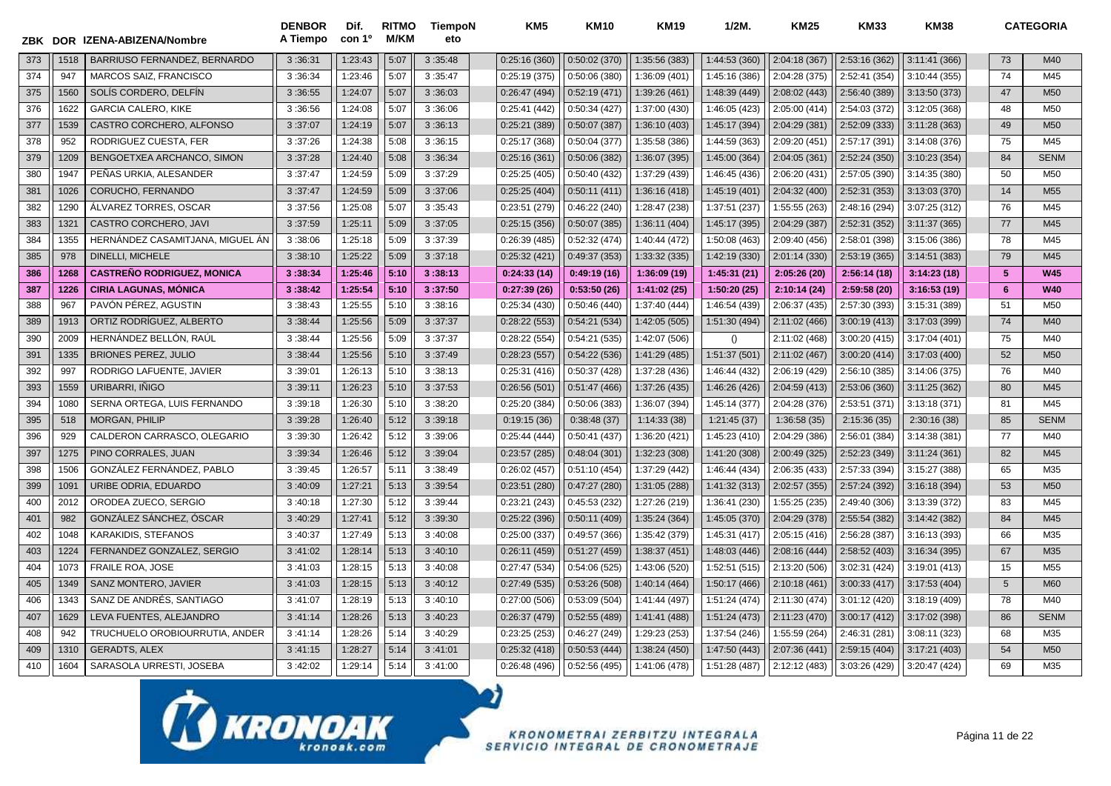| ZBK DOR |      | IZENA-ABIZENA/Nombre              | <b>DENBOR</b><br>A Tiempo | Dif.<br>con 1 <sup>o</sup> | <b>RITMO</b><br><b>M/KM</b> | <b>TiempoN</b><br>eto | KM <sub>5</sub> | <b>KM10</b>   | <b>KM19</b>   | 1/2M          | <b>KM25</b>   | <b>KM33</b>   | <b>KM38</b>   |    | <b>CATEGORIA</b> |
|---------|------|-----------------------------------|---------------------------|----------------------------|-----------------------------|-----------------------|-----------------|---------------|---------------|---------------|---------------|---------------|---------------|----|------------------|
| 373     | 1518 | BARRIUSO FERNANDEZ, BERNARDO      | 3:36:31                   | 1:23:43                    | 5:07                        | 3:35:48               | 0:25:16(360)    | 0:50:02(370)  | 1:35:56 (383) | 1:44:53 (360) | 2:04:18 (367) | 2:53:16 (362) | 3:11:41 (366) | 73 | M40              |
| 374     | 947  | <b>MARCOS SAIZ, FRANCISCO</b>     | 3:36:34                   | 1:23:46                    | 5:07                        | 3:35:47               | 0:25:19(375)    | 0:50:06(380)  | 1:36:09 (401) | 1:45:16 (386) | 2:04:28 (375) | 2:52:41 (354) | 3:10:44 (355) | 74 | M45              |
| 375     | 1560 | SOLÍS CORDERO, DELFÍN             | 3:36:55                   | 1:24:07                    | 5:07                        | 3:36:03               | 0:26:47(494)    | 0:52:19(471)  | 1:39:26 (461) | 1:48:39 (449) | 2:08:02 (443) | 2:56:40 (389) | 3:13:50 (373) | 47 | M <sub>50</sub>  |
| 376     | 1622 | <b>GARCIA CALERO, KIKE</b>        | 3:36:56                   | 1:24:08                    | 5:07                        | 3:36:06               | 0:25:41(442)    | 0:50:34(427)  | 1:37:00 (430) | 1:46:05 (423) | 2:05:00 (414) | 2:54:03 (372) | 3:12:05 (368) | 48 | M50              |
| 377     | 1539 | CASTRO CORCHERO, ALFONSO          | 3:37:07                   | 1:24:19                    | 5:07                        | 3:36:13               | 0:25:21(389)    | 0:50:07(387)  | 1:36:10 (403) | 1:45:17 (394) | 2:04:29 (381) | 2:52:09 (333) | 3:11:28(363)  | 49 | M <sub>50</sub>  |
| 378     | 952  | RODRIGUEZ CUESTA, FER             | 3:37:26                   | 1:24:38                    | 5:08                        | 3:36:15               | 0:25:17 (368)   | 0:50:04(377)  | 1:35:58 (386) | 1:44:59 (363) | 2:09:20 (451) | 2:57:17 (391) | 3:14:08 (376) | 75 | M45              |
| 379     | 1209 | BENGOETXEA ARCHANCO, SIMON        | 3:37:28                   | 1:24:40                    | 5:08                        | 3:36:34               | 0:25:16(361)    | 0:50:06(382)  | 1:36:07 (395) | 1:45:00 (364) | 2:04:05 (361) | 2:52:24 (350) | 3:10:23 (354) | 84 | <b>SENM</b>      |
| 380     | 1947 | PEÑAS URKIA, ALESANDER            | 3:37:47                   | 1:24:59                    | 5:09                        | 3:37:29               | 0:25:25(405)    | 0:50:40 (432) | 1:37:29 (439) | 1:46:45 (436) | 2:06:20 (431) | 2:57:05 (390) | 3:14:35 (380) | 50 | M <sub>50</sub>  |
| 381     | 1026 | CORUCHO, FERNANDO                 | 3:37:47                   | 1:24:59                    | 5:09                        | 3:37:06               | 0:25:25(404)    | 0:50:11(411)  | 1:36:16 (418) | 1:45:19 (401) | 2:04:32 (400) | 2:52:31 (353) | 3:13:03 (370) | 14 | M <sub>55</sub>  |
| 382     | 1290 | ÁLVAREZ TORRES, OSCAR             | 3:37:56                   | 1:25:08                    | 5:07                        | 3:35:43               | 0:23:51 (279)   | 0:46:22(240)  | 1:28:47 (238) | 1:37:51 (237) | 1:55:55 (263) | 2:48:16 (294) | 3:07:25 (312) | 76 | M45              |
| 383     | 1321 | CASTRO CORCHERO, JAVI             | 3:37:59                   | 1:25:11                    | 5:09                        | 3:37:05               | 0:25:15(356)    | 0:50:07(385)  | 1:36:11 (404) | 1:45:17 (395) | 2:04:29 (387) | 2:52:31 (352) | 3:11:37 (365) | 77 | M45              |
| 384     | 1355 | HERNANDEZ CASAMITJANA, MIGUEL AN  | 3:38:06                   | 1:25:18                    | 5:09                        | 3:37:39               | 0:26:39(485)    | 0:52:32(474)  | 1:40:44 (472) | 1:50:08 (463) | 2:09:40 (456) | 2:58:01 (398) | 3:15:06 (386) | 78 | M45              |
| 385     | 978  | <b>DINELLI. MICHELE</b>           | 3:38:10                   | 1:25:22                    | 5:09                        | 3:37:18               | 0:25:32(421)    | 0:49:37(353)  | 1:33:32 (335) | 1:42:19 (330) | 2:01:14 (330) | 2:53:19 (365) | 3:14:51 (383) | 79 | M45              |
| 386     | 1268 | <b>CASTREÑO RODRIGUEZ, MONICA</b> | 3:38:34                   | 1:25:46                    | 5:10                        | 3:38:13               | 0:24:33(14)     | 0:49:19(16)   | 1:36:09(19)   | 1:45:31(21)   | 2:05:26(20)   | 2:56:14(18)   | 3:14:23(18)   | 5  | <b>W45</b>       |
| 387     | 1226 | <b>CIRIA LAGUNAS, MÓNICA</b>      | 3:38:42                   | 1:25:54                    | 5:10                        | 3:37:50               | 0:27:39(26)     | 0:53:50(26)   | 1:41:02(25)   | 1:50:20 (25)  | 2:10:14(24)   | 2:59:58 (20)  | 3:16:53(19)   | 6  | <b>W40</b>       |
| 388     | 967  | PAVÓN PÉREZ, AGUSTIN              | 3:38:43                   | 1:25:55                    | 5:10                        | 3:38:16               | 0:25:34(430)    | 0:50:46(440)  | 1:37:40 (444) | 1:46:54 (439) | 2:06:37 (435) | 2:57:30 (393) | 3:15:31 (389) | 51 | M <sub>50</sub>  |
| 389     | 1913 | ORTIZ RODRÍGUEZ, ALBERTO          | 3:38:44                   | 1:25:56                    | 5:09                        | 3:37:37               | 0:28:22(553)    | 0:54:21(534)  | 1:42:05 (505) | 1:51:30 (494) | 2:11:02 (466) | 3:00:19(413)  | 3:17:03 (399) | 74 | M40              |
| 390     | 2009 | HERNÁNDEZ BELLÓN, RAÚL            | 3:38:44                   | 1:25:56                    | 5:09                        | 3:37:37               | 0:28:22(554)    | 0:54:21(535)  | 1:42:07 (506) | ()            | 2:11:02 (468) | 3:00:20 (415) | 3:17:04 (401) | 75 | M40              |
| 391     | 1335 | <b>BRIONES PEREZ. JULIO</b>       | 3:38:44                   | 1:25:56                    | 5:10                        | 3:37:49               | 0:28:23(557)    | 0:54:22(536)  | 1:41:29 (485) | 1:51:37 (501) | 2:11:02 (467) | 3:00:20(414)  | 3:17:03 (400) | 52 | M <sub>50</sub>  |
| 392     | 997  | RODRIGO LAFUENTE, JAVIER          | 3:39:01                   | 1:26:13                    | 5:10                        | 3:38:13               | 0:25:31(416)    | 0:50:37(428)  | 1:37:28 (436) | 1:46:44 (432) | 2:06:19 (429) | 2:56:10 (385) | 3:14:06 (375) | 76 | M40              |
| 393     | 1559 | URIBARRI, IÑIGO                   | 3:39:11                   | 1:26:23                    | 5:10                        | 3:37:53               | 0:26:56(501)    | 0:51:47(466)  | 1:37:26 (435) | 1:46:26 (426) | 2:04:59 (413) | 2:53:06 (360) | 3:11:25 (362) | 80 | M45              |
| 394     | 1080 | SERNA ORTEGA, LUIS FERNANDO       | 3:39:18                   | 1:26:30                    | 5:10                        | 3:38:20               | 0:25:20(384)    | 0:50:06(383)  | 1:36:07 (394) | 1:45:14 (377) | 2:04:28 (376) | 2:53:51 (371) | 3:13:18 (371) | 81 | M45              |
| 395     | 518  | <b>MORGAN, PHILIP</b>             | 3:39:28                   | 1:26:40                    | 5:12                        | 3:39:18               | 0:19:15(36)     | 0:38:48(37)   | 1:14:33(38)   | 1:21:45(37)   | 1:36:58(35)   | 2:15:36(35)   | 2:30:16(38)   | 85 | <b>SENM</b>      |
| 396     | 929  | CALDERON CARRASCO, OLEGARIO       | 3:39:30                   | 1:26:42                    | 5:12                        | 3:39:06               | 0:25:44(444)    | 0:50:41(437)  | 1:36:20 (421) | 1:45:23 (410) | 2:04:29 (386) | 2:56:01 (384) | 3:14:38 (381) | 77 | M40              |
| 397     | 1275 | PINO CORRALES, JUAN               | 3:39:34                   | 1:26:46                    | 5:12                        | 3:39:04               | 0:23:57(285)    | 0:48:04(301)  | 1:32:23 (308) | 1:41:20 (308) | 2:00:49 (325) | 2:52:23 (349) | 3:11:24(361)  | 82 | M45              |
| 398     | 1506 | GONZÁLEZ FERNÁNDEZ, PABLO         | 3:39:45                   | 1:26:57                    | 5:11                        | 3:38:49               | 0:26:02(457)    | 0:51:10(454)  | 1:37:29 (442) | 1:46:44 (434) | 2:06:35 (433) | 2:57:33 (394) | 3:15:27 (388) | 65 | M35              |
| 399     | 1091 | URIBE ODRIA, EDUARDO              | 3:40:09                   | 1:27:21                    | 5:13                        | 3:39:54               | 0:23:51(280)    | 0:47:27(280)  | 1:31:05 (288) | 1:41:32 (313) | 2:02:57 (355) | 2:57:24 (392) | 3:16:18 (394) | 53 | M50              |
| 400     | 2012 | ORODEA ZUECO, SERGIO              | 3:40:18                   | 1:27:30                    | 5:12                        | 3:39:44               | 0:23:21(243)    | 0:45:53(232)  | 1:27:26 (219) | 1:36:41 (230) | 1:55:25 (235) | 2:49:40 (306) | 3:13:39 (372) | 83 | M45              |
| 401     | 982  | GONZÁLEZ SÁNCHEZ, ÓSCAR           | 3:40:29                   | 1:27:41                    | 5:12                        | 3:39:30               | 0:25:22(396)    | 0:50:11(409)  | 1:35:24 (364) | 1:45:05 (370) | 2:04:29 (378) | 2:55:54 (382) | 3:14:42 (382) | 84 | M45              |
| 402     | 1048 | <b>KARAKIDIS, STEFANOS</b>        | 3:40:37                   | 1:27:49                    | 5:13                        | 3:40:08               | 0:25:00(337)    | 0:49:57(366)  | 1:35:42 (379) | 1:45:31 (417) | 2:05:15 (416) | 2:56:28 (387) | 3:16:13 (393) | 66 | M35              |
| 403     | 1224 | FERNANDEZ GONZALEZ, SERGIO        | 3:41:02                   | 1:28:14                    | 5:13                        | 3:40:10               | 0:26:11(459)    | 0:51:27(459)  | 1:38:37 (451) | 1:48:03 (446) | 2:08:16 (444) | 2:58:52 (403) | 3:16:34 (395) | 67 | M35              |
| 404     | 1073 | <b>FRAILE ROA. JOSE</b>           | 3:41:03                   | 1:28:15                    | 5:13                        | 3:40:08               | 0:27:47(534)    | 0:54:06(525)  | 1:43:06 (520) | 1:52:51 (515) | 2:13:20 (506) | 3:02:31 (424) | 3:19:01 (413) | 15 | M <sub>55</sub>  |
| 405     | 1349 | <b>SANZ MONTERO, JAVIER</b>       | 3:41:03                   | 1:28:15                    | 5:13                        | 3:40:12               | 0:27:49(535)    | 0:53:26(508)  | 1:40:14 (464) | 1:50:17 (466) | 2:10:18(461)  | 3:00:33(417)  | 3:17:53 (404) | 5  | <b>M60</b>       |
| 406     | 1343 | SANZ DE ANDRÉS, SANTIAGO          | 3:41:07                   | 1:28:19                    | 5:13                        | 3:40:10               | 0:27:00(506)    | 0:53:09(504)  | 1:41:44 (497) | 1:51:24 (474) | 2:11:30 (474) | 3:01:12 (420) | 3:18:19 (409) | 78 | M40              |
| 407     | 1629 | LEVA FUENTES, ALEJANDRO           | 3:41:14                   | 1:28:26                    | 5:13                        | 3:40:23               | 0:26:37(479)    | 0:52:55(489)  | 1:41:41 (488) | 1:51:24 (473) | 2:11:23 (470) | 3:00:17 (412) | 3:17:02 (398) | 86 | <b>SENM</b>      |
| 408     | 942  | TRUCHUELO OROBIOURRUTIA, ANDER    | 3:41:14                   | 1:28:26                    | 5:14                        | 3:40:29               | 0:23:25(253)    | 0:46:27(249)  | 1:29:23 (253) | 1:37:54 (246) | 1:55:59 (264) | 2:46:31 (281) | 3:08:11 (323) | 68 | M35              |
| 409     | 1310 | <b>GERADTS, ALEX</b>              | 3:41:15                   | 1:28:27                    | 5:14                        | 3:41:01               | 0:25:32(418)    | 0:50:53(444)  | 1:38:24 (450) | 1:47:50 (443) | 2:07:36 (441) | 2:59:15 (404) | 3:17:21 (403) | 54 | M <sub>50</sub>  |
| 410     | 1604 | SARASOLA URRESTI, JOSEBA          | 3:42:02                   | 1:29:14                    | 5:14                        | 3:41:00               | 0:26:48(496)    | 0:52:56(495)  | 1:41:06 (478) | 1:51:28 (487) | 2:12:12 (483) | 3:03:26 (429) | 3:20:47 (424) | 69 | M35              |

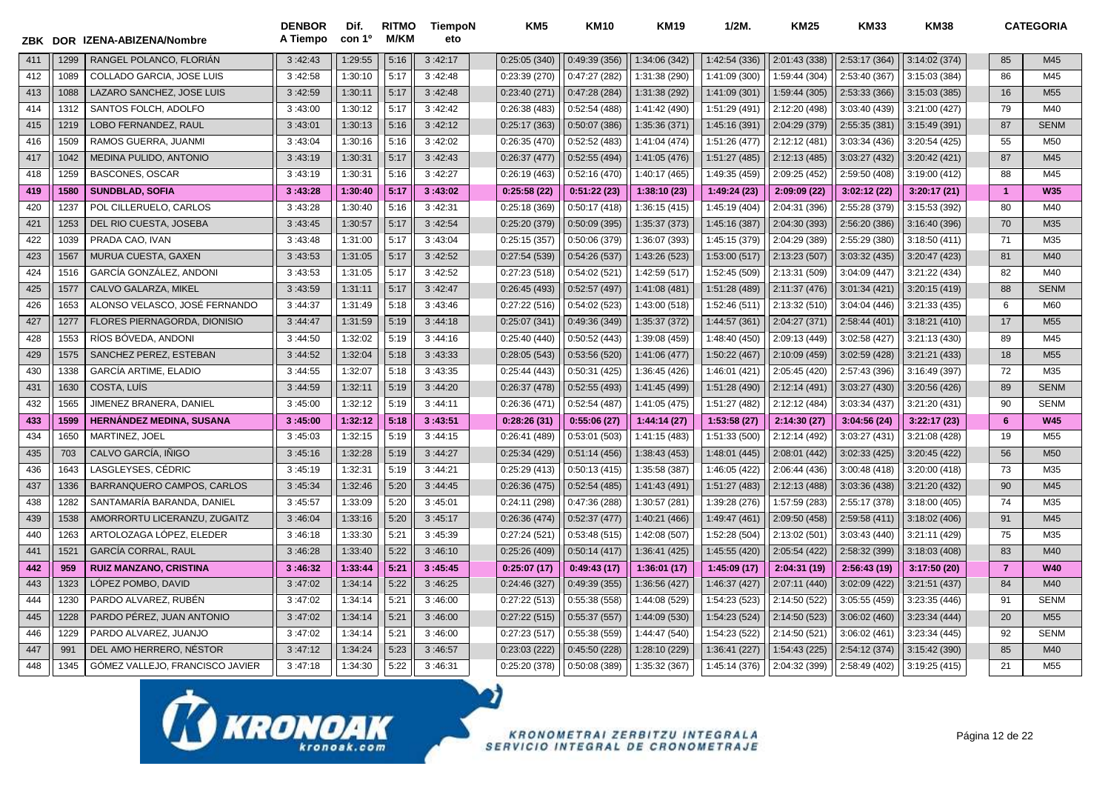| ZBK |      | DOR IZENA-ABIZENA/Nombre        | <b>DENBOR</b><br>A Tiempo | Dif.<br>con 1 <sup>o</sup> | <b>RITMO</b><br><b>M/KM</b> | TiempoN<br>eto | KM <sub>5</sub> | <b>KM10</b>   | <b>KM19</b>   | $1/2M$ .      | <b>KM25</b>   | <b>KM33</b>   | <b>KM38</b>   |                | <b>CATEGORIA</b> |
|-----|------|---------------------------------|---------------------------|----------------------------|-----------------------------|----------------|-----------------|---------------|---------------|---------------|---------------|---------------|---------------|----------------|------------------|
| 411 | 1299 | RANGEL POLANCO, FLORIAN         | 3:42:43                   | 1:29:55                    | 5:16                        | 3:42:17        | 0:25:05(340)    | 0:49:39(356)  | 1:34:06 (342) | 1:42:54 (336) | 2:01:43 (338) | 2:53:17 (364) | 3:14:02 (374) | 85             | M45              |
| 412 | 1089 | COLLADO GARCIA, JOSE LUIS       | 3:42:58                   | 1:30:10                    | 5:17                        | 3:42:48        | 0:23:39(270)    | 0:47:27(282)  | 1:31:38 (290) | 1:41:09 (300) | 1:59:44 (304) | 2:53:40 (367) | 3:15:03 (384) | 86             | M45              |
| 413 | 1088 | LAZARO SANCHEZ. JOSE LUIS       | 3:42:59                   | 1:30:11                    | 5:17                        | 3:42:48        | 0:23:40(271)    | 0:47:28(284)  | 1:31:38 (292) | 1:41:09 (301) | 1:59:44 (305) | 2:53:33 (366) | 3:15:03 (385) | 16             | M55              |
| 414 | 1312 | SANTOS FOLCH, ADOLFO            | 3:43:00                   | 1:30:12                    | 5:17                        | 3:42:42        | 0:26:38(483)    | 0:52:54(488)  | 1:41:42 (490) | 1:51:29 (491) | 2:12:20 (498) | 3:03:40 (439) | 3:21:00 (427) | 79             | M40              |
| 415 | 1219 | LOBO FERNANDEZ, RAUL            | 3:43:01                   | 1:30:13                    | 5:16                        | 3:42:12        | 0:25:17(363)    | 0:50:07(386)  | 1:35:36 (371) | 1:45:16 (391) | 2:04:29 (379) | 2:55:35 (381) | 3:15:49 (391) | 87             | <b>SENM</b>      |
| 416 | 1509 | RAMOS GUERRA, JUANMI            | 3:43:04                   | 1:30:16                    | 5:16                        | 3:42:02        | 0:26:35(470)    | 0:52:52(483)  | 1:41:04 (474) | 1:51:26 (477) | 2:12:12 (481) | 3:03:34 (436) | 3:20:54 (425) | 55             | M50              |
| 417 | 1042 | <b>MEDINA PULIDO, ANTONIO</b>   | 3:43:19                   | 1:30:31                    | 5:17                        | 3:42:43        | 0:26:37(477)    | 0:52:55(494)  | 1:41:05 (476) | 1:51:27 (485) | 2:12:13 (485) | 3:03:27 (432) | 3:20:42 (421) | 87             | M45              |
| 418 | 1259 | <b>BASCONES, OSCAR</b>          | 3:43:19                   | 1:30:31                    | 5:16                        | 3:42:27        | 0:26:19(463)    | 0:52:16(470)  | 1:40:17 (465) | 1:49:35 (459) | 2:09:25 (452) | 2:59:50 (408) | 3:19:00(412)  | 88             | M45              |
| 419 | 1580 | <b>SUNDBLAD, SOFIA</b>          | 3:43:28                   | 1:30:40                    | 5:17                        | 3:43:02        | 0:25:58(22)     | 0:51:22(23)   | 1:38:10(23)   | 1:49:24 (23)  | 2:09:09(22)   | 3:02:12(22)   | 3:20:17(21)   | $\overline{1}$ | <b>W35</b>       |
| 420 | 1237 | POL CILLERUELO. CARLOS          | 3:43:28                   | 1:30:40                    | 5:16                        | 3:42:31        | 0:25:18(369)    | 0:50:17(418)  | 1:36:15 (415) | 1:45:19 (404) | 2:04:31 (396) | 2:55:28 (379) | 3:15:53 (392) | 80             | M40              |
| 421 | 1253 | DEL RIO CUESTA, JOSEBA          | 3:43:45                   | 1:30:57                    | 5:17                        | 3:42:54        | 0:25:20(379)    | 0:50:09(395)  | 1:35:37 (373) | 1:45:16 (387) | 2:04:30 (393) | 2:56:20 (386) | 3:16:40 (396) | 70             | M35              |
| 422 | 1039 | PRADA CAO, IVAN                 | 3:43:48                   | 1:31:00                    | 5:17                        | 3:43:04        | 0:25:15(357)    | 0:50:06 (379) | 1:36:07 (393) | 1:45:15 (379) | 2:04:29 (389) | 2:55:29 (380) | 3:18:50(411)  | 71             | M35              |
| 423 | 1567 | MURUA CUESTA, GAXEN             | 3:43:53                   | 1:31:05                    | 5:17                        | 3:42:52        | 0:27:54(539)    | 0:54:26(537)  | 1:43:26 (523) | 1:53:00 (517) | 2:13:23 (507) | 3:03:32 (435) | 3:20:47 (423) | 81             | M40              |
| 424 | 1516 | GARCÍA GONZÁLEZ, ANDONI         | 3:43:53                   | 1:31:05                    | 5:17                        | 3:42:52        | 0:27:23(518)    | 0:54:02(521)  | 1:42:59 (517) | 1:52:45 (509) | 2:13:31 (509) | 3:04:09 (447) | 3:21:22 (434) | 82             | M40              |
| 425 | 1577 | CALVO GALARZA, MIKEL            | 3:43:59                   | 1:31:11                    | 5:17                        | 3:42:47        | 0:26:45(493)    | 0:52:57(497)  | 1:41:08 (481) | 1:51:28 (489) | 2:11:37 (476) | 3:01:34(421)  | 3:20:15 (419) | 88             | <b>SENM</b>      |
| 426 | 1653 | ALONSO VELASCO, JOSÉ FERNANDO   | 3:44:37                   | 1:31:49                    | 5:18                        | 3:43:46        | 0:27:22(516)    | 0:54:02(523)  | 1:43:00 (518) | 1:52:46 (511) | 2:13:32 (510) | 3:04:04 (446) | 3:21:33 (435) | 6              | M60              |
| 427 | 1277 | FLORES PIERNAGORDA, DIONISIO    | 3:44:47                   | 1:31:59                    | 5:19                        | 3:44:18        | 0:25:07(341)    | 0:49:36(349)  | 1:35:37 (372) | 1:44:57 (361) | 2:04:27 (371) | 2:58:44 (401) | 3:18:21(410)  | 17             | M <sub>55</sub>  |
| 428 | 1553 | RÍOS BÓVEDA, ANDONI             | 3:44:50                   | 1:32:02                    | 5:19                        | 3:44:16        | 0:25:40(440)    | 0:50:52(443)  | 1:39:08 (459) | 1:48:40 (450) | 2:09:13 (449) | 3:02:58 (427) | 3:21:13 (430) | 89             | M45              |
| 429 | 1575 | SANCHEZ PEREZ, ESTEBAN          | 3:44:52                   | 1:32:04                    | 5:18                        | 3:43:33        | 0:28:05(543)    | 0:53:56(520)  | 1:41:06 (477) | 1:50:22 (467) | 2:10:09 (459) | 3:02:59 (428) | 3:21:21 (433) | 18             | M <sub>55</sub>  |
| 430 | 1338 | <b>GARCÍA ARTIME, ELADIO</b>    | 3:44:55                   | 1:32:07                    | 5:18                        | 3:43:35        | 0:25:44(443)    | 0:50:31(425)  | 1:36:45 (426) | 1:46:01 (421) | 2:05:45 (420) | 2:57:43 (396) | 3:16:49 (397) | 72             | M35              |
| 431 | 1630 | COSTA, LUIS                     | 3:44:59                   | 1:32:11                    | 5:19                        | 3:44:20        | 0:26:37(478)    | 0:52:55(493)  | 1:41:45 (499) | 1:51:28 (490) | 2:12:14 (491) | 3:03:27 (430) | 3:20:56 (426) | 89             | <b>SENM</b>      |
| 432 | 1565 | JIMENEZ BRANERA, DANIEL         | 3:45:00                   | 1:32:12                    | 5:19                        | 3:44:11        | 0:26:36(471)    | 0:52:54(487)  | 1:41:05 (475) | 1:51:27 (482) | 2:12:12 (484) | 3:03:34 (437) | 3:21:20 (431) | 90             | <b>SENM</b>      |
| 433 | 1599 | <b>HERNÁNDEZ MEDINA, SUSANA</b> | 3:45:00                   | 1:32:12                    | 5:18                        | 3:43:51        | 0:28:26(31)     | 0:55:06(27)   | 1:44:14(27)   | 1:53:58(27)   | 2:14:30 (27)  | 3:04:56(24)   | 3:22:17(23)   | 6              | <b>W45</b>       |
| 434 | 1650 | MARTINEZ, JOEL                  | 3:45:03                   | 1:32:15                    | 5:19                        | 3:44:15        | 0:26:41 (489)   | 0:53:01(503)  | 1:41:15 (483) | 1:51:33 (500) | 2:12:14 (492) | 3:03:27 (431) | 3:21:08 (428) | 19             | M <sub>55</sub>  |
| 435 | 703  | CALVO GARCÍA, IÑIGO             | 3:45:16                   | 1:32:28                    | 5:19                        | 3:44:27        | 0:25:34(429)    | 0:51:14(456)  | 1:38:43 (453) | 1:48:01 (445) | 2:08:01 (442) | 3:02:33(425)  | 3:20:45 (422) | 56             | M50              |
| 436 | 1643 | LASGLEYSES, CÉDRIC              | 3:45:19                   | 1:32:31                    | 5:19                        | 3:44:21        | 0:25:29(413)    | 0:50:13(415)  | 1:35:58 (387) | 1:46:05 (422) | 2:06:44 (436) | 3:00:48 (418) | 3:20:00 (418) | 73             | M35              |
| 437 | 1336 | BARRANQUERO CAMPOS, CARLOS      | 3:45:34                   | 1:32:46                    | 5:20                        | 3:44:45        | 0:26:36(475)    | 0:52:54(485)  | 1:41:43 (491) | 1:51:27 (483) | 2:12:13 (488) | 3:03:36 (438) | 3:21:20 (432) | 90             | M45              |
| 438 | 1282 | SANTAMARIA BARANDA, DANIEL      | 3:45:57                   | 1:33:09                    | 5:20                        | 3:45:01        | 0:24:11 (298)   | 0:47:36(288)  | 1:30:57 (281) | 1:39:28 (276) | 1:57:59 (283) | 2:55:17 (378) | 3:18:00(405)  | 74             | M35              |
| 439 | 1538 | AMORRORTU LICERANZU, ZUGAITZ    | 3:46:04                   | 1:33:16                    | 5:20                        | 3:45:17        | 0:26:36(474)    | 0:52:37(477)  | 1:40:21 (466) | 1:49:47 (461) | 2:09:50 (458) | 2:59:58 (411) | 3:18:02 (406) | 91             | M45              |
| 440 | 1263 | ARTOLOZAGA LÓPEZ, ELEDER        | 3:46:18                   | 1:33:30                    | 5:21                        | 3:45:39        | 0:27:24(521)    | 0:53:48(515)  | 1:42:08 (507) | 1:52:28 (504) | 2:13:02 (501) | 3:03:43 (440) | 3:21:11 (429) | 75             | M35              |
| 441 | 1521 | <b>GARCÍA CORRAL, RAUL</b>      | 3:46:28                   | 1:33:40                    | 5:22                        | 3:46:10        | 0:25:26(409)    | 0:50:14(417)  | 1:36:41 (425) | 1:45:55 (420) | 2:05:54 (422) | 2:58:32 (399) | 3:18:03 (408) | 83             | M40              |
| 442 | 959  | <b>RUIZ MANZANO, CRISTINA</b>   | 3:46:32                   | 1:33:44                    | 5:21                        | 3:45:45        | 0:25:07(17)     | 0:49:43(17)   | 1:36:01 (17)  | 1:45:09 (17)  | 2:04:31 (19)  | 2:56:43 (19)  | 3:17:50(20)   | $\overline{7}$ | <b>W40</b>       |
| 443 | 1323 | LÓPEZ POMBO, DAVID              | 3:47:02                   | 1:34:14                    | 5:22                        | 3:46:25        | 0:24:46(327)    | 0:49:39(355)  | 1:36:56 (427) | 1:46:37 (427) | 2:07:11 (440) | 3:02:09 (422) | 3:21:51 (437) | 84             | M40              |
| 444 | 1230 | PARDO ALVAREZ. RUBÉN            | 3:47:02                   | 1:34:14                    | 5:21                        | 3:46:00        | 0:27:22(513)    | 0:55:38(558)  | 1:44:08 (529) | 1:54:23 (523) | 2:14:50 (522) | 3:05:55 (459) | 3:23:35 (446) | 91             | <b>SENM</b>      |
| 445 | 1228 | PARDO PÉREZ, JUAN ANTONIO       | 3:47:02                   | 1:34:14                    | 5:21                        | 3:46:00        | 0:27:22(515)    | 0:55:37(557)  | 1:44:09 (530) | 1:54:23 (524) | 2:14:50 (523) | 3:06:02 (460) | 3:23:34 (444) | 20             | M <sub>55</sub>  |
| 446 | 1229 | PARDO ALVAREZ, JUANJO           | 3:47:02                   | 1:34:14                    | 5:21                        | 3:46:00        | 0:27:23(517)    | 0:55:38(559)  | 1:44:47 (540) | 1:54:23 (522) | 2:14:50 (521) | 3:06:02 (461) | 3:23:34 (445) | 92             | <b>SENM</b>      |
| 447 | 991  | DEL AMO HERRERO, NÉSTOR         | 3:47:12                   | 1:34:24                    | 5:23                        | 3:46:57        | 0:23:03(222)    | 0:45:50(228)  | 1:28:10 (229) | 1:36:41 (227) | 1:54:43 (225) | 2:54:12 (374) | 3:15:42 (390) | 85             | M40              |
| 448 | 1345 | GÓMEZ VALLEJO, FRANCISCO JAVIER | 3:47:18                   | 1:34:30                    | 5:22                        | 3:46:31        | 0:25:20(378)    | 0:50:08(389)  | 1:35:32 (367) | 1:45:14 (376) | 2:04:32 (399) | 2:58:49 (402) | 3:19:25 (415) | 21             | M55              |

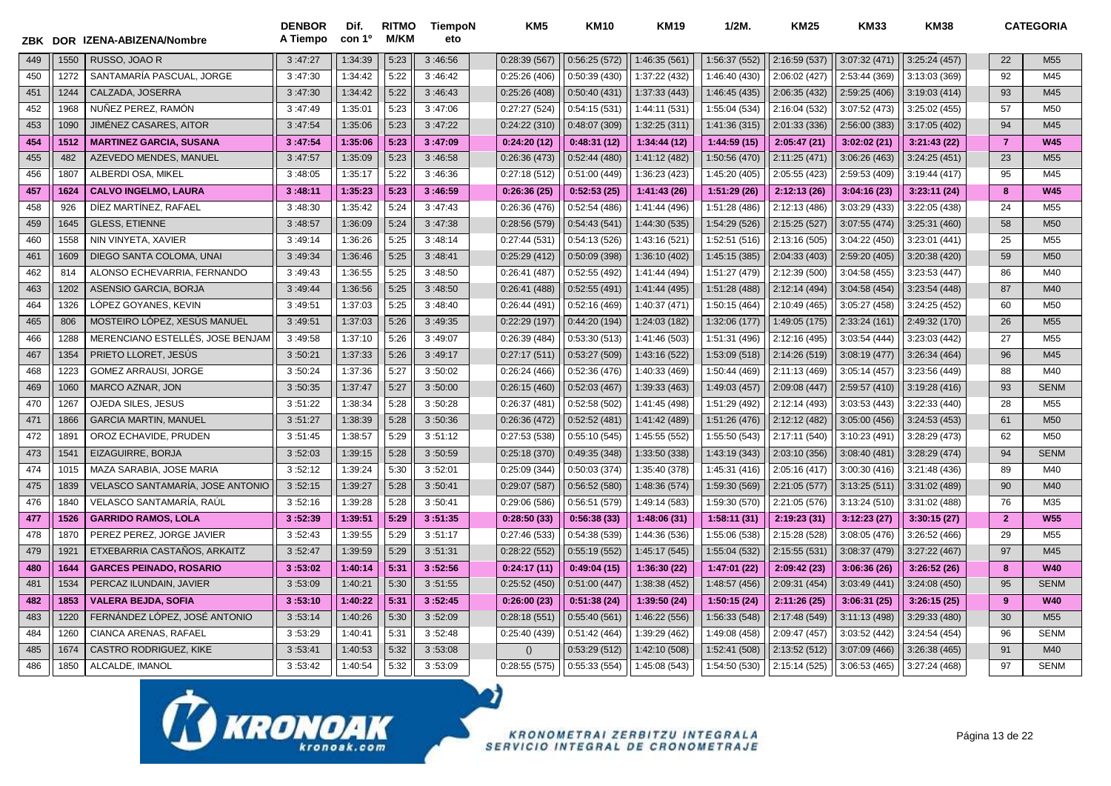|     |      | ZBK DOR IZENA-ABIZENA/Nombre     | <b>DENBOR</b><br>A Tiempo | Dif.<br>con 1º | <b>RITMO</b><br>M/KM | <b>TiempoN</b><br>eto | KM <sub>5</sub> | <b>KM10</b>  | <b>KM19</b>   | $1/2M$ .      | <b>KM25</b>   | KM33          | <b>KM38</b>   |                | <b>CATEGORIA</b> |
|-----|------|----------------------------------|---------------------------|----------------|----------------------|-----------------------|-----------------|--------------|---------------|---------------|---------------|---------------|---------------|----------------|------------------|
| 449 | 1550 | RUSSO, JOAO R                    | 3:47:27                   | 1:34:39        | 5:23                 | 3:46:56               | 0:28:39(567)    | 0:56:25(572) | 1:46:35 (561) | 1:56:37 (552) | 2:16:59 (537) | 3:07:32 (471) | 3:25:24(457)  | 22             | M <sub>55</sub>  |
| 450 | 1272 | SANTAMARÍA PASCUAL. JORGE        | 3:47:30                   | 1:34:42        | 5:22                 | 3:46:42               | 0:25:26(406)    | 0:50:39(430) | 1:37:22 (432) | 1:46:40 (430) | 2:06:02 (427) | 2:53:44 (369) | 3:13:03 (369) | 92             | M45              |
| 451 | 1244 | CALZADA, JOSERRA                 | 3:47:30                   | 1:34:42        | 5:22                 | 3:46:43               | 0:25:26(408)    | 0:50:40(431) | 1:37:33 (443) | 1:46:45 (435) | 2:06:35(432)  | 2:59:25 (406) | 3:19:03(414)  | 93             | M45              |
| 452 | 1968 | NUÑEZ PEREZ. RAMÓN               | 3:47:49                   | 1:35:01        | 5:23                 | 3:47:06               | 0:27:27(524)    | 0:54:15(531) | 1:44:11 (531) | 1:55:04 (534) | 2:16:04 (532) | 3:07:52 (473) | 3:25:02 (455) | 57             | M50              |
| 453 | 1090 | JIMÉNEZ CASARES, AITOR           | 3:47:54                   | 1:35:06        | 5:23                 | 3:47:22               | 0:24:22(310)    | 0:48:07(309) | 1:32:25 (311) | 1:41:36 (315) | 2:01:33 (336) | 2:56:00 (383) | 3:17:05 (402) | 94             | M45              |
| 454 | 1512 | <b>MARTINEZ GARCIA, SUSANA</b>   | 3:47:54                   | 1:35:06        | 5:23                 | 3:47:09               | 0:24:20(12)     | 0:48:31(12)  | 1:34:44 (12)  | 1:44:59 (15)  | 2:05:47(21)   | 3:02:02(21)   | 3:21:43(22)   | $\overline{7}$ | <b>W45</b>       |
| 455 | 482  | AZEVEDO MENDES, MANUEL           | 3:47:57                   | 1:35:09        | 5:23                 | 3:46:58               | 0:26:36(473)    | 0:52:44(480) | 1:41:12 (482) | 1:50:56 (470) | 2:11:25 (471) | 3:06:26 (463) | 3:24:25(451)  | 23             | M <sub>55</sub>  |
| 456 | 1807 | ALBERDI OSA, MIKEL               | 3:48:05                   | 1:35:17        | 5:22                 | 3:46:36               | 0:27:18(512)    | 0:51:00(449) | 1:36:23 (423) | 1:45:20 (405) | 2:05:55 (423) | 2:59:53 (409) | 3:19:44(417)  | 95             | M45              |
| 457 | 1624 | <b>CALVO INGELMO, LAURA</b>      | 3:48:11                   | 1:35:23        | 5:23                 | 3:46:59               | 0:26:36(25)     | 0:52:53(25)  | 1:41:43(26)   | 1:51:29 (26)  | 2:12:13 (26)  | 3:04:16(23)   | 3:23:11(24)   | 8              | <b>W45</b>       |
| 458 | 926  | DIEZ MARTINEZ, RAFAEL            | 3:48:30                   | 1:35:42        | 5:24                 | 3:47:43               | 0:26:36(476)    | 0:52:54(486) | 1:41:44 (496) | 1:51:28 (486) | 2:12:13 (486) | 3:03:29 (433) | 3:22:05 (438) | 24             | M <sub>55</sub>  |
| 459 | 1645 | <b>GLESS, ETIENNE</b>            | 3:48:57                   | 1:36:09        | 5:24                 | 3:47:38               | 0:28:56(579)    | 0:54:43(541) | 1:44:30 (535) | 1:54:29 (526) | 2:15:25 (527) | 3:07:55 (474) | 3:25:31 (460) | 58             | M <sub>50</sub>  |
| 460 | 1558 | NIN VINYETA, XAVIER              | 3:49:14                   | 1:36:26        | 5:25                 | 3:48:14               | 0:27:44(531)    | 0:54:13(526) | 1:43:16 (521) | 1:52:51 (516) | 2:13:16 (505) | 3:04:22 (450) | 3:23:01 (441) | 25             | M <sub>55</sub>  |
| 461 | 1609 | DIEGO SANTA COLOMA, UNAI         | 3:49:34                   | 1:36:46        | 5:25                 | 3:48:41               | 0:25:29(412)    | 0:50:09(398) | 1:36:10 (402) | 1:45:15 (385) | 2:04:33 (403) | 2:59:20 (405) | 3:20:38 (420) | 59             | M <sub>50</sub>  |
| 462 | 814  | ALONSO ECHEVARRIA, FERNANDO      | 3:49:43                   | 1:36:55        | 5:25                 | 3:48:50               | 0:26:41(487)    | 0:52:55(492) | 1:41:44 (494) | 1:51:27 (479) | 2:12:39 (500) | 3:04:58(455)  | 3:23:53(447)  | 86             | M40              |
| 463 | 1202 | ASENSIO GARCIA, BORJA            | 3:49:44                   | 1:36:56        | 5:25                 | 3:48:50               | 0:26:41(488)    | 0:52:55(491) | 1:41:44 (495) | 1:51:28 (488) | 2:12:14 (494) | 3:04:58(454)  | 3:23:54(448)  | 87             | M40              |
| 464 | 1326 | LÓPEZ GOYANES. KEVIN             | 3:49:51                   | 1:37:03        | 5:25                 | 3:48:40               | 0:26:44(491)    | 0:52:16(469) | 1:40:37 (471) | 1:50:15 (464) | 2:10:49 (465) | 3:05:27 (458) | 3:24:25 (452) | 60             | M <sub>50</sub>  |
| 465 | 806  | MOSTEIRO LÓPEZ, XESÚS MANUEL     | 3:49:51                   | 1:37:03        | 5:26                 | 3:49:35               | 0:22:29(197)    | 0:44:20(194) | 1:24:03 (182) | 1:32:06 (177) | 1:49:05 (175) | 2:33:24 (161) | 2:49:32 (170) | 26             | M <sub>55</sub>  |
| 466 | 1288 | MERENCIANO ESTELLÉS. JOSE BENJAM | 3:49:58                   | 1:37:10        | 5:26                 | 3:49:07               | 0:26:39(484)    | 0:53:30(513) | 1:41:46 (503) | 1:51:31 (496) | 2:12:16 (495) | 3:03:54 (444) | 3:23:03 (442) | 27             | M <sub>55</sub>  |
| 467 | 1354 | PRIETO LLORET, JESÚS             | 3:50:21                   | 1:37:33        | 5:26                 | 3:49:17               | 0:27:17(511)    | 0:53:27(509) | 1:43:16 (522) | 1:53:09 (518) | 2:14:26 (519) | 3:08:19 (477) | 3:26:34(464)  | 96             | M45              |
| 468 | 1223 | <b>GOMEZ ARRAUSI, JORGE</b>      | 3:50:24                   | 1:37:36        | 5:27                 | 3:50:02               | 0:26:24(466)    | 0:52:36(476) | 1:40:33 (469) | 1:50:44 (469) | 2:11:13 (469) | 3:05:14(457)  | 3:23:56 (449) | 88             | M40              |
| 469 | 1060 | MARCO AZNAR, JON                 | 3:50:35                   | 1:37:47        | 5:27                 | 3:50:00               | 0:26:15(460)    | 0:52:03(467) | 1:39:33 (463) | 1:49:03 (457) | 2:09:08 (447) | 2:59:57 (410) | 3:19:28(416)  | 93             | <b>SENM</b>      |
| 470 | 1267 | OJEDA SILES, JESUS               | 3:51:22                   | 1:38:34        | 5:28                 | 3:50:28               | 0:26:37(481)    | 0:52:58(502) | 1:41:45 (498) | 1:51:29 (492) | 2:12:14 (493) | 3:03:53(443)  | 3:22:33 (440) | 28             | M <sub>55</sub>  |
| 471 | 1866 | <b>GARCIA MARTIN, MANUEL</b>     | 3:51:27                   | 1:38:39        | 5:28                 | 3:50:36               | 0:26:36(472)    | 0:52:52(481) | 1:41:42 (489) | 1:51:26 (476) | 2:12:12 (482) | 3:05:00 (456) | 3:24:53(453)  | 61             | M <sub>50</sub>  |
| 472 | 189' | OROZ ECHAVIDE, PRUDEN            | 3:51:45                   | 1:38:57        | 5:29                 | 3:51:12               | 0:27:53(538)    | 0:55:10(545) | 1:45:55 (552) | 1:55:50 (543) | 2:17:11 (540) | 3:10:23 (491) | 3:28:29 (473) | 62             | M50              |
| 473 | 154' | EIZAGUIRRE, BORJA                | 3:52:03                   | 1:39:15        | 5:28                 | 3:50:59               | 0:25:18(370)    | 0:49:35(348) | 1:33:50 (338) | 1:43:19 (343) | 2:03:10 (356) | 3:08:40 (481) | 3:28:29(474)  | 94             | <b>SENM</b>      |
| 474 | 1015 | MAZA SARABIA, JOSE MARIA         | 3:52:12                   | 1:39:24        | 5:30                 | 3:52:01               | 0:25:09(344)    | 0:50:03(374) | 1:35:40 (378) | 1:45:31 (416) | 2:05:16 (417) | 3:00:30 (416) | 3:21:48 (436) | 89             | M40              |
| 475 | 1839 | VELASCO SANTAMARÍA, JOSE ANTONIO | 3:52:15                   | 1:39:27        | 5:28                 | 3:50:41               | 0:29:07(587)    | 0:56:52(580) | 1:48:36 (574) | 1:59:30 (569) | 2:21:05(577)  | 3:13:25(511)  | 3:31:02 (489) | 90             | M40              |
| 476 | 1840 | VELASCO SANTAMARÍA, RAÚL         | 3:52:16                   | 1:39:28        | 5:28                 | 3:50:41               | 0:29:06(586)    | 0:56:51(579) | 1:49:14 (583) | 1:59:30 (570) | 2:21:05 (576) | 3:13:24(510)  | 3:31:02 (488) | 76             | M35              |
| 477 | 1526 | <b>GARRIDO RAMOS, LOLA</b>       | 3:52:39                   | 1:39:51        | 5:29                 | 3:51:35               | 0:28:50(33)     | 0:56:38(33)  | 1:48:06(31)   | 1:58:11(31)   | 2:19:23 (31)  | 3:12:23(27)   | 3:30:15(27)   | $\overline{2}$ | <b>W55</b>       |
| 478 | 1870 | PEREZ PEREZ, JORGE JAVIER        | 3:52:43                   | 1:39:55        | 5:29                 | 3:51:17               | 0:27:46 (533)   | 0:54:38(539) | 1:44:36 (536) | 1:55:06 (538) | 2:15:28 (528) | 3:08:05 (476) | 3:26:52 (466) | 29             | M <sub>55</sub>  |
| 479 | 1921 | ETXEBARRIA CASTAÑOS, ARKAITZ     | 3:52:47                   | 1:39:59        | 5:29                 | 3:51:31               | 0:28:22(552)    | 0:55:19(552) | 1:45:17 (545) | 1:55:04 (532) | 2:15:55 (531) | 3:08:37 (479) | 3:27:22 (467) | 97             | M45              |
| 480 | 1644 | <b>GARCES PEINADO, ROSARIO</b>   | 3:53:02                   | 1:40:14        | 5:31                 | 3:52:56               | 0:24:17(11)     | 0:49:04(15)  | 1:36:30 (22)  | 1:47:01 (22)  | 2:09:42 (23)  | 3:06:36(26)   | 3:26:52(26)   | 8              | <b>W40</b>       |
| 481 | 1534 | PERCAZ ILUNDAIN, JAVIER          | 3:53:09                   | 1:40:21        | 5:30                 | 3:51:55               | 0:25:52(450)    | 0:51:00(447) | 1:38:38 (452) | 1:48:57 (456) | 2:09:31 (454) | 3:03:49(441)  | 3:24:08 (450) | 95             | <b>SENM</b>      |
| 482 | 1853 | <b>VALERA BEJDA, SOFIA</b>       | 3:53:10                   | 1:40:22        | 5:31                 | 3:52:45               | 0:26:00(23)     | 0:51:38(24)  | 1:39:50(24)   | 1:50:15(24)   | 2:11:26(25)   | 3:06:31(25)   | 3:26:15(25)   | 9              | <b>W40</b>       |
| 483 | 1220 | FERNÁNDEZ LÓPEZ, JOSÉ ANTONIO    | 3:53:14                   | 1:40:26        | 5:30                 | 3:52:09               | 0:28:18(551)    | 0:55:40(561) | 1:46:22 (556) | 1:56:33 (548) | 2:17:48 (549) | 3:11:13(498)  | 3:29:33 (480) | 30             | M <sub>55</sub>  |
| 484 | 1260 | CIANCA ARENAS, RAFAEL            | 3:53:29                   | 1:40:41        | 5:31                 | 3:52:48               | 0:25:40(439)    | 0:51:42(464) | 1:39:29 (462) | 1:49:08 (458) | 2:09:47 (457) | 3:03:52 (442) | 3:24:54(454)  | 96             | <b>SENM</b>      |
| 485 | 1674 | CASTRO RODRIGUEZ, KIKE           | 3:53:41                   | 1:40:53        | 5:32                 | 3:53:08               | ()              | 0:53:29(512) | 1:42:10 (508) | 1:52:41 (508) | 2:13:52 (512) | 3:07:09 (466) | 3:26:38(465)  | 91             | M40              |
| 486 | 1850 | ALCALDE, IMANOL                  | 3:53:42                   | 1:40:54        | 5:32                 | 3:53:09               | 0:28:55(575)    | 0:55:33(554) | 1:45:08 (543) | 1:54:50 (530) | 2:15:14 (525) | 3:06:53 (465) | 3:27:24 (468) | 97             | <b>SENM</b>      |

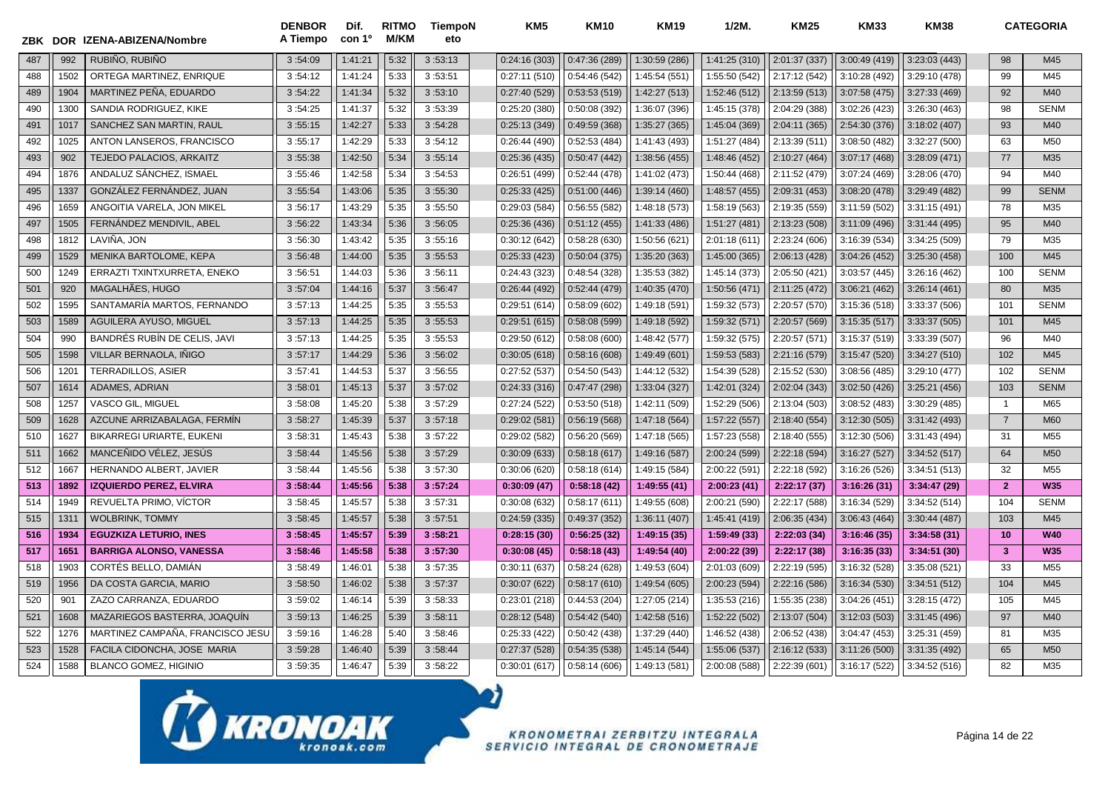| ZBK | <b>DOR</b> | IZENA-ABIZENA/Nombre             | <b>DENBOR</b><br>A Tiempo | Dif.<br>con 1 <sup>o</sup> | <b>RITMO</b><br>M/KM | TiempoN<br>eto | KM <sub>5</sub> | <b>KM10</b>   | <b>KM19</b>   | $1/2M$ .      | <b>KM25</b>   | <b>KM33</b>   | <b>KM38</b>   |                | <b>CATEGORIA</b> |
|-----|------------|----------------------------------|---------------------------|----------------------------|----------------------|----------------|-----------------|---------------|---------------|---------------|---------------|---------------|---------------|----------------|------------------|
| 487 | 992        | RUBIÑO, RUBIÑO                   | 3:54:09                   | 1:41:21                    | 5:32                 | 3:53:13        | 0:24:16(303)    | 0:47:36(289)  | 1:30:59 (286) | 1:41:25 (310) | 2:01:37 (337) | 3:00:49 (419) | 3:23:03(443)  | 98             | M45              |
| 488 | 1502       | ORTEGA MARTINEZ, ENRIQUE         | 3:54:12                   | 1:41:24                    | 5:33                 | 3:53:51        | 0:27:11(510)    | 0:54:46 (542) | 1:45:54 (551) | 1:55:50 (542) | 2:17:12 (542) | 3:10:28 (492) | 3:29:10 (478) | 99             | M45              |
| 489 | 1904       | MARTINEZ PEÑA, EDUARDO           | 3:54:22                   | 1:41:34                    | 5:32                 | 3:53:10        | 0:27:40(529)    | 0:53:53(519)  | 1:42:27 (513) | 1:52:46 (512) | 2:13:59(513)  | 3:07:58 (475) | 3:27:33 (469) | 92             | M40              |
| 490 | 1300       | SANDIA RODRIGUEZ, KIKE           | 3:54:25                   | 1:41:37                    | 5:32                 | 3:53:39        | 0:25:20(380)    | 0:50:08(392)  | 1:36:07 (396) | 1:45:15 (378) | 2:04:29 (388) | 3:02:26 (423) | 3:26:30 (463) | 98             | <b>SENM</b>      |
| 491 | 1017       | SANCHEZ SAN MARTIN, RAUL         | 3:55:15                   | 1:42:27                    | 5:33                 | 3:54:28        | 0:25:13(349)    | 0:49:59 (368) | 1:35:27 (365) | 1:45:04 (369) | 2:04:11 (365) | 2:54:30 (376) | 3:18:02 (407) | 93             | M40              |
| 492 | 1025       | ANTON LANSEROS, FRANCISCO        | 3:55:17                   | 1:42:29                    | 5:33                 | 3:54:12        | 0:26:44(490)    | 0:52:53(484)  | 1:41:43 (493) | 1:51:27 (484) | 2:13:39 (511) | 3:08:50 (482) | 3:32:27 (500) | 63             | M50              |
| 493 | 902        | TEJEDO PALACIOS, ARKAITZ         | 3:55:38                   | 1:42:50                    | 5:34                 | 3:55:14        | 0:25:36(435)    | 0:50:47(442)  | 1:38:56 (455) | 1:48:46 (452) | 2:10:27 (464) | 3:07:17 (468) | 3:28:09(471)  | 77             | M35              |
| 494 | 1876       | ANDALUZ SANCHEZ, ISMAEL          | 3:55:46                   | 1:42:58                    | 5:34                 | 3:54:53        | 0:26:51 (499)   | 0:52:44(478)  | 1:41:02 (473) | 1:50:44 (468) | 2:11:52 (479) | 3:07:24 (469) | 3:28:06 (470) | 94             | M40              |
| 495 | 1337       | GONZÁLEZ FERNÁNDEZ, JUAN         | 3:55:54                   | 1:43:06                    | 5:35                 | 3:55:30        | 0:25:33(425)    | 0:51:00(446)  | 1:39:14 (460) | 1:48:57 (455) | 2:09:31 (453) | 3:08:20 (478) | 3:29:49 (482) | 99             | <b>SENM</b>      |
| 496 | 1659       | ANGOITIA VARELA, JON MIKEL       | 3:56:17                   | 1:43:29                    | 5:35                 | 3:55:50        | 0:29:03(584)    | 0:56:55(582)  | 1:48:18 (573) | 1:58:19 (563) | 2:19:35 (559) | 3:11:59 (502) | 3:31:15(491)  | 78             | M35              |
| 497 | 1505       | FERNANDEZ MENDIVIL, ABEL         | 3:56:22                   | 1:43:34                    | 5:36                 | 3:56:05        | 0:25:36(436)    | 0:51:12(455)  | 1:41:33 (486) | 1:51:27 (481) | 2:13:23 (508) | 3:11:09 (496) | 3:31:44(495)  | 95             | M40              |
| 498 | 1812       | LAVIÑA. JON                      | 3:56:30                   | 1:43:42                    | 5:35                 | 3:55:16        | 0:30:12(642)    | 0:58:28 (630) | 1:50:56 (621) | 2:01:18 (611) | 2:23:24 (606) | 3:16:39 (534) | 3:34:25 (509) | 79             | M35              |
| 499 | 1529       | MENIKA BARTOLOME, KEPA           | 3:56:48                   | 1:44:00                    | 5:35                 | 3:55:53        | 0:25:33(423)    | 0:50:04(375)  | 1:35:20 (363) | 1:45:00 (365) | 2:06:13 (428) | 3:04:26 (452) | 3:25:30 (458) | 100            | M45              |
| 500 | 1249       | ERRAZTI TXINTXURRETA. ENEKO      | 3:56:51                   | 1:44:03                    | 5:36                 | 3:56:11        | 0:24:43(323)    | 0:48:54(328)  | 1:35:53 (382) | 1:45:14 (373) | 2:05:50 (421) | 3:03:57(445)  | 3:26:16(462)  | 100            | <b>SENM</b>      |
| 501 | 920        | MAGALHÃES, HUGO                  | 3:57:04                   | 1:44:16                    | 5:37                 | 3:56:47        | 0:26:44(492)    | 0:52:44(479)  | 1:40:35 (470) | 1:50:56 (471) | 2:11:25 (472) | 3:06:21 (462) | 3:26:14(461)  | 80             | M35              |
| 502 | 1595       | SANTAMARÍA MARTOS, FERNANDO      | 3:57:13                   | 1:44:25                    | 5:35                 | 3:55:53        | 0:29:51(614)    | 0:58:09(602)  | 1:49:18 (591) | 1:59:32 (573) | 2:20:57 (570) | 3:15:36 (518) | 3:33:37 (506) | 101            | <b>SENM</b>      |
| 503 | 1589       | AGUILERA AYUSO, MIGUEL           | 3:57:13                   | 1:44:25                    | 5:35                 | 3:55:53        | 0:29:51(615)    | 0:58:08(599)  | 1:49:18 (592) | 1:59:32 (571) | 2:20:57 (569) | 3:15:35(517)  | 3:33:37 (505) | 101            | M45              |
| 504 | 990        | BANDRÉS RUBÍN DE CELIS, JAVI     | 3:57:13                   | 1:44:25                    | 5:35                 | 3:55:53        | 0:29:50(612)    | 0:58:08(600)  | 1:48:42 (577) | 1:59:32 (575) | 2:20:57 (571) | 3:15:37 (519) | 3:33:39 (507) | 96             | M40              |
| 505 | 1598       | VILLAR BERNAOLA. INIGO           | 3:57:17                   | 1:44:29                    | 5:36                 | 3:56:02        | 0:30:05(618)    | 0:58:16(608)  | 1:49:49 (601) | 1:59:53 (583) | 2:21:16 (579) | 3:15:47 (520) | 3:34:27(510)  | 102            | M45              |
| 506 | 1201       | <b>TERRADILLOS, ASIER</b>        | 3:57:41                   | 1:44:53                    | 5:37                 | 3:56:55        | 0:27:52(537)    | 0:54:50(543)  | 1:44:12 (532) | 1:54:39 (528) | 2:15:52 (530) | 3:08:56 (485) | 3:29:10 (477) | 102            | <b>SENM</b>      |
| 507 | 1614       | <b>ADAMES, ADRIAN</b>            | 3:58:01                   | 1:45:13                    | 5:37                 | 3:57:02        | 0:24:33(316)    | 0:47:47(298)  | 1:33:04 (327) | 1:42:01 (324) | 2:02:04 (343) | 3:02:50 (426) | 3:25:21(456)  | 103            | <b>SENM</b>      |
| 508 | 1257       | <b>VASCO GIL. MIGUEL</b>         | 3:58:08                   | 1:45:20                    | 5:38                 | 3:57:29        | 0:27:24(522)    | 0:53:50(518)  | 1:42:11 (509) | 1:52:29 (506) | 2:13:04 (503) | 3:08:52 (483) | 3:30:29(485)  | $\mathbf{1}$   | M65              |
| 509 | 1628       | AZCUNE ARRIZABALAGA, FERMÍN      | 3:58:27                   | 1:45:39                    | 5:37                 | 3:57:18        | 0:29:02(581)    | 0:56:19(568)  | 1:47:18 (564) | 1:57:22 (557) | 2:18:40 (554) | 3:12:30(505)  | 3:31:42 (493) | $\overline{7}$ | M60              |
| 510 | 1627       | <b>BIKARREGI URIARTE, EUKENI</b> | 3:58:31                   | 1:45:43                    | 5:38                 | 3:57:22        | 0:29:02(582)    | 0:56:20(569)  | 1:47:18 (565) | 1:57:23 (558) | 2:18:40 (555) | 3:12:30 (506) | 3:31:43 (494) | 31             | M <sub>55</sub>  |
| 511 | 1662       | MANCEÑIDO VÉLEZ, JESÚS           | 3:58:44                   | 1:45:56                    | 5:38                 | 3:57:29        | 0:30:09(633)    | 0:58:18(617)  | 1:49:16 (587) | 2:00:24 (599) | 2:22:18 (594) | 3:16:27(527)  | 3:34:52(517)  | 64             | M <sub>50</sub>  |
| 512 | 1667       | HERNANDO ALBERT, JAVIER          | 3:58:44                   | 1:45:56                    | 5:38                 | 3:57:30        | 0:30:06(620)    | 0:58:18(614)  | 1:49:15 (584) | 2:00:22 (591) | 2:22:18 (592) | 3:16:26 (526) | 3:34:51(513)  | 32             | M <sub>55</sub>  |
| 513 | 1892       | <b>IZQUIERDO PEREZ, ELVIRA</b>   | 3:58:44                   | 1:45:56                    | 5:38                 | 3:57:24        | 0:30:09(47)     | 0:58:18(42)   | 1:49:55(41)   | 2:00:23(41)   | 2:22:17(37)   | 3:16:26(31)   | 3:34:47 (29)  | $\overline{2}$ | <b>W35</b>       |
| 514 | 1949       | REVUELTA PRIMO, VÍCTOR           | 3:58:45                   | 1:45:57                    | 5:38                 | 3:57:31        | 0:30:08(632)    | 0:58:17(611)  | 1:49:55 (608) | 2:00:21 (590) | 2:22:17 (588) | 3:16:34 (529) | 3:34:52(514)  | 104            | <b>SENM</b>      |
| 515 | 131'       | <b>WOLBRINK, TOMMY</b>           | 3:58:45                   | 1:45:57                    | 5:38                 | 3:57:51        | 0:24:59(335)    | 0:49:37(352)  | 1:36:11 (407) | 1:45:41 (419) | 2:06:35 (434) | 3:06:43 (464) | 3:30:44 (487) | 103            | M45              |
| 516 | 1934       | <b>EGUZKIZA LETURIO, INES</b>    | 3:58:45                   | 1:45:57                    | 5:39                 | 3:58:21        | 0:28:15(30)     | 0:56:25(32)   | 1:49:15 (35)  | 1:59:49 (33)  | 2:22:03 (34)  | 3:16:46(35)   | 3:34:58(31)   | 10             | <b>W40</b>       |
| 517 | 1651       | <b>BARRIGA ALONSO, VANESSA</b>   | 3:58:46                   | 1:45:58                    | 5:38                 | 3:57:30        | 0:30:08(45)     | 0:58:18(43)   | 1:49:54 (40)  | 2:00:22 (39)  | 2:22:17 (38)  | 3:16:35 (33)  | 3:34:51(30)   | 3              | <b>W35</b>       |
| 518 | 1903       | CORTÉS BELLO, DAMIAN             | 3:58:49                   | 1:46:0'                    | 5:38                 | 3:57:35        | 0:30:11(637)    | 0:58:24(628)  | 1:49:53 (604) | 2:01:03 (609) | 2:22:19 (595) | 3:16:32 (528) | 3:35:08 (521) | 33             | M <sub>55</sub>  |
| 519 | 1956       | DA COSTA GARCIA, MARIO           | 3:58:50                   | 1:46:02                    | 5:38                 | 3:57:37        | 0:30:07(622)    | 0:58:17(610)  | 1:49:54 (605) | 2:00:23 (594) | 2:22:16 (586) | 3:16:34(530)  | 3:34:51(512)  | 104            | M45              |
| 520 | 901        | ZAZO CARRANZA, EDUARDO           | 3:59:02                   | 1:46:14                    | 5:39                 | 3:58:33        | 0:23:01(218)    | 0:44:53(204)  | 1:27:05 (214) | 1:35:53 (216) | 1:55:35 (238) | 3:04:26 (451) | 3:28:15(472)  | 105            | M45              |
| 521 | 1608       | MAZARIEGOS BASTERRA, JOAQUIN     | 3:59:13                   | 1:46:25                    | 5:39                 | 3:58:11        | 0:28:12(548)    | 0:54:42(540)  | 1:42:58 (516) | 1:52:22 (502) | 2:13:07 (504) | 3:12:03(503)  | 3:31:45 (496) | 97             | M40              |
| 522 | 1276       | MARTINEZ CAMPAÑA, FRANCISCO JESU | 3:59:16                   | 1:46:28                    | 5:40                 | 3:58:46        | 0:25:33(422)    | 0:50:42(438)  | 1:37:29 (440) | 1:46:52 (438) | 2:06:52 (438) | 3:04:47 (453) | 3:25:31 (459) | 81             | M35              |
| 523 | 1528       | FACILA CIDONCHA, JOSE MARIA      | 3:59:28                   | 1:46:40                    | 5:39                 | 3:58:44        | 0:27:37(528)    | 0:54:35(538)  | 1:45:14 (544) | 1:55:06 (537) | 2:16:12 (533) | 3:11:26 (500) | 3:31:35(492)  | 65             | M <sub>50</sub>  |
| 524 | 1588       | <b>BLANCO GOMEZ, HIGINIO</b>     | 3:59:35                   | 1:46:47                    | 5:39                 | 3:58:22        | 0:30:01(617)    | 0:58:14(606)  | 1:49:13 (581) | 2:00:08 (588) | 2:22:39 (601) | 3:16:17 (522) | 3:34:52 (516) | 82             | M35              |

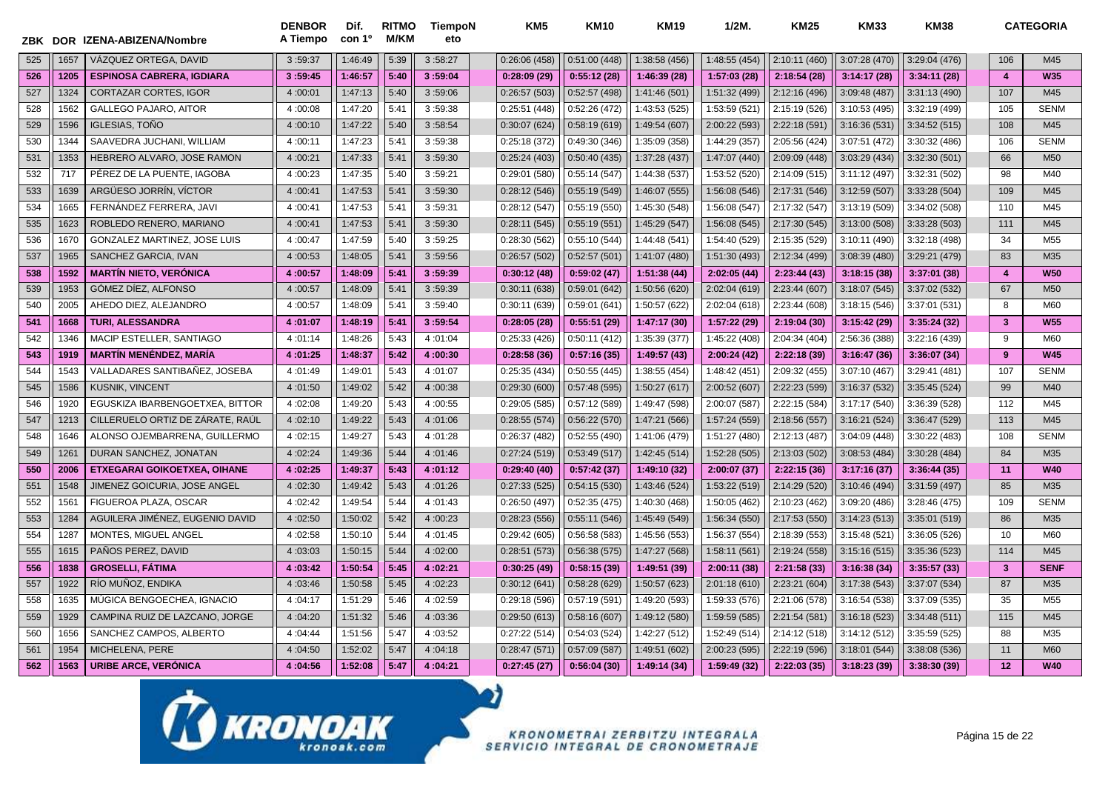|     | ZBK DOR | IZENA-ABIZENA/Nombre                | <b>DENBOR</b><br>A Tiempo | Dif.<br>con 1 <sup>o</sup> | <b>RITMO</b><br>M/KM | TiempoN<br>eto | KM <sub>5</sub> | <b>KM10</b>  | <b>KM19</b>   | $1/2M$ .      | <b>KM25</b>   | <b>KM33</b>   | <b>KM38</b>   |                         | <b>CATEGORIA</b> |
|-----|---------|-------------------------------------|---------------------------|----------------------------|----------------------|----------------|-----------------|--------------|---------------|---------------|---------------|---------------|---------------|-------------------------|------------------|
| 525 | 1657    | VÁZQUEZ ORTEGA, DAVID               | 3:59:37                   | 1:46:49                    | 5:39                 | 3:58:27        | 0:26:06(458)    | 0:51:00(448) | 1:38:58 (456) | 1:48:55 (454) | 2:10:11 (460) | 3:07:28 (470) | 3:29:04 (476) | 106                     | M45              |
| 526 | 1205    | <b>ESPINOSA CABRERA, IGDIARA</b>    | 3:59:45                   | 1:46:57                    | 5:40                 | 3:59:04        | 0:28:09(29)     | 0:55:12(28)  | 1:46:39 (28)  | 1:57:03 (28)  | 2:18:54 (28)  | 3:14:17(28)   | 3:34:11(28)   | $\overline{4}$          | <b>W35</b>       |
| 527 | 1324    | <b>CORTAZAR CORTES. IGOR</b>        | 4:00:01                   | 1:47:13                    | 5:40                 | 3:59:06        | 0:26:57(503)    | 0:52:57(498) | 1:41:46 (501) | 1:51:32 (499) | 2:12:16 (496) | 3:09:48 (487) | 3:31:13 (490) | 107                     | M45              |
| 528 | 1562    | <b>GALLEGO PAJARO, AITOR</b>        | 4:00:08                   | 1:47:20                    | 5:41                 | 3:59:38        | 0:25:51(448)    | 0:52:26(472) | 1:43:53 (525) | 1:53:59 (521) | 2:15:19 (526) | 3:10:53 (495) | 3:32:19 (499) | 105                     | <b>SENM</b>      |
| 529 | 1596    | IGLESIAS. TOÑO                      | 4:00:10                   | 1:47:22                    | 5:40                 | 3:58:54        | 0:30:07(624)    | 0:58:19(619) | 1:49:54 (607) | 2:00:22 (593) | 2:22:18 (591) | 3:16:36 (531) | 3:34:52 (515) | 108                     | M45              |
| 530 | 1344    | SAAVEDRA JUCHANI, WILLIAM           | 4:00:11                   | 1:47:23                    | 5:41                 | 3:59:38        | 0:25:18(372)    | 0:49:30(346) | 1:35:09 (358) | 1:44:29 (357) | 2:05:56 (424) | 3:07:51 (472) | 3:30:32 (486) | 106                     | <b>SENM</b>      |
| 531 | 1353    | HEBRERO ALVARO, JOSE RAMON          | 4:00:21                   | 1:47:33                    | 5:41                 | 3:59:30        | 0:25:24(403)    | 0:50:40(435) | 1:37:28 (437) | 1:47:07 (440) | 2:09:09 (448) | 3:03:29 (434) | 3:32:30(501)  | 66                      | M <sub>50</sub>  |
| 532 | 717     | PÉREZ DE LA PUENTE, IAGOBA          | 4:00:23                   | 1:47:35                    | 5:40                 | 3:59:21        | 0:29:01(580)    | 0:55:14(547) | 1:44:38 (537) | 1:53:52 (520) | 2:14:09 (515) | 3:11:12 (497) | 3:32:31 (502) | 98                      | M40              |
| 533 | 1639    | ARGÜESO JORRÍN, VÍCTOR              | 4:00:41                   | 1:47:53                    | 5:41                 | 3:59:30        | 0:28:12(546)    | 0:55:19(549) | 1:46:07 (555) | 1:56:08 (546) | 2:17:31 (546) | 3:12:59(507)  | 3:33:28 (504) | 109                     | M45              |
| 534 | 1665    | FERNANDEZ FERRERA, JAVI             | 4:00:41                   | 1:47:53                    | 5:41                 | 3:59:31        | 0:28:12(547)    | 0:55:19(550) | 1:45:30 (548) | 1:56:08 (547) | 2:17:32 (547) | 3:13:19(509)  | 3:34:02 (508) | 110                     | M45              |
| 535 | 1623    | ROBLEDO RENERO, MARIANO             | 4:00:41                   | 1:47:53                    | 5:41                 | 3:59:30        | 0:28:11(545)    | 0:55:19(551) | 1:45:29 (547) | 1:56:08 (545) | 2:17:30 (545) | 3:13:00 (508) | 3:33:28 (503) | 111                     | M45              |
| 536 | 1670    | GONZALEZ MARTINEZ, JOSE LUIS        | 4:00:47                   | 1:47:59                    | 5:40                 | 3:59:25        | 0:28:30(562)    | 0:55:10(544) | 1:44:48 (541) | 1:54:40 (529) | 2:15:35 (529) | 3:10:11 (490) | 3:32:18 (498) | 34                      | M <sub>55</sub>  |
| 537 | 1965    | SANCHEZ GARCIA, IVAN                | 4:00:53                   | 1:48:05                    | 5:41                 | 3:59:56        | 0:26:57(502)    | 0:52:57(501) | 1:41:07 (480) | 1:51:30 (493) | 2:12:34 (499) | 3:08:39 (480) | 3:29:21 (479) | 83                      | M35              |
| 538 | 1592    | <b>MARTÍN NIETO, VERÓNICA</b>       | 4:00:57                   | 1:48:09                    | 5:41                 | 3:59:39        | 0:30:12(48)     | 0:59:02(47)  | 1:51:38(44)   | 2:02:05(44)   | 2:23:44(43)   | 3:18:15(38)   | 3:37:01(38)   | $\overline{4}$          | <b>W50</b>       |
| 539 | 1953    | GÓMEZ DÍEZ, ALFONSO                 | 4:00:57                   | 1:48:09                    | 5:41                 | 3:59:39        | 0:30:11(638)    | 0:59:01(642) | 1:50:56 (620) | 2:02:04 (619) | 2:23:44 (607) | 3:18:07(545)  | 3:37:02 (532) | 67                      | M <sub>50</sub>  |
| 540 | 2005    | AHEDO DIEZ, ALEJANDRO               | 4:00:57                   | 1:48:09                    | 5:41                 | 3:59:40        | 0:30:11(639)    | 0:59:01(641) | 1:50:57 (622) | 2:02:04 (618) | 2:23:44 (608) | 3:18:15(546)  | 3:37:01 (531) | 8                       | M60              |
| 541 | 1668    | <b>TURI. ALESSANDRA</b>             | 4:01:07                   | 1:48:19                    | 5:41                 | 3:59:54        | 0:28:05(28)     | 0:55:51(29)  | 1:47:17 (30)  | 1:57:22 (29)  | 2:19:04 (30)  | 3:15:42(29)   | 3:35:24(32)   | $\overline{\mathbf{3}}$ | <b>W55</b>       |
| 542 | 1346    | MACIP ESTELLER, SANTIAGO            | 4:01:14                   | 1:48:26                    | 5:43                 | 4:01:04        | 0:25:33(426)    | 0:50:11(412) | 1:35:39 (377) | 1:45:22 (408) | 2:04:34 (404) | 2:56:36 (388) | 3:22:16 (439) | 9                       | M60              |
| 543 | 1919    | <b>MARTÍN MENÉNDEZ, MARÍA</b>       | 4:01:25                   | 1:48:37                    | 5:42                 | 4:00:30        | 0:28:58(36)     | 0:57:16(35)  | 1:49:57 (43)  | 2:00:24(42)   | 2:22:18 (39)  | 3:16:47(36)   | 3:36:07(34)   | 9                       | <b>W45</b>       |
| 544 | 1543    | VALLADARES SANTIBAÑEZ, JOSEBA       | 4:01:49                   | 1:49:0'                    | 5:43                 | 4:01:07        | 0:25:35(434)    | 0:50:55(445) | 1:38:55 (454) | 1:48:42 (451) | 2:09:32 (455) | 3:07:10 (467) | 3:29:41 (481) | 107                     | <b>SENM</b>      |
| 545 | 1586    | <b>KUSNIK, VINCENT</b>              | 4:01:50                   | 1:49:02                    | 5:42                 | 4:00:38        | 0:29:30(600)    | 0:57:48(595) | 1:50:27 (617) | 2:00:52(607)  | 2:22:23 (599) | 3:16:37 (532) | 3:35:45 (524) | 99                      | M40              |
| 546 | 1920    | EGUSKIZA IBARBENGOETXEA, BITTOR     | 4:02:08                   | 1:49:20                    | 5:43                 | 4:00:55        | 0:29:05(585)    | 0:57:12(589) | 1:49:47 (598) | 2:00:07 (587) | 2:22:15 (584) | 3:17:17 (540) | 3:36:39 (528) | 112                     | M45              |
| 547 | 1213    | CILLERUELO ORTIZ DE ZARATE, RAÚL    | 4:02:10                   | 1:49:22                    | 5:43                 | 4:01:06        | 0:28:55(574)    | 0:56:22(570) | 1:47:21 (566) | 1:57:24 (559) | 2:18:56 (557) | 3:16:21(524)  | 3:36:47 (529) | 113                     | M45              |
| 548 | 1646    | ALONSO OJEMBARRENA, GUILLERMO       | 4:02:15                   | 1:49:27                    | 5:43                 | 4:01:28        | 0:26:37(482)    | 0:52:55(490) | 1:41:06 (479) | 1:51:27 (480) | 2:12:13 (487) | 3:04:09 (448) | 3:30:22 (483) | 108                     | <b>SENM</b>      |
| 549 | 1261    | DURAN SANCHEZ, JONATAN              | 4:02:24                   | 1:49:36                    | 5:44                 | 4:01:46        | 0:27:24(519)    | 0:53:49(517) | 1:42:45 (514) | 1:52:28 (505) | 2:13:03 (502) | 3:08:53 (484) | 3:30:28 (484) | 84                      | M35              |
| 550 | 2006    | <b>ETXEGARAI GOIKOETXEA, OIHANE</b> | 4:02:25                   | 1:49:37                    | 5:43                 | 4:01:12        | 0:29:40(40)     | 0:57:42(37)  | 1:49:10 (32)  | 2:00:07 (37)  | 2:22:15 (36)  | 3:17:16(37)   | 3:36:44(35)   | 11                      | <b>W40</b>       |
| 551 | 1548    | <b>JIMENEZ GOICURIA. JOSE ANGEL</b> | 4:02:30                   | 1:49:42                    | 5:43                 | 4:01:26        | 0:27:33(525)    | 0:54:15(530) | 1:43:46 (524) | 1:53:22 (519) | 2:14:29 (520) | 3:10:46 (494) | 3:31:59 (497) | 85                      | M35              |
| 552 | 1561    | FIGUEROA PLAZA, OSCAR               | 4:02:42                   | 1:49:54                    | 5:44                 | 4:01:43        | 0:26:50(497)    | 0:52:35(475) | 1:40:30 (468) | 1:50:05 (462) | 2:10:23 (462) | 3:09:20 (486) | 3:28:46 (475) | 109                     | <b>SENM</b>      |
| 553 | 1284    | AGUILERA JIMÉNEZ, EUGENIO DAVID     | 4:02:50                   | 1:50:02                    | 5:42                 | 4:00:23        | 0:28:23(556)    | 0:55:11(546) | 1:45:49 (549) | 1:56:34 (550) | 2:17:53 (550) | 3:14:23 (513) | 3:35:01 (519) | 86                      | M35              |
| 554 | 1287    | MONTES. MIGUEL ANGEL                | 4:02:58                   | 1:50:10                    | 5:44                 | 4:01:45        | 0:29:42(605)    | 0:56:58(583) | 1:45:56 (553) | 1:56:37 (554) | 2:18:39 (553) | 3:15:48 (521) | 3:36:05(526)  | 10                      | M60              |
| 555 | 1615    | PAÑOS PEREZ, DAVID                  | 4:03:03                   | 1:50:15                    | 5:44                 | 4:02:00        | 0:28:51(573)    | 0:56:38(575) | 1:47:27 (568) | 1:58:11 (561) | 2:19:24 (558) | 3:15:16(515)  | 3:35:36 (523) | 114                     | M45              |
| 556 | 1838    | <b>GROSELLI, FÁTIMA</b>             | 4:03:42                   | 1:50:54                    | 5:45                 | 4:02:21        | 0:30:25(49)     | 0:58:15(39)  | 1:49:51 (39)  | 2:00:11 (38)  | 2:21:58(33)   | 3:16:38(34)   | 3:35:57(33)   | 3                       | <b>SENF</b>      |
| 557 | 1922    | RÍO MUÑOZ, ENDIKA                   | 4:03:46                   | 1:50:58                    | 5:45                 | 4:02:23        | 0:30:12(641)    | 0:58:28(629) | 1:50:57 (623) | 2:01:18 (610) | 2:23:21 (604) | 3:17:38(543)  | 3:37:07 (534) | 87                      | M35              |
| 558 | 1635    | MUGICA BENGOECHEA, IGNACIO          | 4:04:17                   | 1:51:29                    | 5:46                 | 4:02:59        | 0:29:18(596)    | 0:57:19(591) | 1:49:20 (593) | 1:59:33 (576) | 2:21:06 (578) | 3:16:54(538)  | 3:37:09 (535) | 35                      | M <sub>55</sub>  |
| 559 | 1929    | CAMPINA RUIZ DE LAZCANO, JORGE      | 4:04:20                   | 1:51:32                    | 5:46                 | 4:03:36        | 0:29:50(613)    | 0:58:16(607) | 1:49:12 (580) | 1:59:59 (585) | 2:21:54 (581) | 3:16:18(523)  | 3:34:48 (511) | 115                     | M45              |
| 560 | 1656    | SANCHEZ CAMPOS, ALBERTO             | 4:04:44                   | 1:51:56                    | 5:47                 | 4:03:52        | 0:27:22(514)    | 0:54:03(524) | 1:42:27 (512) | 1:52:49 (514) | 2:14:12 (518) | 3:14:12(512)  | 3:35:59 (525) | 88                      | M35              |
| 561 | 1954    | MICHELENA, PERE                     | 4:04:50                   | 1:52:02                    | 5:47                 | 4:04:18        | 0:28:47(571)    | 0:57:09(587) | 1:49:51 (602) | 2:00:23 (595) | 2:22:19 (596) | 3:18:01 (544) | 3:38:08 (536) | 11                      | M60              |
| 562 | 1563    | <b>URIBE ARCE, VERÓNICA</b>         | 4:04:56                   | 1:52:08                    | 5:47                 | 4:04:21        | 0:27:45(27)     | 0:56:04(30)  | 1:49:14 (34)  | 1:59:49 (32)  | 2:22:03 (35)  | 3:18:23(39)   | 3:38:30 (39)  | 12                      | <b>W40</b>       |

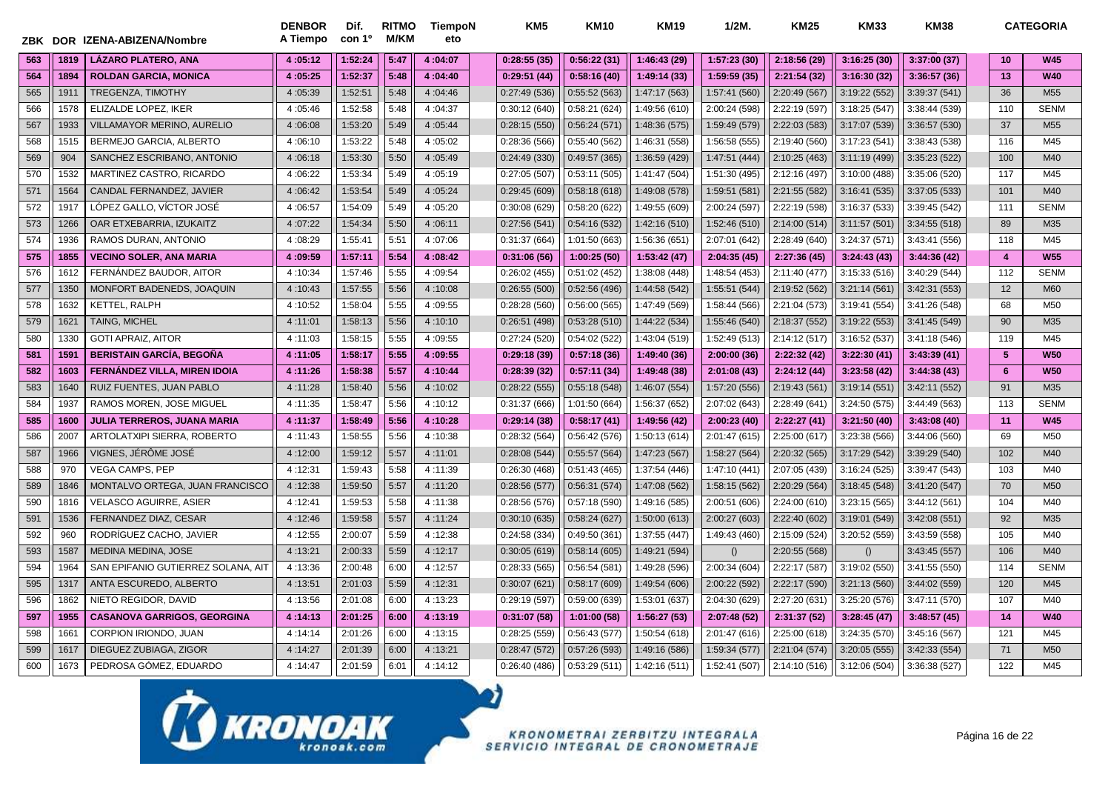|     |      | ZBK DOR IZENA-ABIZENA/Nombre        | <b>DENBOR</b><br>A Tiempo | Dif.<br>con 1 <sup>o</sup> | <b>RITMO</b><br><b>M/KM</b> | TiempoN<br>eto | KM <sub>5</sub> | <b>KM10</b>   | <b>KM19</b>   | $1/2M$ .      | <b>KM25</b>   | <b>KM33</b>   | <b>KM38</b>   |                 | <b>CATEGORIA</b> |
|-----|------|-------------------------------------|---------------------------|----------------------------|-----------------------------|----------------|-----------------|---------------|---------------|---------------|---------------|---------------|---------------|-----------------|------------------|
| 563 | 1819 | <b>LÁZARO PLATERO, ANA</b>          | 4:05:12                   | 1:52:24                    | 5:47                        | 4:04:07        | 0:28:55(35)     | 0:56:22(31)   | 1:46:43(29)   | 1:57:23(30)   | 2:18:56 (29)  | 3:16:25(30)   | 3:37:00(37)   | 10 <sup>1</sup> | <b>W45</b>       |
| 564 | 1894 | <b>ROLDAN GARCIA, MONICA</b>        | 4:05:25                   | 1:52:37                    | 5:48                        | 4:04:40        | 0:29:51(44)     | 0:58:16(40)   | 1:49:14(33)   | 1:59:59 (35)  | 2:21:54 (32)  | 3:16:30 (32)  | 3:36:57(36)   | 13              | <b>W40</b>       |
| 565 | 1911 | TREGENZA, TIMOTHY                   | 4:05:39                   | 1:52:51                    | 5:48                        | 4:04:46        | 0:27:49(536)    | 0:55:52(563)  | 1:47:17 (563) | 1:57:41 (560) | 2:20:49 (567) | 3:19:22 (552) | 3:39:37 (541) | 36              | M <sub>55</sub>  |
| 566 | 1578 | ELIZALDE LOPEZ. IKER                | 4:05:46                   | 1:52:58                    | 5:48                        | 4:04:37        | 0:30:12(640)    | 0:58:21(624)  | 1:49:56 (610) | 2:00:24 (598) | 2:22:19 (597) | 3:18:25(547)  | 3:38:44 (539) | 110             | <b>SENM</b>      |
| 567 | 1933 | <b>VILLAMAYOR MERINO, AURELIO</b>   | 4:06:08                   | 1:53:20                    | 5:49                        | 4:05:44        | 0:28:15(550)    | 0:56:24(571)  | 1:48:36 (575) | 1:59:49 (579) | 2:22:03 (583) | 3:17:07 (539) | 3:36:57 (530) | 37              | M <sub>55</sub>  |
| 568 | 1515 | BERMEJO GARCIA, ALBERTO             | 4:06:10                   | 1:53:22                    | 5:48                        | 4:05:02        | 0:28:36(566)    | 0:55:40(562)  | 1:46:31 (558) | 1:56:58 (555) | 2:19:40 (560) | 3:17:23 (541) | 3:38:43 (538) | 116             | M45              |
| 569 | 904  | SANCHEZ ESCRIBANO, ANTONIO          | 4:06:18                   | 1:53:30                    | 5:50                        | 4:05:49        | 0:24:49(330)    | 0:49:57(365)  | 1:36:59 (429) | 1:47:51 (444) | 2:10:25 (463) | 3:11:19 (499) | 3:35:23(522)  | 100             | M40              |
| 570 | 1532 | MARTINEZ CASTRO, RICARDO            | 4:06:22                   | 1:53:34                    | 5:49                        | 4:05:19        | 0:27:05(507)    | 0:53:11(505)  | 1:41:47 (504) | 1:51:30 (495) | 2:12:16 (497) | 3:10:00 (488) | 3:35:06 (520) | 117             | M45              |
| 571 | 1564 | CANDAL FERNANDEZ, JAVIER            | 4:06:42                   | 1:53:54                    | 5:49                        | 4:05:24        | 0:29:45(609)    | 0:58:18(618)  | 1:49:08 (578) | 1:59:51 (581) | 2:21:55 (582) | 3:16:41 (535) | 3:37:05 (533) | 101             | M40              |
| 572 | 1917 | LÓPEZ GALLO, VÍCTOR JOSÉ            | 4:06:57                   | 1:54:09                    | 5:49                        | 4:05:20        | 0:30:08(629)    | 0:58:20(622)  | 1:49:55 (609) | 2:00:24 (597) | 2:22:19 (598) | 3:16:37 (533) | 3:39:45 (542) | 111             | <b>SENM</b>      |
| 573 | 1266 | OAR ETXEBARRIA, IZUKAITZ            | 4:07:22                   | 1:54:34                    | 5:50                        | 4:06:11        | 0:27:56(541)    | 0:54:16(532)  | 1:42:16 (510) | 1:52:46 (510) | 2:14:00 (514) | 3:11:57(501)  | 3:34:55(518)  | 89              | M35              |
| 574 | 1936 | RAMOS DURAN, ANTONIO                | 4:08:29                   | 1:55:41                    | 5:51                        | 4:07:06        | 0:31:37(664)    | 1:01:50 (663) | 1:56:36 (651) | 2:07:01 (642) | 2:28:49 (640) | 3:24:37 (571) | 3:43:41 (556) | 118             | M45              |
| 575 | 1855 | <b>VECINO SOLER, ANA MARIA</b>      | 4:09:59                   | 1:57:11                    | 5:54                        | 4:08:42        | 0:31:06(56)     | 1:00:25(50)   | 1:53:42 (47)  | 2:04:35 (45)  | 2:27:36 (45)  | 3:24:43(43)   | 3:44:36(42)   | $\overline{4}$  | <b>W55</b>       |
| 576 | 1612 | FERNÁNDEZ BAUDOR, AITOR             | 4:10:34                   | 1:57:46                    | 5:55                        | 4:09:54        | 0:26:02(455)    | 0:51:02(452)  | 1:38:08 (448) | 1:48:54 (453) | 2:11:40 (477) | 3:15:33(516)  | 3:40:29 (544) | 112             | <b>SENM</b>      |
| 577 | 1350 | MONFORT BADENEDS, JOAQUIN           | 4:10:43                   | 1:57:55                    | 5:56                        | 4:10:08        | 0:26:55(500)    | 0:52:56(496)  | 1:44:58 (542) | 1:55:51 (544) | 2:19:52 (562) | 3:21:14(561)  | 3:42:31 (553) | 12              | M60              |
| 578 | 1632 | KETTEL, RALPH                       | 4:10:52                   | 1:58:04                    | 5:55                        | 4:09:55        | 0:28:28(560)    | 0:56:00(565)  | 1:47:49 (569) | 1:58:44 (566) | 2:21:04 (573) | 3:19:41 (554) | 3:41:26 (548) | 68              | M50              |
| 579 | 1621 | <b>TAING, MICHEL</b>                | 4:11:01                   | 1:58:13                    | 5:56                        | 4:10:10        | 0:26:51(498)    | 0:53:28(510)  | 1:44:22 (534) | 1:55:46 (540) | 2:18:37 (552) | 3:19:22 (553) | 3:41:45 (549) | 90              | M35              |
| 580 | 1330 | <b>GOTI APRAIZ, AITOR</b>           | 4:11:03                   | 1:58:15                    | 5:55                        | 4:09:55        | 0:27:24(520)    | 0:54:02(522)  | 1:43:04 (519) | 1:52:49 (513) | 2:14:12 (517) | 3:16:52 (537) | 3:41:18(546)  | 119             | M45              |
| 581 | 159  | <b>BERISTAIN GARCÍA, BEGOÑA</b>     | 4:11:05                   | 1:58:17                    | 5:55                        | 4:09:55        | 0:29:18(39)     | 0:57:18(36)   | 1:49:40 (36)  | 2:00:00(36)   | 2:22:32 (42)  | 3:22:30 (41)  | 3:43:39(41)   | 5               | <b>W50</b>       |
| 582 | 1603 | <b>FERNÁNDEZ VILLA, MIREN IDOIA</b> | 4:11:26                   | 1:58:38                    | 5:57                        | 4:10:44        | 0:28:39(32)     | 0:57:11(34)   | 1:49:48 (38)  | 2:01:08(43)   | 2:24:12 (44)  | 3:23:58 (42)  | 3:44:38(43)   | 6               | <b>W50</b>       |
| 583 | 1640 | RUIZ FUENTES, JUAN PABLO            | 4:11:28                   | 1:58:40                    | 5:56                        | 4:10:02        | 0:28:22(555)    | 0:55:18(548)  | 1:46:07 (554) | 1:57:20 (556) | 2:19:43 (561) | 3:19:14 (551) | 3:42:11 (552) | 91              | M35              |
| 584 | 1937 | RAMOS MOREN, JOSE MIGUEL            | 4:11:35                   | 1:58:47                    | 5:56                        | 4:10:12        | 0:31:37(666)    | 1:01:50 (664) | 1:56:37 (652) | 2:07:02 (643) | 2:28:49 (641) | 3:24:50 (575) | 3:44:49 (563) | 113             | <b>SENM</b>      |
| 585 | 1600 | <b>JULIA TERREROS, JUANA MARIA</b>  | 4:11:37                   | 1:58:49                    | 5:56                        | 4:10:28        | 0:29:14(38)     | 0:58:17(41)   | 1:49:56 (42)  | 2:00:23(40)   | 2:22:27(41)   | 3:21:50(40)   | 3:43:08(40)   | 11              | <b>W45</b>       |
| 586 | 2007 | ARTOLATXIPI SIERRA, ROBERTO         | 4:11:43                   | 1:58:55                    | 5:56                        | 4:10:38        | 0:28:32(564)    | 0:56:42(576)  | 1:50:13 (614) | 2:01:47 (615) | 2:25:00 (617) | 3:23:38 (566) | 3:44:06 (560) | 69              | M <sub>50</sub>  |
| 587 | 1966 | VIGNES, JÉRÔME JOSÉ                 | 4:12:00                   | 1:59:12                    | 5:57                        | 4:11:01        | 0:28:08(544)    | 0:55:57(564)  | 1:47:23 (567) | 1:58:27 (564) | 2:20:32 (565) | 3:17:29(542)  | 3:39:29(540)  | 102             | M40              |
| 588 | 970  | <b>VEGA CAMPS, PEP</b>              | 4:12:31                   | 1:59:43                    | 5:58                        | 4:11:39        | 0:26:30(468)    | 0:51:43(465)  | 1:37:54 (446) | 1:47:10 (441) | 2:07:05 (439) | 3:16:24 (525) | 3:39:47 (543) | 103             | M40              |
| 589 | 1846 | MONTALVO ORTEGA, JUAN FRANCISCO     | 4:12:38                   | 1:59:50                    | 5:57                        | 4:11:20        | 0:28:56(577)    | 0:56:31(574)  | 1:47:08 (562) | 1:58:15 (562) | 2:20:29(564)  | 3:18:45 (548) | 3:41:20(547)  | 70              | M50              |
| 590 | 1816 | <b>VELASCO AGUIRRE, ASIER</b>       | 4:12:41                   | 1:59:53                    | 5:58                        | 4:11:38        | 0:28:56(576)    | 0:57:18(590)  | 1:49:16 (585) | 2:00:51 (606) | 2:24:00 (610) | 3:23:15(565)  | 3:44:12(561)  | 104             | M40              |
| 591 | 1536 | FERNANDEZ DIAZ, CESAR               | 4:12:46                   | 1:59:58                    | 5:57                        | 4:11:24        | 0:30:10(635)    | 0:58:24(627)  | 1:50:00 (613) | 2:00:27 (603) | 2:22:40 (602) | 3:19:01 (549) | 3:42:08(551)  | 92              | M35              |
| 592 | 960  | RODRÍGUEZ CACHO, JAVIER             | 4:12:55                   | 2:00:07                    | 5:59                        | 4:12:38        | 0:24:58(334)    | 0:49:50(361)  | 1:37:55 (447) | 1:49:43 (460) | 2:15:09 (524) | 3:20:52 (559) | 3:43:59 (558) | 105             | M40              |
| 593 | 1587 | <b>MEDINA MEDINA, JOSE</b>          | 4:13:21                   | 2:00:33                    | 5:59                        | 4:12:17        | 0:30:05(619)    | 0:58:14(605)  | 1:49:21 (594) | ()            | 2:20:55 (568) | ()            | 3:43:45 (557) | 106             | M40              |
| 594 | 1964 | SAN EPIFANIO GUTIERREZ SOLANA, AIT  | 4:13:36                   | 2:00:48                    | 6:00                        | 4:12:57        | 0:28:33(565)    | 0:56:54(581)  | 1:49:28 (596) | 2:00:34 (604) | 2:22:17 (587) | 3:19:02 (550) | 3:41:55 (550) | 114             | <b>SENM</b>      |
| 595 | 1317 | ANTA ESCUREDO, ALBERTO              | 4:13:51                   | 2:01:03                    | 5:59                        | 4:12:31        | 0:30:07(621)    | 0:58:17(609)  | 1:49:54 (606) | 2:00:22 (592) | 2:22:17 (590) | 3:21:13(560)  | 3:44:02 (559) | 120             | M45              |
| 596 | 1862 | NIETO REGIDOR, DAVID                | 4:13:56                   | 2:01:08                    | 6:00                        | 4:13:23        | 0:29:19(597)    | 0:59:00(639)  | 1:53:01 (637) | 2:04:30 (629) | 2:27:20 (631) | 3:25:20 (576) | 3:47:11(570)  | 107             | M40              |
| 597 | 1955 | <b>CASANOVA GARRIGOS, GEORGINA</b>  | 4:14:13                   | 2:01:25                    | 6:00                        | 4:13:19        | 0:31:07(58)     | 1:01:00(58)   | 1:56:27(53)   | 2:07:48 (52)  | 2:31:37 (52)  | 3:28:45(47)   | 3:48:57(45)   | 14              | <b>W40</b>       |
| 598 | 166' | CORPION IRIONDO, JUAN               | 4:14:14                   | 2:01:26                    | 6:00                        | 4:13:15        | 0:28:25(559)    | 0:56:43(577)  | 1:50:54 (618) | 2:01:47 (616) | 2:25:00 (618) | 3:24:35 (570) | 3:45:16 (567) | 121             | M45              |
| 599 | 1617 | DIEGUEZ ZUBIAGA, ZIGOR              | 4:14:27                   | 2:01:39                    | 6:00                        | 4:13:21        | 0:28:47(572)    | 0:57:26(593)  | 1:49:16 (586) | 1:59:34 (577) | 2:21:04 (574) | 3:20:05(555)  | 3:42:33 (554) | 71              | M50              |
| 600 | 1673 | PEDROSA GÓMEZ, EDUARDO              | 4:14:47                   | 2:01:59                    | 6:01                        | 4:14:12        | 0:26:40(486)    | 0:53:29(511)  | 1:42:16 (511) | 1:52:41 (507) | 2:14:10 (516) | 3:12:06 (504) | 3:36:38 (527) | 122             | M45              |

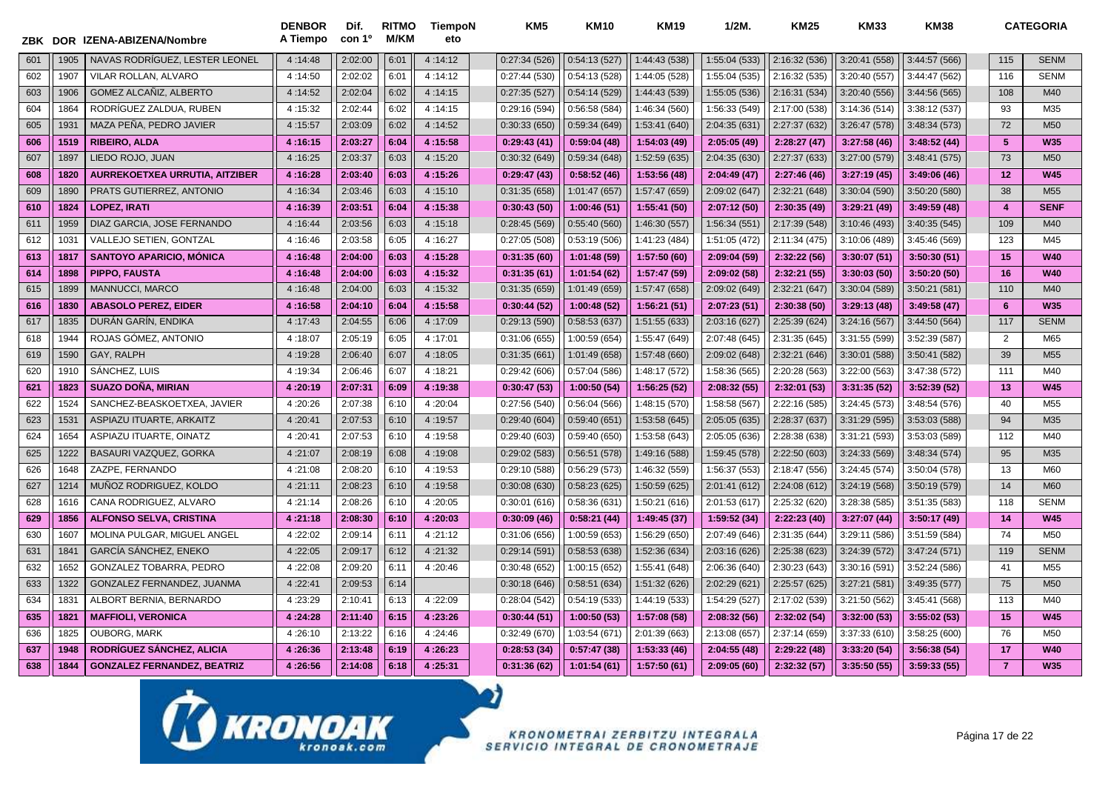| ZBK |      | DOR IZENA-ABIZENA/Nombre           | <b>DENBOR</b><br>A Tiempo | Dif.<br>con 1 <sup>o</sup> | <b>RITMO</b><br>M/KM | TiempoN<br>eto | KM <sub>5</sub> | <b>KM10</b>   | <b>KM19</b>   | $1/2M$ .      | <b>KM25</b>   | <b>KM33</b>   | <b>KM38</b>   |                  | <b>CATEGORIA</b> |
|-----|------|------------------------------------|---------------------------|----------------------------|----------------------|----------------|-----------------|---------------|---------------|---------------|---------------|---------------|---------------|------------------|------------------|
| 601 | 1905 | NAVAS RODRÍGUEZ. LESTER LEONEL     | 4:14:48                   | 2:02:00                    | 6:01                 | 4:14:12        | 0:27:34(526)    | 0:54:13(527)  | 1:44:43 (538) | 1:55:04 (533) | 2:16:32 (536) | 3:20:41 (558) | 3:44:57 (566) | 115              | <b>SENM</b>      |
| 602 | 1907 | VILAR ROLLAN, ALVARO               | 4:14:50                   | 2:02:02                    | 6:01                 | 4:14:12        | 0:27:44(530)    | 0:54:13(528)  | 1:44:05 (528) | 1:55:04 (535) | 2:16:32 (535) | 3:20:40 (557) | 3:44:47 (562) | 116              | <b>SENM</b>      |
| 603 | 1906 | <b>GOMEZ ALCAÑIZ, ALBERTO</b>      | 4:14:52                   | 2:02:04                    | 6:02                 | 4:14:15        | 0:27:35(527)    | 0:54:14(529)  | 1:44:43 (539) | 1:55:05 (536) | 2:16:31 (534) | 3:20:40 (556) | 3:44:56 (565) | 108              | M40              |
| 604 | 1864 | RODRÍGUEZ ZALDUA, RUBEN            | 4:15:32                   | 2:02:44                    | 6:02                 | 4:14:15        | 0:29:16(594)    | 0:56:58(584)  | 1:46:34 (560) | 1:56:33 (549) | 2:17:00 (538) | 3:14:36(514)  | 3:38:12 (537) | 93               | M35              |
| 605 | 193' | MAZA PEÑA, PEDRO JAVIER            | 4:15:57                   | 2:03:09                    | 6:02                 | 4:14:52        | 0:30:33(650)    | 0:59:34(649)  | 1:53:41 (640) | 2:04:35 (631) | 2:27:37 (632) | 3:26:47 (578) | 3:48:34 (573) | 72               | M <sub>50</sub>  |
| 606 | 1519 | <b>RIBEIRO, ALDA</b>               | 4:16:15                   | 2:03:27                    | 6:04                 | 4:15:58        | 0:29:43(41)     | 0:59:04(48)   | 1:54:03 (49)  | 2:05:05 (49)  | 2:28:27(47)   | 3:27:58(46)   | 3:48:52 (44)  | 5                | <b>W35</b>       |
| 607 | 1897 | LIEDO ROJO, JUAN                   | 4:16:25                   | 2:03:37                    | 6:03                 | 4:15:20        | 0:30:32(649)    | 0:59:34(648)  | 1:52:59 (635) | 2:04:35 (630) | 2:27:37 (633) | 3:27:00 (579) | 3:48:41 (575) | 73               | M50              |
| 608 | 1820 | AURREKOETXEA URRUTIA, AITZIBER     | 4:16:28                   | 2:03:40                    | 6:03                 | 4:15:26        | 0:29:47(43)     | 0:58:52(46)   | 1:53:56 (48)  | 2:04:49(47)   | 2:27:46 (46)  | 3:27:19(45)   | 3:49:06(46)   | 12               | <b>W45</b>       |
| 609 | 1890 | PRATS GUTIERREZ, ANTONIO           | 4:16:34                   | 2:03:46                    | 6:03                 | 4:15:10        | 0:31:35(658)    | 1:01:47 (657) | 1:57:47 (659) | 2:09:02 (647) | 2:32:21 (648) | 3:30:04 (590) | 3:50:20 (580) | 38               | M <sub>55</sub>  |
| 610 | 1824 | <b>LOPEZ, IRATI</b>                | 4:16:39                   | 2:03:51                    | 6:04                 | 4:15:38        | 0:30:43(50)     | 1:00:46(51)   | 1:55:41 (50)  | 2:07:12 (50)  | 2:30:35 (49)  | 3:29:21 (49)  | 3:49:59(48)   | $\boldsymbol{A}$ | <b>SENF</b>      |
| 611 | 1959 | DIAZ GARCIA, JOSE FERNANDO         | 4:16:44                   | 2:03:56                    | 6:03                 | 4:15:18        | 0:28:45(569)    | 0:55:40(560)  | 1:46:30 (557) | 1:56:34 (551) | 2:17:39 (548) | 3:10:46 (493) | 3:40:35 (545) | 109              | M40              |
| 612 | 103' | VALLEJO SETIEN, GONTZAL            | 4:16:46                   | 2:03:58                    | 6:05                 | 4:16:27        | 0:27:05(508)    | 0:53:19(506)  | 1:41:23 (484) | 1:51:05 (472) | 2:11:34 (475) | 3:10:06 (489) | 3:45:46 (569) | 123              | M45              |
| 613 | 1817 | <b>SANTOYO APARICIO, MÓNICA</b>    | 4:16:48                   | 2:04:00                    | 6:03                 | 4:15:28        | 0:31:35(60)     | 1:01:48(59)   | 1:57:50 (60)  | 2:09:04 (59)  | 2:32:22 (56)  | 3:30:07 (51)  | 3:50:30(51)   | 15               | <b>W40</b>       |
| 614 | 1898 | <b>PIPPO, FAUSTA</b>               | 4:16:48                   | 2:04:00                    | 6:03                 | 4:15:32        | 0:31:35(61)     | 1:01:54(62)   | 1:57:47 (59)  | 2:09:02 (58)  | 2:32:21 (55)  | 3:30:03(50)   | 3:50:20(50)   | 16               | <b>W40</b>       |
| 615 | 1899 | MANNUCCI, MARCO                    | 4:16:48                   | 2:04:00                    | 6:03                 | 4:15:32        | 0:31:35(659)    | 1:01:49 (659) | 1:57:47 (658) | 2:09:02 (649) | 2:32:21 (647) | 3:30:04 (589) | 3:50:21 (581) | 110              | M40              |
| 616 | 1830 | <b>ABASOLO PEREZ, EIDER</b>        | 4:16:58                   | 2:04:10                    | 6:04                 | 4:15:58        | 0:30:44(52)     | 1:00:48(52)   | 1:56:21(51)   | 2:07:23 (51)  | 2:30:38 (50)  | 3:29:13 (48)  | 3:49:58 (47)  | 6                | <b>W35</b>       |
| 617 | 1835 | DURÁN GARÍN, ENDIKA                | 4:17:43                   | 2:04:55                    | 6:06                 | 4:17:09        | 0:29:13(590)    | 0:58:53(637)  | 1:51:55 (633) | 2:03:16 (627) | 2:25:39 (624) | 3:24:16 (567) | 3:44:50 (564) | 117              | <b>SENM</b>      |
| 618 | 1944 | ROJAS GÓMEZ, ANTONIO               | 4:18:07                   | 2:05:19                    | 6:05                 | 4:17:01        | 0:31:06(655)    | 1:00:59 (654) | 1:55:47 (649) | 2:07:48 (645) | 2:31:35 (645) | 3:31:55 (599) | 3:52:39 (587) | $\overline{2}$   | M65              |
| 619 | 1590 | GAY, RALPH                         | 4:19:28                   | 2:06:40                    | 6:07                 | 4:18:05        | 0:31:35(661)    | 1:01:49 (658) | 1:57:48 (660) | 2:09:02 (648) | 2:32:21 (646) | 3:30:01 (588) | 3:50:41 (582) | 39               | M <sub>55</sub>  |
| 620 | 1910 | SÁNCHEZ, LUIS                      | 4:19:34                   | 2:06:46                    | 6:07                 | 4:18:21        | 0:29:42(606)    | 0:57:04(586)  | 1:48:17 (572) | 1:58:36 (565) | 2:20:28 (563) | 3:22:00 (563) | 3:47:38 (572) | 111              | M40              |
| 621 | 1823 | <b>SUAZO DOÑA, MIRIAN</b>          | 4:20:19                   | 2:07:31                    | 6:09                 | 4:19:38        | 0:30:47(53)     | 1:00:50(54)   | 1:56:25(52)   | 2:08:32 (55)  | 2:32:01 (53)  | 3:31:35(52)   | 3:52:39(52)   | 13               | <b>W45</b>       |
| 622 | 1524 | SANCHEZ-BEASKOETXEA, JAVIER        | 4:20:26                   | 2:07:38                    | 6:10                 | 4:20:04        | 0:27:56 (540)   | 0:56:04(566)  | 1:48:15 (570) | 1:58:58 (567) | 2:22:16 (585) | 3:24:45 (573) | 3:48:54 (576) | 40               | M <sub>55</sub>  |
| 623 | 153' | ASPIAZU ITUARTE, ARKAITZ           | 4:20:41                   | 2:07:53                    | 6:10                 | 4:19:57        | 0:29:40(604)    | 0:59:40(651)  | 1:53:58 (645) | 2:05:05 (635) | 2:28:37 (637) | 3:31:29 (595) | 3:53:03 (588) | 94               | M35              |
| 624 | 1654 | <b>ASPIAZU ITUARTE, OINATZ</b>     | 4:20:41                   | 2:07:53                    | 6:10                 | 4:19:58        | 0:29:40(603)    | 0:59:40(650)  | 1:53:58 (643) | 2:05:05 (636) | 2:28:38 (638) | 3:31:21 (593) | 3:53:03 (589) | 112              | M40              |
| 625 | 1222 | BASAURI VAZQUEZ, GORKA             | 4:21:07                   | 2:08:19                    | 6:08                 | 4:19:08        | 0:29:02(583)    | 0:56:51(578)  | 1:49:16 (588) | 1:59:45 (578) | 2:22:50 (603) | 3:24:33 (569) | 3:48:34 (574) | 95               | M35              |
| 626 | 1648 | ZAZPE, FERNANDO                    | 4:21:08                   | 2:08:20                    | 6:10                 | 4:19:53        | 0:29:10 (588)   | 0:56:29(573)  | 1:46:32 (559) | 1:56:37 (553) | 2:18:47 (556) | 3:24:45 (574) | 3:50:04 (578) | 13               | M60              |
| 627 | 1214 | MUÑOZ RODRIGUEZ, KOLDO             | 4:21:11                   | 2:08:23                    | 6:10                 | 4:19:58        | 0:30:08(630)    | 0:58:23(625)  | 1:50:59 (625) | 2:01:41 (612) | 2:24:08 (612) | 3:24:19(568)  | 3:50:19 (579) | 14               | <b>M60</b>       |
| 628 | 1616 | CANA RODRIGUEZ, ALVARO             | 4:21:14                   | 2:08:26                    | 6:10                 | 4:20:05        | 0:30:01(616)    | 0:58:36(631)  | 1:50:21 (616) | 2:01:53 (617) | 2:25:32 (620) | 3:28:38 (585) | 3:51:35(583)  | 118              | <b>SENM</b>      |
| 629 | 1856 | <b>ALFONSO SELVA, CRISTINA</b>     | 4:21:18                   | 2:08:30                    | 6:10                 | 4:20:03        | 0:30:09(46)     | 0:58:21(44)   | 1:49:45 (37)  | 1:59:52 (34)  | 2:22:23 (40)  | 3:27:07 (44)  | 3:50:17 (49)  | 14               | <b>W45</b>       |
| 630 | 1607 | MOLINA PULGAR, MIGUEL ANGEL        | 4:22:02                   | 2:09:14                    | 6:11                 | 4:21:12        | 0:31:06 (656)   | 1:00:59 (653) | 1:56:29 (650) | 2:07:49 (646) | 2:31:35 (644) | 3:29:11 (586) | 3:51:59 (584) | 74               | M50              |
| 631 | 184  | GARCÍA SÁNCHEZ, ENEKO              | 4:22:05                   | 2:09:17                    | 6:12                 | 4:21:32        | 0:29:14(591)    | 0:58:53(638)  | 1:52:36 (634) | 2:03:16 (626) | 2:25:38 (623) | 3:24:39 (572) | 3:47:24 (571) | 119              | <b>SENM</b>      |
| 632 | 1652 | GONZALEZ TOBARRA, PEDRO            | 4:22:08                   | 2:09:20                    | 6:11                 | 4:20:46        | 0:30:48(652)    | 1:00:15 (652) | 1:55:41 (648) | 2:06:36 (640) | 2:30:23 (643) | 3:30:16 (591) | 3:52:24 (586) | 41               | M <sub>55</sub>  |
| 633 | 1322 | GONZALEZ FERNANDEZ, JUANMA         | 4:22:41                   | 2:09:53                    | 6:14                 |                | 0:30:18(646)    | 0:58:51(634)  | 1:51:32 (626) | 2:02:29 (621) | 2:25:57 (625) | 3:27:21 (581) | 3:49:35 (577) | 75               | M50              |
| 634 | 183' | ALBORT BERNIA, BERNARDO            | 4:23:29                   | 2:10:41                    | 6:13                 | 4:22:09        | 0:28:04(542)    | 0:54:19(533)  | 1:44:19 (533) | 1:54:29 (527) | 2:17:02 (539) | 3:21:50 (562) | 3:45:41 (568) | 113              | M40              |
| 635 | 1821 | <b>MAFFIOLI, VERONICA</b>          | 4:24:28                   | 2:11:40                    | 6:15                 | 4:23:26        | 0:30:44(51)     | 1:00:50(53)   | 1:57:08(58)   | 2:08:32 (56)  | 2:32:02 (54)  | 3:32:00 (53)  | 3:55:02(53)   | 15               | <b>W45</b>       |
| 636 | 1825 | <b>OUBORG, MARK</b>                | 4:26:10                   | 2:13:22                    | 6:16                 | 4:24:46        | 0:32:49(670)    | 1:03:54 (671) | 2:01:39 (663) | 2:13:08 (657) | 2:37:14 (659) | 3:37:33 (610) | 3:58:25 (600) | 76               | M50              |
| 637 | 1948 | RODRÍGUEZ SÁNCHEZ, ALICIA          | 4:26:36                   | 2:13:48                    | 6:19                 | 4:26:23        | 0:28:53(34)     | 0:57:47(38)   | 1:53:33(46)   | 2:04:55 (48)  | 2:29:22 (48)  | 3:33:20 (54)  | 3:56:38(54)   | 17               | <b>W40</b>       |
| 638 | 1844 | <b>GONZALEZ FERNANDEZ, BEATRIZ</b> | 4:26:56                   | 2:14:08                    | 6:18                 | 4:25:31        | 0:31:36(62)     | 1:01:54(61)   | 1:57:50(61)   | 2:09:05(60)   | 2:32:32 (57)  | 3:35:50 (55)  | 3:59:33(55)   | $\overline{7}$   | <b>W35</b>       |

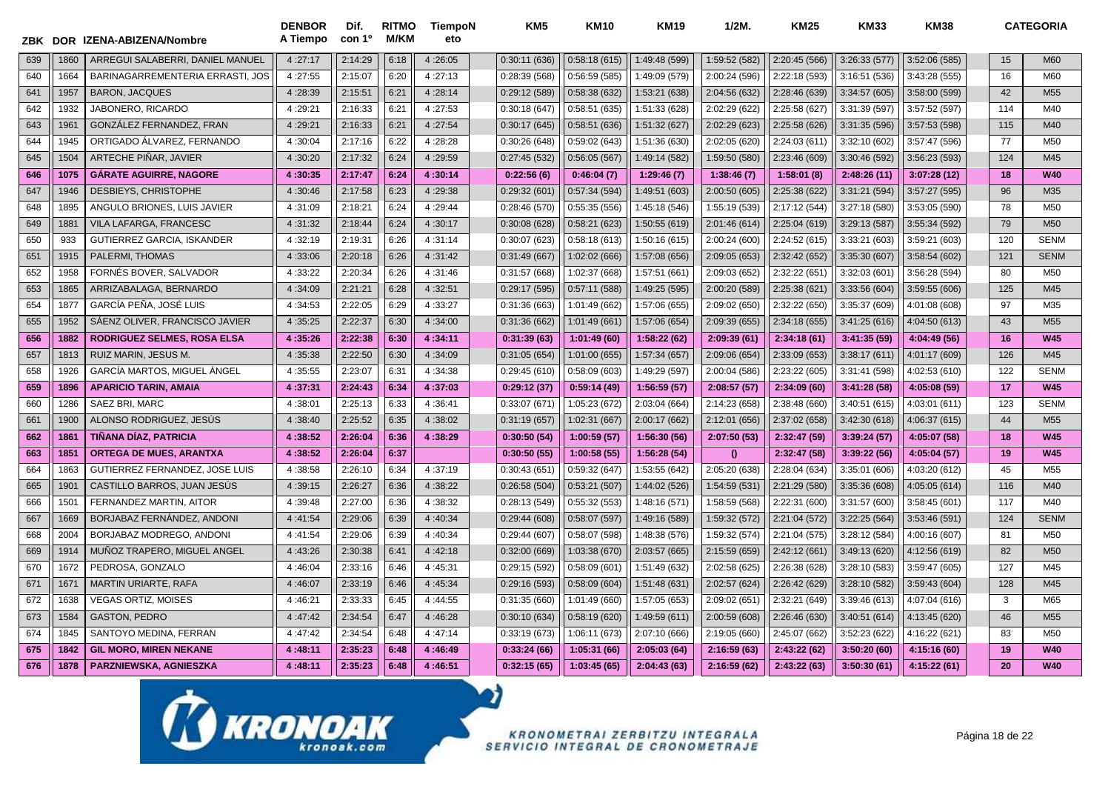| ZBK |                  | DOR IZENA-ABIZENA/Nombre           | <b>DENBOR</b><br>A Tiempo | Dif.<br>con 1 <sup>o</sup> | <b>RITMO</b><br><b>M/KM</b> | <b>TiempoN</b><br>eto | KM5          | <b>KM10</b>   | <b>KM19</b>   | 1/2M.         | <b>KM25</b>   | <b>KM33</b>   | <b>KM38</b>   |     | <b>CATEGORIA</b> |
|-----|------------------|------------------------------------|---------------------------|----------------------------|-----------------------------|-----------------------|--------------|---------------|---------------|---------------|---------------|---------------|---------------|-----|------------------|
| 639 | 1860             | ARREGUI SALABERRI, DANIEL MANUEL   | 4:27:17                   | 2:14:29                    | 6:18                        | 4:26:05               | 0:30:11(636) | 0:58:18(615)  | 1:49:48 (599) | 1:59:52 (582) | 2:20:45 (566) | 3:26:33 (577) | 3:52:06 (585) | 15  | <b>M60</b>       |
| 640 | 1664             | BARINAGARREMENTERIA ERRASTI, JOS   | 4:27:55                   | 2:15:07                    | 6:20                        | 4:27:13               | 0:28:39(568) | 0:56:59(585)  | 1:49:09 (579) | 2:00:24 (596) | 2:22:18 (593) | 3:16:51(536)  | 3:43:28(555)  | 16  | M60              |
| 641 | 1957             | <b>BARON, JACQUES</b>              | 4:28:39                   | 2:15:51                    | 6:21                        | 4:28:14               | 0:29:12(589) | 0:58:38(632)  | 1:53:21 (638) | 2:04:56 (632) | 2:28:46 (639) | 3:34:57(605)  | 3:58:00 (599) | 42  | M <sub>55</sub>  |
| 642 | 1932             | JABONERO, RICARDO                  | 4:29:21                   | 2:16:33                    | 6:21                        | 4:27:53               | 0:30:18(647) | 0:58:51(635)  | 1:51:33 (628) | 2:02:29 (622) | 2:25:58 (627) | 3:31:39 (597) | 3:57:52 (597) | 114 | M40              |
| 643 | 1961             | GONZÁLEZ FERNANDEZ. FRAN           | 4:29:21                   | 2:16:33                    | 6:21                        | 4:27:54               | 0:30:17(645) | 0:58:51 (636) | 1:51:32 (627) | 2:02:29 (623) | 2:25:58 (626) | 3:31:35 (596) | 3:57:53 (598) | 115 | M40              |
| 644 | 1945             | ORTIGADO ÁLVAREZ, FERNANDO         | 4:30:04                   | 2:17:16                    | 6:22                        | 4:28:28               | 0:30:26(648) | 0:59:02(643)  | 1:51:36 (630) | 2:02:05 (620) | 2:24:03 (611) | 3:32:10 (602) | 3:57:47 (596) | 77  | M50              |
| 645 | 1504             | ARTECHE PIÑAR, JAVIER              | 4:30:20                   | 2:17:32                    | 6:24                        | 4:29:59               | 0:27:45(532) | 0:56:05(567)  | 1:49:14 (582) | 1:59:50 (580) | 2:23:46 (609) | 3:30:46 (592) | 3:56:23 (593) | 124 | M45              |
| 646 | 1075             | <b>GÁRATE AGUIRRE, NAGORE</b>      | 4:30:35                   | 2:17:47                    | 6:24                        | 4:30:14               | 0:22:56(6)   | 0:46:04(7)    | 1:29:46(7)    | 1:38:46(7)    | 1:58:01(8)    | 2:48:26 (11)  | 3:07:28(12)   | 18  | <b>W40</b>       |
| 647 | 1946             | DESBIEYS, CHRISTOPHE               | 4:30:46                   | 2:17:58                    | 6:23                        | 4:29:38               | 0:29:32(601) | 0:57:34(594)  | 1:49:51 (603) | 2:00:50 (605) | 2:25:38 (622) | 3:31:21 (594) | 3:57:27 (595) | 96  | M35              |
| 648 | 1895             | ANGULO BRIONES, LUIS JAVIER        | 4:31:09                   | 2:18:21                    | 6:24                        | 4:29:44               | 0:28:46(570) | 0:55:35(556)  | 1:45:18 (546) | 1:55:19 (539) | 2:17:12 (544) | 3:27:18 (580) | 3:53:05 (590) | 78  | M <sub>50</sub>  |
| 649 | 188'             | VILA LAFARGA, FRANCESC             | 4:31:32                   | 2:18:44                    | 6:24                        | 4:30:17               | 0:30:08(628) | 0:58:21(623)  | 1:50:55 (619) | 2:01:46 (614) | 2:25:04 (619) | 3:29:13 (587) | 3:55:34 (592) | 79  | M <sub>50</sub>  |
| 650 | 933              | GUTIERREZ GARCIA, ISKANDER         | 4:32:19                   | 2:19:31                    | 6:26                        | 4:31:14               | 0:30:07(623) | 0:58:18(613)  | 1:50:16 (615) | 2:00:24 (600) | 2:24:52(615)  | 3:33:21(603)  | 3:59:21 (603) | 120 | <b>SENM</b>      |
| 651 | 1915             | PALERMI, THOMAS                    | 4:33:06                   | 2:20:18                    | 6:26                        | 4:31:42               | 0:31:49(667) | 1:02:02 (666) | 1:57:08 (656) | 2:09:05 (653) | 2:32:42 (652) | 3:35:30 (607) | 3:58:54(602)  | 121 | <b>SENM</b>      |
| 652 | 1958             | FORNES BOVER, SALVADOR             | 4:33:22                   | 2:20:34                    | 6:26                        | 4:31:46               | 0:31:57(668) | 1:02:37 (668) | 1:57:51 (661) | 2:09:03 (652) | 2:32:22 (651) | 3:32:03(601)  | 3:56:28 (594) | 80  | M <sub>50</sub>  |
| 653 | 1865             | ARRIZABALAGA, BERNARDO             | 4:34:09                   | 2:21:21                    | 6:28                        | 4:32:51               | 0:29:17(595) | 0:57:11(588)  | 1:49:25 (595) | 2:00:20 (589) | 2:25:38 (621) | 3:33:56 (604) | 3:59:55(606)  | 125 | M45              |
| 654 | 1877             | GARCÍA PEÑA, JOSÉ LUIS             | 4:34:53                   | 2:22:05                    | 6:29                        | 4:33:27               | 0:31:36(663) | 1:01:49 (662) | 1:57:06 (655) | 2:09:02 (650) | 2:32:22 (650) | 3:35:37 (609) | 4:01:08 (608) | 97  | M35              |
| 655 | 1952             | SÁENZ OLIVER, FRANCISCO JAVIER     | 4:35:25                   | 2:22:37                    | 6:30                        | 4:34:00               | 0:31:36(662) | 1:01:49 (661) | 1:57:06 (654) | 2:09:39 (655) | 2:34:18 (655) | 3:41:25(616)  | 4:04:50 (613) | 43  | M <sub>55</sub>  |
| 656 | 1882             | <b>RODRIGUEZ SELMES, ROSA ELSA</b> | 4:35:26                   | 2:22:38                    | 6:30                        | 4:34:11               | 0:31:39(63)  | 1:01:49 (60)  | 1:58:22 (62)  | 2:09:39(61)   | 2:34:18(61)   | 3:41:35 (59)  | 4:04:49 (56)  | 16  | <b>W45</b>       |
| 657 | 1813             | RUIZ MARIN, JESUS M.               | 4:35:38                   | 2:22:50                    | 6:30                        | 4:34:09               | 0:31:05(654) | 1:01:00 (655) | 1:57:34 (657) | 2:09:06 (654) | 2:33:09 (653) | 3:38:17(611)  | 4:01:17 (609) | 126 | M45              |
| 658 | 1926             | GARCÍA MARTOS, MIGUEL ÁNGEL        | 4:35:55                   | 2:23:07                    | 6:31                        | 4:34:38               | 0:29:45(610) | 0:58:09(603)  | 1:49:29 (597) | 2:00:04 (586) | 2:23:22 (605) | 3:31:41 (598) | 4:02:53 (610) | 122 | <b>SENM</b>      |
| 659 | 1896             | <b>APARICIO TARIN, AMAIA</b>       | 4:37:31                   | 2:24:43                    | 6:34                        | 4:37:03               | 0:29:12(37)  | 0:59:14(49)   | 1:56:59(57)   | 2:08:57(57)   | 2:34:09(60)   | 3:41:28(58)   | 4:05:08 (59)  | 17  | <b>W45</b>       |
| 660 | 1286             | SAEZ BRI, MARC                     | 4:38:01                   | 2:25:13                    | 6:33                        | 4:36:41               | 0:33:07(671) | 1:05:23 (672) | 2:03:04 (664) | 2:14:23 (658) | 2:38:48 (660) | 3:40:51 (615) | 4:03:01 (611) | 123 | <b>SENM</b>      |
| 661 | 1900             | ALONSO RODRIGUEZ, JESÚS            | 4:38:40                   | 2:25:52                    | 6:35                        | 4:38:02               | 0:31:19(657) | 1:02:31 (667) | 2:00:17 (662) | 2:12:01 (656) | 2:37:02 (658) | 3:42:30 (618) | 4:06:37 (615) | 44  | M <sub>55</sub>  |
| 662 | 1861             | TIÑANA DÍAZ, PATRICIA              | 4:38:52                   | 2:26:04                    | 6:36                        | 4:38:29               | 0:30:50(54)  | 1:00:59 (57)  | 1:56:30 (56)  | 2:07:50 (53)  | 2:32:47 (59)  | 3:39:24 (57)  | 4:05:07 (58)  | 18  | <b>W45</b>       |
| 663 | 1851             | <b>ORTEGA DE MUES, ARANTXA</b>     | 4:38:52                   | 2:26:04                    | 6:37                        |                       | 0:30:50(55)  | 1:00:58(55)   | 1:56:28 (54)  | $\mathbf{0}$  | 2:32:47 (58)  | 3:39:22 (56)  | 4:05:04 (57)  | 19  | <b>W45</b>       |
| 664 | 1863             | GUTIERREZ FERNANDEZ, JOSE LUIS     | 4:38:58                   | 2:26:10                    | 6:34                        | 4:37:19               | 0:30:43(651) | 0:59:32(647)  | 1:53:55 (642) | 2:05:20 (638) | 2:28:04 (634) | 3:35:01 (606) | 4:03:20 (612) | 45  | M <sub>55</sub>  |
| 665 | 190 <sup>°</sup> | CASTILLO BARROS, JUAN JESÚS        | 4:39:15                   | 2:26:27                    | 6:36                        | 4:38:22               | 0:26:58(504) | 0:53:21(507)  | 1:44:02 (526) | 1:54:59 (531) | 2:21:29 (580) | 3:35:36 (608) | 4:05:05 (614) | 116 | M40              |
| 666 | 150 <sup>°</sup> | FERNANDEZ MARTIN, AITOR            | 4:39:48                   | 2:27:00                    | 6:36                        | 4:38:32               | 0:28:13(549) | 0:55:32(553)  | 1:48:16 (571) | 1:58:59 (568) | 2:22:31 (600) | 3:31:57 (600) | 3:58:45(601)  | 117 | M40              |
| 667 | 1669             | BORJABAZ FERNÁNDEZ, ANDONI         | 4:41:54                   | 2:29:06                    | 6:39                        | 4:40:34               | 0:29:44(608) | 0:58:07(597)  | 1:49:16 (589) | 1:59:32 (572) | 2:21:04 (572) | 3:22:25 (564) | 3:53:46 (591) | 124 | <b>SENM</b>      |
| 668 | 2004             | BORJABAZ MODREGO. ANDONI           | 4:41:54                   | 2:29:06                    | 6:39                        | 4:40:34               | 0:29:44(607) | 0:58:07(598)  | 1:48:38 (576) | 1:59:32 (574) | 2:21:04 (575) | 3:28:12 (584) | 4:00:16 (607) | 81  | M50              |
| 669 | 1914             | MUÑOZ TRAPERO, MIGUEL ANGEL        | 4:43:26                   | 2:30:38                    | 6:41                        | 4:42:18               | 0:32:00(669) | 1:03:38 (670) | 2:03:57 (665) | 2:15:59 (659) | 2:42:12 (661) | 3:49:13 (620) | 4:12:56 (619) | 82  | M <sub>50</sub>  |
| 670 | 1672             | PEDROSA, GONZALO                   | 4:46:04                   | 2:33:16                    | 6:46                        | 4:45:31               | 0:29:15(592) | 0:58:09(601)  | 1:51:49 (632) | 2:02:58 (625) | 2:26:38 (628) | 3:28:10 (583) | 3:59:47 (605) | 127 | M45              |
| 671 | 167              | <b>MARTIN URIARTE, RAFA</b>        | 4:46:07                   | 2:33:19                    | 6:46                        | 4:45:34               | 0:29:16(593) | 0:58:09(604)  | 1:51:48 (631) | 2:02:57 (624) | 2:26:42 (629) | 3:28:10 (582) | 3:59:43 (604) | 128 | M45              |
| 672 | 1638             | <b>VEGAS ORTIZ, MOISES</b>         | 4:46:21                   | 2:33:33                    | 6:45                        | 4:44:55               | 0:31:35(660) | 1:01:49 (660) | 1:57:05 (653) | 2:09:02 (651) | 2:32:21 (649) | 3:39:46 (613) | 4:07:04 (616) | 3   | M65              |
| 673 | 1584             | <b>GASTON, PEDRO</b>               | 4:47:42                   | 2:34:54                    | 6:47                        | 4:46:28               | 0:30:10(634) | 0:58:19(620)  | 1:49:59 (611) | 2:00:59 (608) | 2:26:46 (630) | 3:40:51(614)  | 4:13:45 (620) | 46  | M <sub>55</sub>  |
| 674 | 1845             | SANTOYO MEDINA, FERRAN             | 4:47:42                   | 2:34:54                    | 6:48                        | 4:47:14               | 0:33:19(673) | 1:06:11 (673) | 2:07:10 (666) | 2:19:05 (660) | 2:45:07 (662) | 3:52:23 (622) | 4:16:22 (621) | 83  | M50              |
| 675 | 1842             | <b>GIL MORO, MIREN NEKANE</b>      | 4:48:11                   | 2:35:23                    | 6:48                        | 4:46:49               | 0:33:24(66)  | 1:05:31(66)   | 2:05:03(64)   | 2:16:59(63)   | 2:43:22 (62)  | 3:50:20(60)   | 4:15:16 (60)  | 19  | <b>W40</b>       |
| 676 | 1878             | PARZNIEWSKA, AGNIESZKA             | 4:48:11                   | 2:35:23                    | 6:48                        | 4:46:51               | 0:32:15(65)  | 1:03:45(65)   | 2:04:43(63)   | 2:16:59 (62)  | 2:43:22 (63)  | 3:50:30(61)   | 4:15:22 (61)  | 20  | <b>W40</b>       |

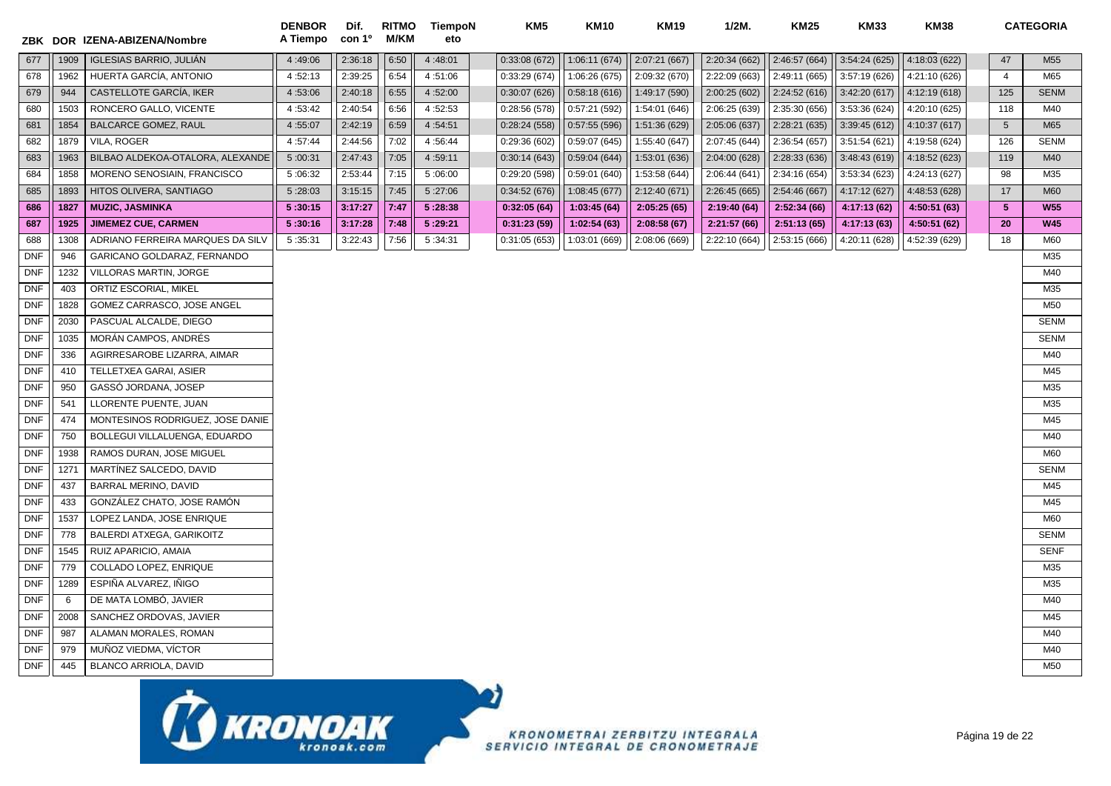|            |      | ZBK DOR IZENA-ABIZENA/Nombre     | <b>DENBOR</b><br>A Tiempo | Dif.<br>con 1 <sup>o</sup> | <b>RITMO</b><br>M/KM | <b>TiempoN</b><br>eto | KM5           | <b>KM10</b>   | <b>KM19</b>   | $1/2M$ .      | <b>KM25</b>   | <b>KM33</b>   | <b>KM38</b>   |                 | <b>CATEGORIA</b> |
|------------|------|----------------------------------|---------------------------|----------------------------|----------------------|-----------------------|---------------|---------------|---------------|---------------|---------------|---------------|---------------|-----------------|------------------|
| 677        | 1909 | <b>IGLESIAS BARRIO, JULIÁN</b>   | 4:49:06                   | 2:36:18                    | 6:50                 | 4:48:01               | 0:33:08(672)  | 1:06:11(674)  | 2:07:21 (667) | 2:20:34 (662) | 2:46:57 (664) | 3:54:24(625)  | 4:18:03 (622) | 47              | M <sub>55</sub>  |
| 678        | 1962 | HUERTA GARCÍA, ANTONIO           | 4:52:13                   | 2:39:25                    | 6:54                 | 4:51:06               | 0:33:29(674)  | 1:06:26 (675) | 2:09:32 (670) | 2:22:09 (663) | 2:49:11 (665) | 3:57:19 (626) | 4:21:10 (626) | $\overline{4}$  | M65              |
| 679        | 944  | CASTELLOTE GARCÍA, IKER          | 4:53:06                   | 2:40:18                    | 6:55                 | 4:52:00               | 0:30:07(626)  | 0:58:18(616)  | 1:49:17 (590) | 2:00:25 (602) | 2:24:52(616)  | 3:42:20(617)  | 4:12:19(618)  | 125             | <b>SENM</b>      |
| 680        | 1503 | RONCERO GALLO, VICENTE           | 4:53:42                   | 2:40:54                    | 6:56                 | 4:52:53               | 0:28:56(578)  | 0:57:21(592)  | 1:54:01 (646) | 2:06:25 (639) | 2:35:30 (656) | 3:53:36 (624) | 4:20:10 (625) | 118             | M40              |
| 681        | 1854 | BALCARCE GOMEZ, RAUL             | 4:55:07                   | 2:42:19                    | 6:59                 | 4:54:51               | 0:28:24(558)  | 0:57:55(596)  | 1:51:36 (629) | 2:05:06 (637) | 2:28:21 (635) | 3:39:45 (612) | 4:10:37 (617) | $5\phantom{.0}$ | M65              |
| 682        | 1879 | VILA, ROGER                      | 4:57:44                   | 2:44:56                    | 7:02                 | 4:56:44               | 0:29:36(602)  | 0:59:07(645)  | 1:55:40 (647) | 2:07:45 (644) | 2:36:54 (657) | 3:51:54 (621) | 4:19:58 (624) | 126             | <b>SENM</b>      |
| 683        | 1963 | BILBAO ALDEKOA-OTALORA, ALEXANDE | 5:00:31                   | 2:47:43                    | 7:05                 | 4:59:11               | 0:30:14(643)  | 0:59:04(644)  | 1:53:01 (636) | 2:04:00 (628) | 2:28:33(636)  | 3:48:43(619)  | 4:18:52 (623) | 119             | M40              |
| 684        | 1858 | MORENO SENOSIAIN, FRANCISCO      | 5:06:32                   | 2:53:44                    | 7:15                 | 5:06:00               | 0:29:20 (598) | 0:59:01 (640) | 1:53:58 (644) | 2:06:44 (641) | 2:34:16 (654) | 3:53:34 (623) | 4:24:13 (627) | 98              | M35              |
| 685        | 1893 | HITOS OLIVERA, SANTIAGO          | 5:28:03                   | 3:15:15                    | 7:45                 | 5:27:06               | 0:34:52(676)  | 1:08:45 (677) | 2:12:40 (671) | 2:26:45 (665) | 2:54:46 (667) | 4:17:12 (627) | 4:48:53 (628) | 17              | <b>M60</b>       |
| 686        | 1827 | <b>MUZIC, JASMINKA</b>           | 5:30:15                   | 3:17:27                    | 7:47                 | 5:28:38               | 0:32:05(64)   | 1:03:45(64)   | 2:05:25(65)   | 2:19:40 (64)  | 2:52:34(66)   | 4:17:13 (62)  | 4:50:51 (63)  | $5\phantom{.0}$ | <b>W55</b>       |
| 687        | 1925 | <b>JIMEMEZ CUE, CARMEN</b>       | 5:30:16                   | 3:17:28                    | 7:48                 | 5:29:21               | 0:31:23(59)   | 1:02:54(63)   | 2:08:58(67)   | 2:21:57(66)   | 2:51:13(65)   | 4:17:13 (63)  | 4:50:51 (62)  | 20              | <b>W45</b>       |
| 688        | 1308 | ADRIANO FERREIRA MARQUES DA SILV | 5:35:31                   | 3:22:43                    | 7:56                 | 5:34:31               | 0:31:05(653)  | 1:03:01 (669) | 2:08:06 (669) | 2:22:10 (664) | 2:53:15 (666) | 4:20:11 (628) | 4:52:39 (629) | 18              | M60              |
| <b>DNF</b> | 946  | GARICANO GOLDARAZ, FERNANDO      |                           |                            |                      |                       |               |               |               |               |               |               |               |                 | M35              |
| <b>DNF</b> | 1232 | VILLORAS MARTIN, JORGE           |                           |                            |                      |                       |               |               |               |               |               |               |               |                 | M40              |
| <b>DNF</b> | 403  | ORTIZ ESCORIAL, MIKEL            |                           |                            |                      |                       |               |               |               |               |               |               |               |                 | M35              |
| <b>DNF</b> | 1828 | GOMEZ CARRASCO, JOSE ANGEL       |                           |                            |                      |                       |               |               |               |               |               |               |               |                 | M50              |
| <b>DNF</b> | 2030 | PASCUAL ALCALDE, DIEGO           |                           |                            |                      |                       |               |               |               |               |               |               |               |                 | <b>SENM</b>      |
| <b>DNF</b> | 1035 | MORÁN CAMPOS, ANDRÉS             |                           |                            |                      |                       |               |               |               |               |               |               |               |                 | <b>SENM</b>      |
| <b>DNF</b> | 336  | AGIRRESAROBE LIZARRA, AIMAR      |                           |                            |                      |                       |               |               |               |               |               |               |               |                 | M40              |
| <b>DNF</b> | 410  | TELLETXEA GARAI, ASIER           |                           |                            |                      |                       |               |               |               |               |               |               |               |                 | M45              |
| <b>DNF</b> | 950  | GASSÓ JORDANA, JOSEP             |                           |                            |                      |                       |               |               |               |               |               |               |               |                 | M35              |
| <b>DNF</b> | 541  | LLORENTE PUENTE, JUAN            |                           |                            |                      |                       |               |               |               |               |               |               |               |                 | M35              |
| <b>DNF</b> | 474  | MONTESINOS RODRIGUEZ, JOSE DANIE |                           |                            |                      |                       |               |               |               |               |               |               |               |                 | M45              |
| <b>DNF</b> | 750  | BOLLEGUI VILLALUENGA, EDUARDO    |                           |                            |                      |                       |               |               |               |               |               |               |               |                 | M40              |
| <b>DNF</b> | 1938 | RAMOS DURAN, JOSE MIGUEL         |                           |                            |                      |                       |               |               |               |               |               |               |               |                 | M60              |
| <b>DNF</b> | 1271 | MARTÍNEZ SALCEDO, DAVID          |                           |                            |                      |                       |               |               |               |               |               |               |               |                 | <b>SENM</b>      |
| <b>DNF</b> | 437  | BARRAL MERINO, DAVID             |                           |                            |                      |                       |               |               |               |               |               |               |               |                 | M45              |
| <b>DNF</b> | 433  | GONZÁLEZ CHATO, JOSE RAMÓN       |                           |                            |                      |                       |               |               |               |               |               |               |               |                 | M45              |
| <b>DNF</b> | 1537 | LOPEZ LANDA, JOSE ENRIQUE        |                           |                            |                      |                       |               |               |               |               |               |               |               |                 | M60              |
| <b>DNF</b> | 778  | <b>BALERDI ATXEGA, GARIKOITZ</b> |                           |                            |                      |                       |               |               |               |               |               |               |               |                 | <b>SENM</b>      |
| <b>DNF</b> | 1545 | RUIZ APARICIO, AMAIA             |                           |                            |                      |                       |               |               |               |               |               |               |               |                 | <b>SENF</b>      |
| <b>DNF</b> | 779  | COLLADO LOPEZ, ENRIQUE           |                           |                            |                      |                       |               |               |               |               |               |               |               |                 | M35              |
| <b>DNF</b> | 1289 | ESPIÑA ALVAREZ, IÑIGO            |                           |                            |                      |                       |               |               |               |               |               |               |               |                 | M35              |
| <b>DNF</b> | 6    | DE MATA LOMBÓ, JAVIER            |                           |                            |                      |                       |               |               |               |               |               |               |               |                 | M40              |
| <b>DNF</b> | 2008 | SANCHEZ ORDOVAS, JAVIER          |                           |                            |                      |                       |               |               |               |               |               |               |               |                 | M45              |
| <b>DNF</b> | 987  | ALAMAN MORALES, ROMAN            |                           |                            |                      |                       |               |               |               |               |               |               |               |                 | M40              |
| <b>DNF</b> | 979  | MUÑOZ VIEDMA, VÍCTOR             |                           |                            |                      |                       |               |               |               |               |               |               |               |                 | M40              |
| <b>DNF</b> | 445  | <b>BLANCO ARRIOLA, DAVID</b>     |                           |                            |                      |                       |               |               |               |               |               |               |               |                 | M <sub>50</sub>  |
|            |      | 工                                |                           |                            |                      |                       |               |               |               |               |               |               |               |                 |                  |

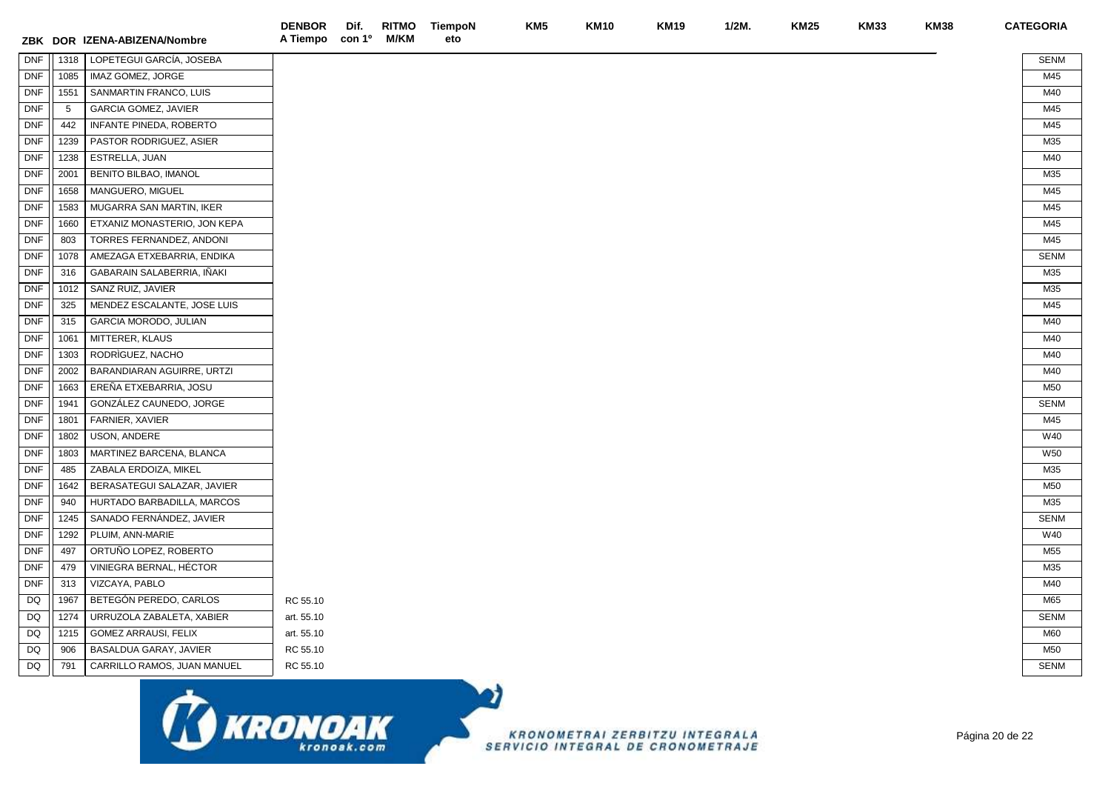|            |      | ZBK DOR IZENA-ABIZENA/Nombre | <b>DENBOR</b><br>A Tiempo con 1º | Dif. | <b>M/KM</b> | RITMO TiempoN<br>eto | KM <sub>5</sub> | <b>KM10</b> | <b>KM19</b> | $1/2M$ . | <b>KM25</b> | <b>KM33</b> | <b>KM38</b> | <b>CATEGORIA</b> |
|------------|------|------------------------------|----------------------------------|------|-------------|----------------------|-----------------|-------------|-------------|----------|-------------|-------------|-------------|------------------|
| <b>DNF</b> | 1318 | LOPETEGUI GARCÍA, JOSEBA     |                                  |      |             |                      |                 |             |             |          |             |             |             | <b>SENM</b>      |
| <b>DNF</b> | 1085 | IMAZ GOMEZ, JORGE            |                                  |      |             |                      |                 |             |             |          |             |             |             | M45              |
| <b>DNF</b> | 1551 | SANMARTIN FRANCO, LUIS       |                                  |      |             |                      |                 |             |             |          |             |             |             | M40              |
| <b>DNF</b> | 5    | <b>GARCIA GOMEZ, JAVIER</b>  |                                  |      |             |                      |                 |             |             |          |             |             |             | M45              |
| <b>DNF</b> | 442  | INFANTE PINEDA, ROBERTO      |                                  |      |             |                      |                 |             |             |          |             |             |             | M45              |
| <b>DNF</b> | 1239 | PASTOR RODRIGUEZ, ASIER      |                                  |      |             |                      |                 |             |             |          |             |             |             | M35              |
| <b>DNF</b> | 1238 | ESTRELLA, JUAN               |                                  |      |             |                      |                 |             |             |          |             |             |             | M40              |
| DNF        | 2001 | BENITO BILBAO, IMANOL        |                                  |      |             |                      |                 |             |             |          |             |             |             | M35              |
| <b>DNF</b> | 1658 | MANGUERO, MIGUEL             |                                  |      |             |                      |                 |             |             |          |             |             |             | M45              |
| <b>DNF</b> | 1583 | MUGARRA SAN MARTIN, IKER     |                                  |      |             |                      |                 |             |             |          |             |             |             | M45              |
| <b>DNF</b> | 1660 | ETXANIZ MONASTERIO, JON KEPA |                                  |      |             |                      |                 |             |             |          |             |             |             | M45              |
| <b>DNF</b> | 803  | TORRES FERNANDEZ, ANDONI     |                                  |      |             |                      |                 |             |             |          |             |             |             | M45              |
| <b>DNF</b> | 1078 | AMEZAGA ETXEBARRIA, ENDIKA   |                                  |      |             |                      |                 |             |             |          |             |             |             | <b>SENM</b>      |
| <b>DNF</b> | 316  | GABARAIN SALABERRIA, IÑAKI   |                                  |      |             |                      |                 |             |             |          |             |             |             | M35              |
| <b>DNF</b> | 1012 | SANZ RUIZ, JAVIER            |                                  |      |             |                      |                 |             |             |          |             |             |             | M35              |
| <b>DNF</b> | 325  | MENDEZ ESCALANTE, JOSE LUIS  |                                  |      |             |                      |                 |             |             |          |             |             |             | M45              |
| <b>DNF</b> | 315  | GARCIA MORODO, JULIAN        |                                  |      |             |                      |                 |             |             |          |             |             |             | M40              |
| <b>DNF</b> | 1061 | MITTERER, KLAUS              |                                  |      |             |                      |                 |             |             |          |             |             |             | M40              |
| <b>DNF</b> | 1303 | RODRIGUEZ, NACHO             |                                  |      |             |                      |                 |             |             |          |             |             |             | M40              |
| <b>DNF</b> | 2002 | BARANDIARAN AGUIRRE, URTZI   |                                  |      |             |                      |                 |             |             |          |             |             |             | M40              |
| <b>DNF</b> | 1663 | EREÑA ETXEBARRIA, JOSU       |                                  |      |             |                      |                 |             |             |          |             |             |             | M50              |
| <b>DNF</b> | 1941 | GONZÁLEZ CAUNEDO, JORGE      |                                  |      |             |                      |                 |             |             |          |             |             |             | <b>SENM</b>      |
| <b>DNF</b> | 1801 | FARNIER, XAVIER              |                                  |      |             |                      |                 |             |             |          |             |             |             | M45              |
| <b>DNF</b> | 1802 | USON, ANDERE                 |                                  |      |             |                      |                 |             |             |          |             |             |             | W40              |
| <b>DNF</b> | 1803 | MARTINEZ BARCENA, BLANCA     |                                  |      |             |                      |                 |             |             |          |             |             |             | W50              |
| DNF        | 485  | ZABALA ERDOIZA, MIKEL        |                                  |      |             |                      |                 |             |             |          |             |             |             | M35              |
| <b>DNF</b> | 1642 | BERASATEGUI SALAZAR, JAVIER  |                                  |      |             |                      |                 |             |             |          |             |             |             | M50              |
| <b>DNF</b> | 940  | HURTADO BARBADILLA, MARCOS   |                                  |      |             |                      |                 |             |             |          |             |             |             | M35              |
| <b>DNF</b> | 1245 | SANADO FERNÁNDEZ, JAVIER     |                                  |      |             |                      |                 |             |             |          |             |             |             | <b>SENM</b>      |
| <b>DNF</b> | 1292 | PLUIM, ANN-MARIE             |                                  |      |             |                      |                 |             |             |          |             |             |             | W40              |
| <b>DNF</b> | 497  | ORTUÑO LOPEZ, ROBERTO        |                                  |      |             |                      |                 |             |             |          |             |             |             | M <sub>55</sub>  |
| <b>DNF</b> | 479  | VINIEGRA BERNAL, HÉCTOR      |                                  |      |             |                      |                 |             |             |          |             |             |             | M35              |
| <b>DNF</b> | 313  | VIZCAYA, PABLO               |                                  |      |             |                      |                 |             |             |          |             |             |             | M40              |
| DQ         | 1967 | BETEGÓN PEREDO, CARLOS       | RC 55.10                         |      |             |                      |                 |             |             |          |             |             |             | M65              |
| DQ         | 1274 | URRUZOLA ZABALETA, XABIER    | art. 55.10                       |      |             |                      |                 |             |             |          |             |             |             | <b>SENM</b>      |
| DQ         | 1215 | <b>GOMEZ ARRAUSI, FELIX</b>  | art. 55.10                       |      |             |                      |                 |             |             |          |             |             |             | M60              |
| DQ         | 906  | BASALDUA GARAY, JAVIER       | RC 55.10                         |      |             |                      |                 |             |             |          |             |             |             | M50              |
| DQ         | 791  | CARRILLO RAMOS, JUAN MANUEL  | RC 55.10                         |      |             |                      |                 |             |             |          |             |             |             | <b>SENM</b>      |
|            |      | $\mathbf{r}$                 |                                  |      |             | s)                   |                 |             |             |          |             |             |             |                  |

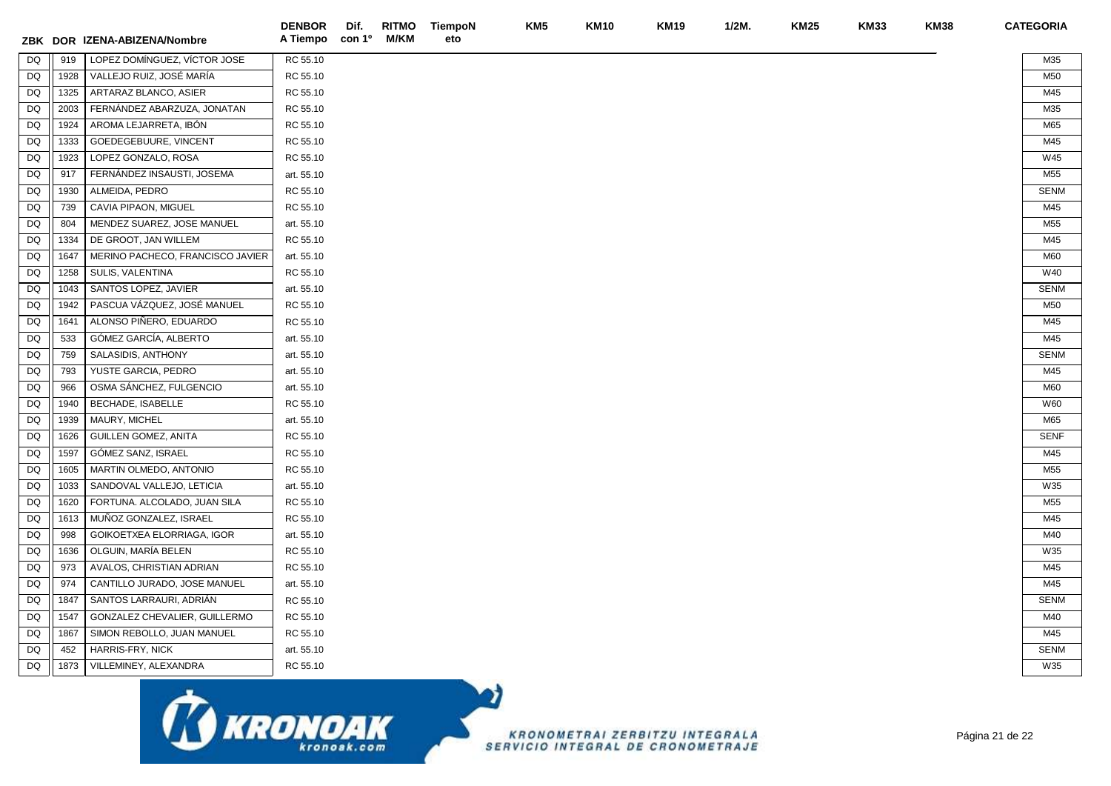| ZBK       |      | DOR IZENA-ABIZENA/Nombre         | <b>DENBOR</b><br>A Tiempo | Dif.<br>con 1º | <b>RITMO</b><br>M/KM | TiempoN<br>eto | KM <sub>5</sub> | <b>KM10</b> | <b>KM19</b> | $1/2M$ . | <b>KM25</b> | <b>KM33</b> | <b>KM38</b> | <b>CATEGORIA</b> |
|-----------|------|----------------------------------|---------------------------|----------------|----------------------|----------------|-----------------|-------------|-------------|----------|-------------|-------------|-------------|------------------|
| <b>DQ</b> | 919  | LOPEZ DOMÍNGUEZ, VÍCTOR JOSE     | RC 55.10                  |                |                      |                |                 |             |             |          |             |             |             | M35              |
| DQ        | 1928 | VALLEJO RUIZ, JOSÉ MARÍA         | RC 55.10                  |                |                      |                |                 |             |             |          |             |             |             | M50              |
| <b>DQ</b> | 1325 | ARTARAZ BLANCO, ASIER            | RC 55.10                  |                |                      |                |                 |             |             |          |             |             |             | M45              |
| DQ        | 2003 | FERNANDEZ ABARZUZA, JONATAN      | RC 55.10                  |                |                      |                |                 |             |             |          |             |             |             | M35              |
| DQ        | 1924 | AROMA LEJARRETA, IBÓN            | RC 55.10                  |                |                      |                |                 |             |             |          |             |             |             | M65              |
| DQ        | 1333 | GOEDEGEBUURE, VINCENT            | RC 55.10                  |                |                      |                |                 |             |             |          |             |             |             | M45              |
| <b>DQ</b> | 1923 | LOPEZ GONZALO, ROSA              | RC 55.10                  |                |                      |                |                 |             |             |          |             |             |             | W45              |
| DQ        | 917  | FERNÁNDEZ INSAUSTI, JOSEMA       | art. 55.10                |                |                      |                |                 |             |             |          |             |             |             | M55              |
| DQ        | 1930 | ALMEIDA, PEDRO                   | RC 55.10                  |                |                      |                |                 |             |             |          |             |             |             | <b>SENM</b>      |
| DQ        | 739  | CAVIA PIPAON, MIGUEL             | RC 55.10                  |                |                      |                |                 |             |             |          |             |             |             | M45              |
| DQ        | 804  | MENDEZ SUAREZ, JOSE MANUEL       | art. 55.10                |                |                      |                |                 |             |             |          |             |             |             | M55              |
| DQ        | 1334 | DE GROOT, JAN WILLEM             | RC 55.10                  |                |                      |                |                 |             |             |          |             |             |             | M45              |
| <b>DQ</b> | 1647 | MERINO PACHECO, FRANCISCO JAVIER | art. 55.10                |                |                      |                |                 |             |             |          |             |             |             | M60              |
| DQ        | 1258 | SULIS, VALENTINA                 | RC 55.10                  |                |                      |                |                 |             |             |          |             |             |             | W40              |
| DQ        | 1043 | SANTOS LOPEZ, JAVIER             | art. 55.10                |                |                      |                |                 |             |             |          |             |             |             | <b>SENM</b>      |
| <b>DQ</b> | 1942 | PASCUA VÁZQUEZ, JOSÉ MANUEL      | RC 55.10                  |                |                      |                |                 |             |             |          |             |             |             | M50              |
| <b>DQ</b> | 1641 | ALONSO PIÑERO, EDUARDO           | RC 55.10                  |                |                      |                |                 |             |             |          |             |             |             | M45              |
| DQ        | 533  | GÓMEZ GARCÍA, ALBERTO            | art. 55.10                |                |                      |                |                 |             |             |          |             |             |             | M45              |
| DQ        | 759  | SALASIDIS, ANTHONY               | art. 55.10                |                |                      |                |                 |             |             |          |             |             |             | <b>SENM</b>      |
| <b>DQ</b> | 793  | YUSTE GARCIA, PEDRO              | art. 55.10                |                |                      |                |                 |             |             |          |             |             |             | M45              |
| DQ        | 966  | OSMA SÁNCHEZ, FULGENCIO          | art. 55.10                |                |                      |                |                 |             |             |          |             |             |             | M60              |
| DQ        | 1940 | <b>BECHADE, ISABELLE</b>         | RC 55.10                  |                |                      |                |                 |             |             |          |             |             |             | W60              |
| <b>DQ</b> | 1939 | MAURY, MICHEL                    | art. 55.10                |                |                      |                |                 |             |             |          |             |             |             | M65              |
| DQ        | 1626 | <b>GUILLEN GOMEZ, ANITA</b>      | RC 55.10                  |                |                      |                |                 |             |             |          |             |             |             | <b>SENF</b>      |
| DQ        | 1597 | GÓMEZ SANZ, ISRAEL               | RC 55.10                  |                |                      |                |                 |             |             |          |             |             |             | M45              |
| <b>DQ</b> | 1605 | MARTIN OLMEDO, ANTONIO           | RC 55.10                  |                |                      |                |                 |             |             |          |             |             |             | M55              |
| DQ        | 1033 | SANDOVAL VALLEJO, LETICIA        | art. 55.10                |                |                      |                |                 |             |             |          |             |             |             | W35              |
| DQ        | 1620 | FORTUNA. ALCOLADO, JUAN SILA     | RC 55.10                  |                |                      |                |                 |             |             |          |             |             |             | M55              |
| DQ        | 1613 | MUÑOZ GONZALEZ, ISRAEL           | RC 55.10                  |                |                      |                |                 |             |             |          |             |             |             | M45              |
| DQ        | 998  | GOIKOETXEA ELORRIAGA, IGOR       | art. 55.10                |                |                      |                |                 |             |             |          |             |             |             | M40              |
| DQ        | 1636 | OLGUIN, MARÍA BELEN              | RC 55.10                  |                |                      |                |                 |             |             |          |             |             |             | W35              |
| DQ        | 973  | AVALOS, CHRISTIAN ADRIAN         | RC 55.10                  |                |                      |                |                 |             |             |          |             |             |             | M45              |
| DQ        | 974  | CANTILLO JURADO, JOSE MANUEL     | art. 55.10                |                |                      |                |                 |             |             |          |             |             |             | M45              |
| DQ        | 1847 | SANTOS LARRAURI, ADRIÁN          | RC 55.10                  |                |                      |                |                 |             |             |          |             |             |             | <b>SENM</b>      |
| DQ        | 1547 | GONZALEZ CHEVALIER, GUILLERMO    | RC 55.10                  |                |                      |                |                 |             |             |          |             |             |             | M40              |
| <b>DQ</b> | 1867 | SIMON REBOLLO, JUAN MANUEL       | RC 55.10                  |                |                      |                |                 |             |             |          |             |             |             | M45              |
| DQ        | 452  | HARRIS-FRY, NICK                 | art. 55.10                |                |                      |                |                 |             |             |          |             |             |             | <b>SENM</b>      |
| DQ        | 1873 | VILLEMINEY, ALEXANDRA            | RC 55.10                  |                |                      |                |                 |             |             |          |             |             |             | W35              |
|           |      | ᆂ                                |                           |                |                      |                |                 |             |             |          |             |             |             |                  |